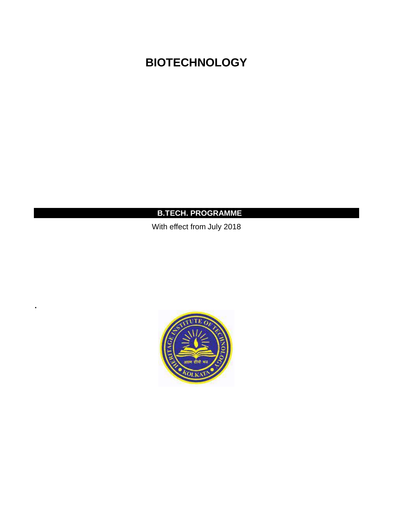# **BIOTECHNOLOGY**

## **B.TECH. PROGRAMME**

With effect from July 2018



**.**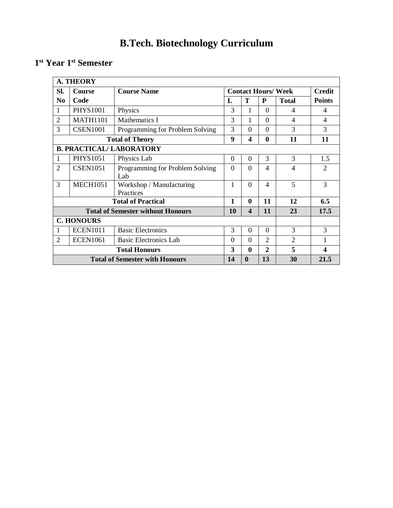# **B.Tech. Biotechnology Curriculum**

## **1 st Year 1st Semester**

|                                                                          | <b>A. THEORY</b>                                                                    |                                          |          |                         |                          |                            |                |  |  |  |  |  |
|--------------------------------------------------------------------------|-------------------------------------------------------------------------------------|------------------------------------------|----------|-------------------------|--------------------------|----------------------------|----------------|--|--|--|--|--|
| Sl.                                                                      | Course                                                                              | <b>Course Name</b>                       |          |                         |                          | <b>Contact Hours/ Week</b> | <b>Credit</b>  |  |  |  |  |  |
| N <sub>0</sub>                                                           | Code                                                                                |                                          | L        | T                       | P                        | <b>Total</b>               | <b>Points</b>  |  |  |  |  |  |
| 1                                                                        | <b>PHYS1001</b>                                                                     | Physics                                  | 3        | 1                       | $\Omega$                 | 4                          | 4              |  |  |  |  |  |
| $\overline{c}$                                                           | <b>MATH1101</b>                                                                     | Mathematics I                            | 3        | 1                       | $\Omega$                 | $\overline{\mathcal{A}}$   | 4              |  |  |  |  |  |
| 3                                                                        | <b>CSEN1001</b>                                                                     | Programming for Problem Solving          | 3        | $\Omega$                | $\Omega$                 | 3                          | 3              |  |  |  |  |  |
| 9<br>$\overline{\mathbf{4}}$<br>$\bf{0}$<br>11<br><b>Total of Theory</b> |                                                                                     |                                          |          |                         |                          |                            |                |  |  |  |  |  |
| <b>B. PRACTICAL/ LABORATORY</b>                                          |                                                                                     |                                          |          |                         |                          |                            |                |  |  |  |  |  |
| 1                                                                        | <b>PHYS1051</b>                                                                     | Physics Lab                              | $\Omega$ | $\overline{0}$          | 3                        | 3                          | 1.5            |  |  |  |  |  |
| $\overline{2}$                                                           | <b>CSEN1051</b>                                                                     | Programming for Problem Solving<br>Lab   | $\Omega$ | $\Omega$                | 4                        | 4                          | $\mathfrak{D}$ |  |  |  |  |  |
| 3                                                                        | <b>MECH1051</b>                                                                     | Workshop / Manufacturing<br>Practices    | 1        | $\Omega$                | $\overline{\mathcal{A}}$ | 5                          | 3              |  |  |  |  |  |
|                                                                          |                                                                                     | <b>Total of Practical</b>                | 1        | $\mathbf{0}$            | 11                       | 12                         | 6.5            |  |  |  |  |  |
|                                                                          |                                                                                     | <b>Total of Semester without Honours</b> | 10       | $\overline{\mathbf{4}}$ | 11                       | 23                         | 17.5           |  |  |  |  |  |
|                                                                          | <b>C. HONOURS</b>                                                                   |                                          |          |                         |                          |                            |                |  |  |  |  |  |
| 1                                                                        | <b>ECEN1011</b>                                                                     | <b>Basic Electronics</b>                 | 3        | $\Omega$                | $\Omega$                 | 3                          | 3              |  |  |  |  |  |
| $\overline{2}$                                                           | <b>ECEN1061</b>                                                                     | <b>Basic Electronics Lab</b>             | $\theta$ | $\theta$                | $\mathfrak{D}$           | $\overline{2}$             |                |  |  |  |  |  |
|                                                                          |                                                                                     | <b>Total Honours</b>                     | 3        | $\mathbf{0}$            | $\overline{2}$           | 5                          | 4              |  |  |  |  |  |
|                                                                          | 13<br>$\boldsymbol{0}$<br>30<br>21.5<br><b>Total of Semester with Honours</b><br>14 |                                          |          |                         |                          |                            |                |  |  |  |  |  |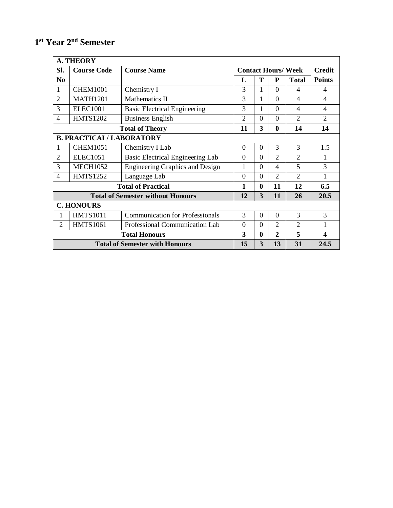## **1 st Year 2nd Semester**

|                                                           | <b>A. THEORY</b>                      |                                          |                |                |                |                            |                          |  |  |  |  |  |
|-----------------------------------------------------------|---------------------------------------|------------------------------------------|----------------|----------------|----------------|----------------------------|--------------------------|--|--|--|--|--|
| SI.                                                       | <b>Course Code</b>                    | <b>Course Name</b>                       |                |                |                | <b>Contact Hours/ Week</b> | <b>Credit</b>            |  |  |  |  |  |
| N <sub>0</sub>                                            |                                       |                                          | L              | Т              | P              | <b>Total</b>               | <b>Points</b>            |  |  |  |  |  |
| $\mathbf{1}$                                              | <b>CHEM1001</b>                       | Chemistry I                              | 3              | 1              | $\Omega$       | 4                          | 4                        |  |  |  |  |  |
| $\overline{2}$                                            | <b>MATH1201</b>                       | Mathematics II                           | 3              | 1              | $\Omega$       | $\overline{4}$             | $\overline{\mathcal{A}}$ |  |  |  |  |  |
| 3                                                         | <b>ELEC1001</b>                       | <b>Basic Electrical Engineering</b>      | 3              | 1              | $\overline{0}$ | $\overline{4}$             | $\overline{\mathcal{A}}$ |  |  |  |  |  |
| $\overline{4}$                                            | <b>HMTS1202</b>                       | <b>Business English</b>                  | $\overline{2}$ | $\overline{0}$ | $\overline{0}$ | $\overline{2}$             | $\mathfrak{D}$           |  |  |  |  |  |
| 3<br>11<br>$\bf{0}$<br>14<br>14<br><b>Total of Theory</b> |                                       |                                          |                |                |                |                            |                          |  |  |  |  |  |
| <b>B. PRACTICAL/ LABORATORY</b>                           |                                       |                                          |                |                |                |                            |                          |  |  |  |  |  |
| 1                                                         | <b>CHEM1051</b>                       | Chemistry I Lab                          | $\overline{0}$ | $\overline{0}$ | 3              | 3                          | 1.5                      |  |  |  |  |  |
| $\overline{2}$                                            | <b>ELEC1051</b>                       | <b>Basic Electrical Engineering Lab</b>  | $\Omega$       | $\overline{0}$ | $\overline{2}$ | $\overline{2}$             |                          |  |  |  |  |  |
| 3                                                         | <b>MECH1052</b>                       | Engineering Graphics and Design          | 1              | $\theta$       | 4              | 5                          | 3                        |  |  |  |  |  |
| $\overline{4}$                                            | <b>HMTS1252</b>                       | Language Lab                             | $\theta$       | $\overline{0}$ | $\overline{2}$ | $\overline{2}$             | 1                        |  |  |  |  |  |
|                                                           |                                       | <b>Total of Practical</b>                | 1              | $\bf{0}$       | 11             | 12                         | 6.5                      |  |  |  |  |  |
|                                                           |                                       | <b>Total of Semester without Honours</b> | 12             | 3              | 11             | 26                         | 20.5                     |  |  |  |  |  |
|                                                           | <b>C. HONOURS</b>                     |                                          |                |                |                |                            |                          |  |  |  |  |  |
| 1                                                         | <b>HMTS1011</b>                       | <b>Communication for Professionals</b>   | 3              | $\overline{0}$ | $\theta$       | 3                          | 3                        |  |  |  |  |  |
| $\overline{2}$                                            | <b>HMTS1061</b>                       | $\Omega$                                 | $\overline{0}$ | $\overline{2}$ | $\overline{2}$ | 1                          |                          |  |  |  |  |  |
|                                                           | <b>Total Honours</b>                  |                                          |                | $\bf{0}$       | $\overline{2}$ | 5                          | $\overline{\mathbf{4}}$  |  |  |  |  |  |
|                                                           | <b>Total of Semester with Honours</b> | 15                                       | 3              | 13             | 31             | 24.5                       |                          |  |  |  |  |  |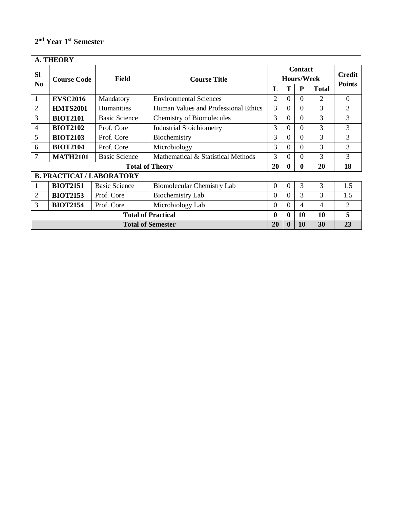## **2 nd Year 1st Semester**

|                             | <b>A. THEORY</b>          |                                 |                                      |                                     |                |           |                |                                |  |  |  |
|-----------------------------|---------------------------|---------------------------------|--------------------------------------|-------------------------------------|----------------|-----------|----------------|--------------------------------|--|--|--|
| <b>SI</b><br>N <sub>0</sub> | <b>Course Code</b>        | Field                           | <b>Course Title</b>                  | <b>Contact</b><br><b>Hours/Week</b> |                |           |                | <b>Credit</b><br><b>Points</b> |  |  |  |
|                             |                           |                                 |                                      | L                                   | T              | ${\bf P}$ | <b>Total</b>   |                                |  |  |  |
| 1                           | <b>EVSC2016</b>           | Mandatory                       | <b>Environmental Sciences</b>        | $\overline{2}$                      | $\overline{0}$ | 0         | $\overline{2}$ | $\overline{0}$                 |  |  |  |
| 2                           | <b>HMTS2001</b>           | Humanities                      | Human Values and Professional Ethics | 3                                   | $\Omega$       | 0         | 3              | 3                              |  |  |  |
| 3                           | <b>BIOT2101</b>           | <b>Basic Science</b>            | Chemistry of Biomolecules            | 3                                   | $\Omega$       | $\Omega$  | 3              | 3                              |  |  |  |
| 4                           | <b>BIOT2102</b>           | Prof. Core                      | <b>Industrial Stoichiometry</b>      | 3                                   | $\Omega$       | 0         | 3              | 3                              |  |  |  |
| 5                           | <b>BIOT2103</b>           | Prof. Core                      | Biochemistry                         | 3                                   | $\overline{0}$ | 0         | 3              | 3                              |  |  |  |
| 6                           | <b>BIOT2104</b>           | Prof. Core                      | Microbiology                         | 3                                   | $\theta$       | 0         | 3              | 3                              |  |  |  |
| 7                           | <b>MATH2101</b>           | <b>Basic Science</b>            | Mathematical & Statistical Methods   | 3                                   | $\Omega$       | 0         | 3              | 3                              |  |  |  |
|                             |                           |                                 | <b>Total of Theory</b>               | 20                                  | $\mathbf{0}$   | 0         | 20             | 18                             |  |  |  |
|                             |                           | <b>B. PRACTICAL/ LABORATORY</b> |                                      |                                     |                |           |                |                                |  |  |  |
| $\mathbf{1}$                | <b>BIOT2151</b>           | <b>Basic Science</b>            | Biomolecular Chemistry Lab           | $\Omega$                            | $\overline{0}$ | 3         | 3              | 1.5                            |  |  |  |
| 2                           | <b>BIOT2153</b>           | Prof. Core                      | Biochemistry Lab                     | $\Omega$                            | $\Omega$       | 3         | 3              | 1.5                            |  |  |  |
| 3                           | <b>BIOT2154</b>           | Prof. Core                      | Microbiology Lab                     | $\Omega$                            | $\overline{0}$ | 4         | 4              | $\overline{2}$                 |  |  |  |
|                             | <b>Total of Practical</b> |                                 |                                      |                                     | $\mathbf{0}$   | 10        | 10             | 5                              |  |  |  |
|                             | <b>Total of Semester</b>  |                                 |                                      |                                     |                | <b>10</b> | 30             | 23                             |  |  |  |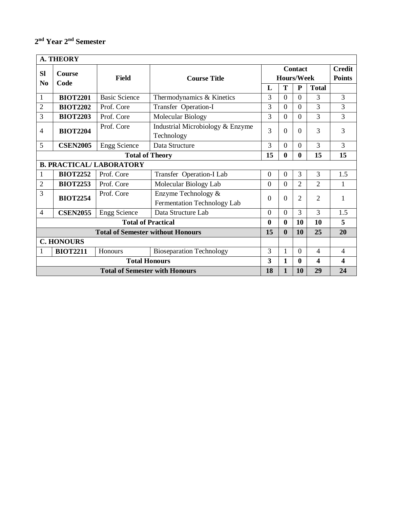#### **2 nd Year 2nd Semester**

|                       | <b>A. THEORY</b>      |                                          |                                                    |                  |                   |                  |                         |                                |  |  |  |  |
|-----------------------|-----------------------|------------------------------------------|----------------------------------------------------|------------------|-------------------|------------------|-------------------------|--------------------------------|--|--|--|--|
| <b>Sl</b><br>$\bf No$ | <b>Course</b><br>Code | <b>Field</b>                             | <b>Course Title</b>                                |                  | <b>Hours/Week</b> | <b>Contact</b>   |                         | <b>Credit</b><br><b>Points</b> |  |  |  |  |
|                       |                       |                                          |                                                    | L                | T                 | ${\bf P}$        | <b>Total</b>            |                                |  |  |  |  |
| $\mathbf{1}$          | <b>BIOT2201</b>       | <b>Basic Science</b>                     | Thermodynamics & Kinetics                          | 3                | $\overline{0}$    | $\Omega$         | 3                       | 3                              |  |  |  |  |
| $\overline{2}$        | <b>BIOT2202</b>       | Prof. Core                               | Transfer Operation-I                               | 3                | $\overline{0}$    | $\overline{0}$   | $\overline{3}$          | 3                              |  |  |  |  |
| 3                     | <b>BIOT2203</b>       | Prof. Core                               | Molecular Biology                                  | 3                | $\overline{0}$    | $\Omega$         | 3                       | 3                              |  |  |  |  |
| 4                     | <b>BIOT2204</b>       | Prof. Core                               | Industrial Microbiology & Enzyme<br>Technology     | 3                | $\overline{0}$    | $\Omega$         | 3                       | 3                              |  |  |  |  |
| 5                     | <b>CSEN2005</b>       | <b>Engg Science</b>                      | Data Structure                                     | 3                | $\overline{0}$    | $\Omega$         | 3                       | 3                              |  |  |  |  |
|                       |                       | <b>Total of Theory</b>                   | 15                                                 | $\bf{0}$         | $\mathbf{0}$      | 15               | 15                      |                                |  |  |  |  |
|                       |                       | <b>B. PRACTICAL/ LABORATORY</b>          |                                                    |                  |                   |                  |                         |                                |  |  |  |  |
| 1                     | <b>BIOT2252</b>       | Prof. Core                               | Transfer Operation-I Lab                           | $\theta$         | $\overline{0}$    | 3                | 3                       | 1.5                            |  |  |  |  |
| $\overline{2}$        | <b>BIOT2253</b>       | Prof. Core                               | Molecular Biology Lab                              | $\overline{0}$   | $\overline{0}$    | $\overline{2}$   | $\overline{2}$          | $\mathbf{1}$                   |  |  |  |  |
| 3                     | <b>BIOT2254</b>       | Prof. Core                               | Enzyme Technology &<br>Fermentation Technology Lab | $\overline{0}$   | $\theta$          | $\overline{2}$   | $\overline{2}$          | $\mathbf{1}$                   |  |  |  |  |
| $\overline{4}$        | <b>CSEN2055</b>       | <b>Engg Science</b>                      | Data Structure Lab                                 | $\overline{0}$   | $\overline{0}$    | $\mathcal{R}$    | 3                       | 1.5                            |  |  |  |  |
|                       |                       | <b>Total of Practical</b>                |                                                    | $\boldsymbol{0}$ | $\boldsymbol{0}$  | <b>10</b>        | 10                      | 5                              |  |  |  |  |
|                       |                       | <b>Total of Semester without Honours</b> |                                                    | 15               | $\boldsymbol{0}$  | 10               | 25                      | 20                             |  |  |  |  |
|                       | <b>C. HONOURS</b>     |                                          |                                                    |                  |                   |                  |                         |                                |  |  |  |  |
|                       | <b>BIOT2211</b>       | Honours                                  | <b>Bioseparation Technology</b>                    | 3                | $\mathbf{1}$      | $\Omega$         | $\overline{4}$          | $\overline{4}$                 |  |  |  |  |
|                       | <b>Total Honours</b>  |                                          |                                                    |                  |                   | $\boldsymbol{0}$ | $\overline{\mathbf{4}}$ | $\overline{\mathbf{4}}$        |  |  |  |  |
|                       |                       | <b>Total of Semester with Honours</b>    |                                                    | 18               | $\mathbf{1}$      | 10               | 29                      | 24                             |  |  |  |  |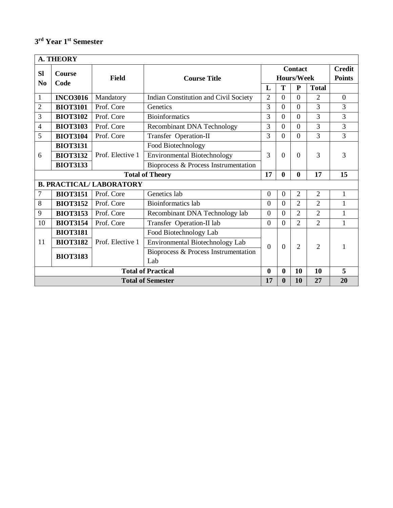## **3 rd Year 1st Semester**

|                                                                            | <b>A. THEORY</b>                                             |                                 |                                              |                |                |                              |                |                                |  |
|----------------------------------------------------------------------------|--------------------------------------------------------------|---------------------------------|----------------------------------------------|----------------|----------------|------------------------------|----------------|--------------------------------|--|
| <b>SI</b>                                                                  | <b>Course</b>                                                | <b>Field</b>                    | <b>Course Title</b>                          |                |                | <b>Contact</b><br>Hours/Week |                | <b>Credit</b><br><b>Points</b> |  |
| N <sub>0</sub>                                                             | Code                                                         |                                 |                                              | L              | T              | ${\bf P}$                    | <b>Total</b>   |                                |  |
| $\mathbf{1}$                                                               | <b>INCO3016</b>                                              | Mandatory                       | <b>Indian Constitution and Civil Society</b> | $\overline{2}$ | $\Omega$       | $\Omega$                     | $\overline{2}$ | $\overline{0}$                 |  |
| 2                                                                          | <b>BIOT3101</b>                                              | Prof. Core                      | Genetics                                     | 3              | $\overline{0}$ | $\Omega$                     | 3              | 3                              |  |
| 3                                                                          | <b>BIOT3102</b>                                              | Prof. Core                      | <b>Bioinformatics</b>                        | 3              | $\theta$       | $\Omega$                     | 3              | 3                              |  |
| 4                                                                          | <b>BIOT3103</b>                                              | Prof. Core                      | <b>Recombinant DNA Technology</b>            | 3              | $\overline{0}$ | $\Omega$                     | 3              | 3                              |  |
| 5                                                                          | <b>BIOT3104</b>                                              | Prof. Core                      | Transfer Operation-II                        | 3              | $\overline{0}$ | $\Omega$                     | 3              | $\overline{3}$                 |  |
|                                                                            | <b>BIOT3131</b>                                              |                                 | Food Biotechnology                           |                |                |                              |                |                                |  |
| 6                                                                          | <b>BIOT3132</b>                                              | Prof. Elective 1                | <b>Environmental Biotechnology</b>           | 3              | $\Omega$       | $\Omega$                     | 3              | 3                              |  |
|                                                                            | <b>BIOT3133</b>                                              |                                 | Bioprocess & Process Instrumentation         |                |                |                              |                |                                |  |
|                                                                            |                                                              |                                 | <b>Total of Theory</b>                       | 17             | $\mathbf{0}$   | $\mathbf{0}$                 | 17             | 15                             |  |
|                                                                            |                                                              | <b>B. PRACTICAL/ LABORATORY</b> |                                              |                |                |                              |                |                                |  |
| 7                                                                          | <b>BIOT3151</b>                                              | Prof. Core                      | Genetics lab                                 | $\overline{0}$ | $\overline{0}$ | $\overline{2}$               | $\overline{2}$ | $\mathbf{1}$                   |  |
| 8                                                                          | <b>BIOT3152</b>                                              | Prof. Core                      | <b>Bioinformatics</b> lab                    | $\theta$       | $\overline{0}$ | $\overline{2}$               | $\overline{2}$ | 1                              |  |
| 9                                                                          | <b>BIOT3153</b>                                              | Prof. Core                      | Recombinant DNA Technology lab               | $\theta$       | $\overline{0}$ | $\overline{2}$               | $\overline{2}$ | 1                              |  |
| 10                                                                         | <b>BIOT3154</b>                                              | Prof. Core                      | Transfer Operation-II lab                    | $\overline{0}$ | $\Omega$       | $\overline{2}$               | $\overline{2}$ | 1                              |  |
|                                                                            | <b>BIOT3181</b>                                              |                                 | Food Biotechnology Lab                       |                |                |                              |                |                                |  |
| 11                                                                         | <b>BIOT3182</b>                                              | Prof. Elective 1                | Environmental Biotechnology Lab              | $\Omega$       | $\Omega$       | $\overline{2}$               | $\overline{2}$ | 1                              |  |
|                                                                            | <b>BIOT3183</b>                                              |                                 | Bioprocess & Process Instrumentation         |                |                |                              |                |                                |  |
|                                                                            |                                                              |                                 | Lab                                          |                |                |                              |                |                                |  |
| 5<br><b>Total of Practical</b><br>10<br>$\bf{0}$<br>$\boldsymbol{0}$<br>10 |                                                              |                                 |                                              |                |                |                              |                |                                |  |
|                                                                            | 20<br><b>Total of Semester</b><br>17<br>$\bf{0}$<br>10<br>27 |                                 |                                              |                |                |                              |                |                                |  |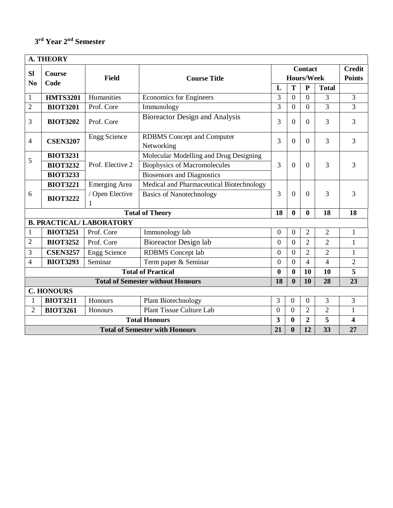## **3 rd Year 2nd Semester**

|                   | <b>A. THEORY</b> |                                 |                                          |                  |                                                                                                                                                                                    |                |                |                         |
|-------------------|------------------|---------------------------------|------------------------------------------|------------------|------------------------------------------------------------------------------------------------------------------------------------------------------------------------------------|----------------|----------------|-------------------------|
| <b>SI</b>         | <b>Course</b>    |                                 |                                          |                  |                                                                                                                                                                                    | <b>Contact</b> |                | <b>Credit</b>           |
| N <sub>0</sub>    | Code             | <b>Field</b>                    | <b>Course Title</b>                      |                  |                                                                                                                                                                                    |                |                | <b>Points</b>           |
|                   |                  |                                 |                                          | L                | T                                                                                                                                                                                  | $\mathbf P$    | <b>Total</b>   |                         |
| $\mathbf{1}$      | <b>HMTS3201</b>  | Humanities                      | <b>Economics</b> for Engineers           | 3                | $\overline{0}$                                                                                                                                                                     | $\theta$       | 3              | $\overline{3}$          |
| $\overline{2}$    | <b>BIOT3201</b>  | Prof. Core                      | Immunology                               | 3                | $\overline{0}$                                                                                                                                                                     | $\Omega$       | 3              | 3                       |
| 3                 | <b>BIOT3202</b>  | Prof. Core                      | <b>Bioreactor Design and Analysis</b>    | 3                | $\boldsymbol{0}$                                                                                                                                                                   | $\overline{0}$ | $\overline{3}$ | 3                       |
| $\overline{4}$    | <b>CSEN3207</b>  | <b>Engg Science</b>             | <b>RDBMS</b> Concept and Computer        |                  | <b>Hours/Week</b><br>3<br>$\overline{0}$<br>$\boldsymbol{0}$<br>$\overline{0}$<br>$\bf{0}$<br>$\boldsymbol{0}$<br>$\boldsymbol{0}$<br>$\overline{0}$<br>$\overline{0}$<br>$\bf{0}$ | $\overline{0}$ | $\overline{3}$ | 3                       |
|                   |                  |                                 | Networking                               |                  |                                                                                                                                                                                    |                |                |                         |
| 5                 | <b>BIOT3231</b>  |                                 | Molecular Modelling and Drug Designing   |                  |                                                                                                                                                                                    |                |                |                         |
|                   | <b>BIOT3232</b>  | Prof. Elective 2                | <b>Biophysics of Macromolecules</b>      | 3                |                                                                                                                                                                                    | $\overline{0}$ | $\overline{3}$ | 3                       |
|                   | <b>BIOT3233</b>  |                                 | <b>Biosensors and Diagnostics</b>        |                  |                                                                                                                                                                                    |                |                |                         |
|                   | <b>BIOT3221</b>  | <b>Emerging Area</b>            | Medical and Pharmaceutical Biotechnology |                  |                                                                                                                                                                                    |                |                |                         |
| 6                 | <b>BIOT3222</b>  | / Open Elective<br>1            | <b>Basics of Nanotechnology</b>          | 3                |                                                                                                                                                                                    | $\overline{0}$ | $\overline{3}$ | 3                       |
|                   |                  |                                 | <b>Total of Theory</b>                   | 18               |                                                                                                                                                                                    | $\bf{0}$       | 18             | 18                      |
|                   |                  | <b>B. PRACTICAL/ LABORATORY</b> |                                          |                  |                                                                                                                                                                                    |                |                |                         |
| $\mathbf{1}$      | <b>BIOT3251</b>  | Prof. Core                      | Immunology lab                           | $\boldsymbol{0}$ |                                                                                                                                                                                    | 2              | $\overline{2}$ | 1                       |
| $\overline{2}$    | <b>BIOT3252</b>  | Prof. Core                      | <b>Bioreactor Design lab</b>             | $\boldsymbol{0}$ |                                                                                                                                                                                    | $\overline{2}$ | $\mathfrak{2}$ | $\mathbf{1}$            |
| 3                 | <b>CSEN3257</b>  | <b>Engg Science</b>             | <b>RDBMS</b> Concept lab                 | $\overline{0}$   |                                                                                                                                                                                    | $\overline{2}$ | $\overline{2}$ | $\mathbf{1}$            |
| 4                 | <b>BIOT3293</b>  | Seminar                         | Term paper & Seminar                     | $\overline{0}$   |                                                                                                                                                                                    | 4              | $\overline{4}$ | $\overline{2}$          |
|                   |                  |                                 | <b>Total of Practical</b>                | $\bf{0}$         |                                                                                                                                                                                    | 10             | 10             | 5                       |
|                   |                  |                                 | <b>Total of Semester without Honours</b> | 18               | $\bf{0}$                                                                                                                                                                           | 10             | 28             | 23                      |
| <b>C. HONOURS</b> |                  |                                 |                                          |                  |                                                                                                                                                                                    |                |                |                         |
| $\mathbf{1}$      | <b>BIOT3211</b>  | Honours                         | <b>Plant Biotechnology</b>               | 3                | $\mathbf{0}$                                                                                                                                                                       | $\overline{0}$ | 3              | 3                       |
| 2                 | <b>BIOT3261</b>  | Honours                         | Plant Tissue Culture Lab                 | $\mathbf{0}$     | $\boldsymbol{0}$                                                                                                                                                                   | $\overline{2}$ | $\overline{2}$ | $\mathbf{1}$            |
|                   |                  |                                 | <b>Total Honours</b>                     | 3                | $\bf{0}$                                                                                                                                                                           | $\overline{2}$ | 5              | $\overline{\mathbf{4}}$ |
|                   |                  |                                 | <b>Total of Semester with Honours</b>    | 21               | $\bf{0}$                                                                                                                                                                           | 12             | 33             | 27                      |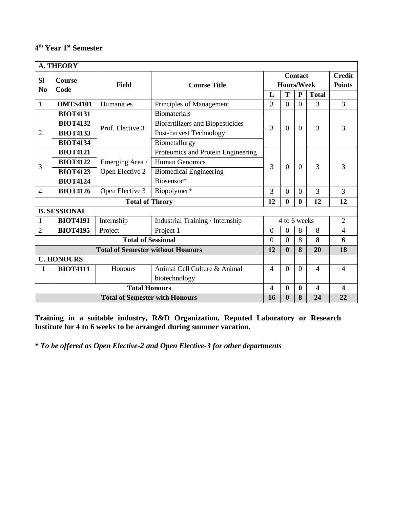#### **4 th Year 1st Semester**

|                                                                                                    | <b>A. THEORY</b>    |                                          |                                    |                |                   |                |                |                |
|----------------------------------------------------------------------------------------------------|---------------------|------------------------------------------|------------------------------------|----------------|-------------------|----------------|----------------|----------------|
| <b>Sl</b>                                                                                          | <b>Course</b>       |                                          |                                    |                |                   | <b>Contact</b> |                | <b>Credit</b>  |
| N <sub>0</sub>                                                                                     | Code                | Field                                    | <b>Course Title</b>                |                | <b>Hours/Week</b> |                |                | <b>Points</b>  |
|                                                                                                    |                     |                                          |                                    | L              | T                 | $\mathbf{P}$   | <b>Total</b>   |                |
| $\mathbf{1}$                                                                                       | <b>HMTS4101</b>     | Humanities                               | Principles of Management           | 3              | $\overline{0}$    | $\Omega$       | 3              | 3              |
|                                                                                                    | <b>BIOT4131</b>     |                                          | <b>Biomaterials</b>                |                |                   |                |                |                |
|                                                                                                    | <b>BIOT4132</b>     | Prof. Elective 3                         | Biofertilizers and Biopesticides   | 3              | $\theta$          | $\Omega$       | 3              | 3              |
| $\overline{2}$                                                                                     | <b>BIOT4133</b>     |                                          | Post-harvest Technology            |                |                   |                |                |                |
|                                                                                                    | <b>BIOT4134</b>     |                                          | Biometallurgy                      |                |                   |                |                |                |
|                                                                                                    | <b>BIOT4121</b>     |                                          | Proteomics and Protein Engineering |                |                   |                |                |                |
| 3                                                                                                  | <b>BIOT4122</b>     | Emerging Area /                          | <b>Human Genomics</b>              | 3              | $\overline{0}$    | $\Omega$       | 3              | 3              |
|                                                                                                    | <b>BIOT4123</b>     | Open Elective 2                          | <b>Biomedical Engineering</b>      |                |                   |                |                |                |
|                                                                                                    | <b>BIOT4124</b>     |                                          | Biosensor*                         |                |                   |                |                |                |
| $\overline{4}$                                                                                     | <b>BIOT4126</b>     | Open Elective 3                          | Biopolymer*                        | $\overline{3}$ | $\overline{0}$    | $\Omega$       | 3              | $\overline{3}$ |
|                                                                                                    |                     | <b>Total of Theory</b>                   |                                    | 12             | $\boldsymbol{0}$  | $\mathbf{0}$   | 12             | 12             |
|                                                                                                    | <b>B. SESSIONAL</b> |                                          |                                    |                |                   |                |                |                |
| 1                                                                                                  | <b>BIOT4191</b>     | Internship                               | Industrial Training / Internship   |                | 4 to 6 weeks      |                |                | $\overline{2}$ |
| 2                                                                                                  | <b>BIOT4195</b>     | Project                                  | Project 1                          | $\theta$       | $\overline{0}$    | 8              | 8              | $\overline{4}$ |
|                                                                                                    |                     | <b>Total of Sessional</b>                |                                    | $\overline{0}$ | $\overline{0}$    | 8              | 8              | 6              |
|                                                                                                    |                     | <b>Total of Semester without Honours</b> |                                    | 12             | $\boldsymbol{0}$  | 8              | 20             | 18             |
|                                                                                                    | <b>C. HONOURS</b>   |                                          |                                    |                |                   |                |                |                |
| 1                                                                                                  | <b>BIOT4111</b>     | Honours                                  | Animal Cell Culture & Animal       | $\overline{4}$ | $\theta$          | $\Omega$       | $\overline{4}$ | $\overline{4}$ |
|                                                                                                    |                     |                                          | biotechnology                      |                |                   |                |                |                |
| <b>Total Honours</b><br>$\bf{0}$<br>$\overline{\mathbf{4}}$<br>$\overline{\mathbf{4}}$<br>$\bf{0}$ |                     |                                          |                                    |                |                   | 4              |                |                |
| $\boldsymbol{0}$<br>8<br>24<br>22<br>16<br><b>Total of Semester with Honours</b>                   |                     |                                          |                                    |                |                   |                |                |                |

**Training in a suitable industry, R&D Organization, Reputed Laboratory or Research Institute for 4 to 6 weeks to be arranged during summer vacation.**

*\* To be offered as Open Elective-2 and Open Elective-3 for other departments*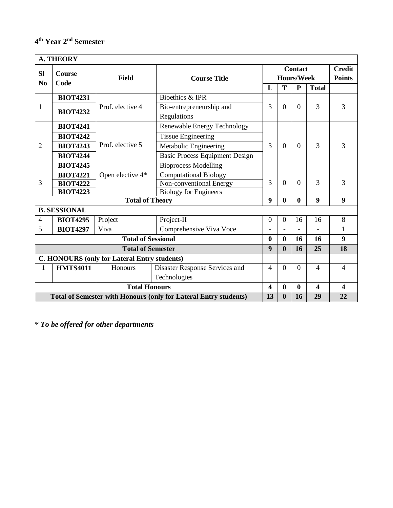## **4 th Year 2nd Semester**

|                                                                                                       | <b>A. THEORY</b>                                    |                           |                                       |                  |                   |                |                         |                  |  |  |  |
|-------------------------------------------------------------------------------------------------------|-----------------------------------------------------|---------------------------|---------------------------------------|------------------|-------------------|----------------|-------------------------|------------------|--|--|--|
| <b>Sl</b>                                                                                             | <b>Course</b>                                       |                           |                                       |                  |                   | <b>Contact</b> |                         | <b>Credit</b>    |  |  |  |
| N <sub>0</sub>                                                                                        | Code                                                | <b>Field</b>              | <b>Course Title</b>                   |                  | <b>Hours/Week</b> |                |                         | <b>Points</b>    |  |  |  |
|                                                                                                       |                                                     |                           |                                       | L                | T                 | $\mathbf{P}$   | <b>Total</b>            |                  |  |  |  |
|                                                                                                       | <b>BIOT4231</b>                                     |                           | Bioethics & IPR                       |                  |                   |                |                         |                  |  |  |  |
| 1                                                                                                     | <b>BIOT4232</b>                                     | Prof. elective 4          | Bio-entrepreneurship and              | 3                | $\theta$          | $\Omega$       | 3                       | 3                |  |  |  |
|                                                                                                       |                                                     |                           | Regulations                           |                  |                   |                |                         |                  |  |  |  |
|                                                                                                       | <b>BIOT4241</b>                                     |                           | Renewable Energy Technology           |                  |                   |                |                         |                  |  |  |  |
|                                                                                                       | <b>BIOT4242</b>                                     |                           | <b>Tissue Engineering</b>             |                  |                   |                |                         |                  |  |  |  |
| $\overline{2}$                                                                                        | <b>BIOT4243</b>                                     | Prof. elective 5          | Metabolic Engineering                 | 3                | $\overline{0}$    | $\overline{0}$ | 3                       | 3                |  |  |  |
|                                                                                                       | <b>BIOT4244</b>                                     |                           | <b>Basic Process Equipment Design</b> |                  |                   |                |                         |                  |  |  |  |
|                                                                                                       | <b>BIOT4245</b>                                     |                           | <b>Bioprocess Modelling</b>           |                  |                   |                |                         |                  |  |  |  |
|                                                                                                       | <b>BIOT4221</b>                                     | Open elective 4*          | <b>Computational Biology</b>          |                  |                   |                |                         |                  |  |  |  |
| 3                                                                                                     | <b>BIOT4222</b>                                     |                           | Non-conventional Energy               | 3                | $\theta$          | $\Omega$       | 3                       | 3                |  |  |  |
|                                                                                                       | <b>BIOT4223</b>                                     |                           | <b>Biology for Engineers</b>          |                  |                   |                |                         |                  |  |  |  |
|                                                                                                       |                                                     | <b>Total of Theory</b>    |                                       | 9                | $\mathbf{0}$      | 0              | 9                       | 9                |  |  |  |
|                                                                                                       | <b>B. SESSIONAL</b>                                 |                           |                                       |                  |                   |                |                         |                  |  |  |  |
| 4                                                                                                     | <b>BIOT4295</b>                                     | Project                   | Project-II                            | $\boldsymbol{0}$ | $\overline{0}$    | 16             | 16                      | 8                |  |  |  |
| 5                                                                                                     | <b>BIOT4297</b>                                     | Viva                      | Comprehensive Viva Voce               |                  |                   |                |                         | 1                |  |  |  |
|                                                                                                       |                                                     | <b>Total of Sessional</b> |                                       | $\bf{0}$         | $\mathbf{0}$      | 16             | 16                      | $\boldsymbol{9}$ |  |  |  |
|                                                                                                       |                                                     | <b>Total of Semester</b>  |                                       | 9                | $\mathbf{0}$      | 16             | 25                      | 18               |  |  |  |
|                                                                                                       | <b>C. HONOURS (only for Lateral Entry students)</b> |                           |                                       |                  |                   |                |                         |                  |  |  |  |
| 1                                                                                                     | <b>HMTS4011</b>                                     | Honours                   | Disaster Response Services and        | $\overline{4}$   | $\theta$          | $\Omega$       | $\overline{4}$          | $\overline{4}$   |  |  |  |
|                                                                                                       |                                                     |                           | Technologies                          |                  |                   |                |                         |                  |  |  |  |
| <b>Total Honours</b><br>$\bf{0}$<br>$\overline{\mathbf{4}}$<br>$\overline{\mathbf{4}}$<br>$\bf{0}$    |                                                     |                           |                                       |                  |                   |                | $\overline{\mathbf{4}}$ |                  |  |  |  |
| 13<br>$\bf{0}$<br>16<br>29<br><b>Total of Semester with Honours (only for Lateral Entry students)</b> |                                                     |                           |                                       |                  |                   |                |                         | 22               |  |  |  |

*\* To be offered for other departments*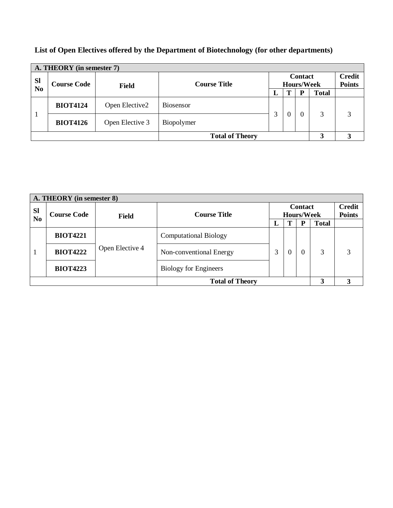|                             | A. THEORY (in semester 7) |                               |                     |                                     |   |   |              |                                |  |  |  |
|-----------------------------|---------------------------|-------------------------------|---------------------|-------------------------------------|---|---|--------------|--------------------------------|--|--|--|
| <b>SI</b><br>N <sub>0</sub> | <b>Course Code</b>        | <b>Field</b>                  | <b>Course Title</b> | <b>Contact</b><br><b>Hours/Week</b> |   |   |              | <b>Credit</b><br><b>Points</b> |  |  |  |
|                             |                           |                               |                     | L                                   | Т | P | <b>Total</b> |                                |  |  |  |
|                             | <b>BIOT4124</b>           | Open Elective2                | Biosensor           |                                     |   |   |              |                                |  |  |  |
|                             | <b>BIOT4126</b>           | Open Elective 3<br>Biopolymer |                     |                                     |   | 0 | 3            | 3                              |  |  |  |
| <b>Total of Theory</b>      |                           |                               |                     |                                     |   | 3 | 3            |                                |  |  |  |

## **List of Open Electives offered by the Department of Biotechnology (for other departments)**

|                             | A. THEORY (in semester 8) |                 |                                                            |    |          |          |              |                                |  |  |  |
|-----------------------------|---------------------------|-----------------|------------------------------------------------------------|----|----------|----------|--------------|--------------------------------|--|--|--|
| <b>SI</b><br>N <sub>0</sub> | <b>Course Code</b>        | <b>Field</b>    | <b>Contact</b><br><b>Course Title</b><br><b>Hours/Week</b> |    |          |          |              | <b>Credit</b><br><b>Points</b> |  |  |  |
|                             |                           |                 |                                                            | п. |          | D        | <b>Total</b> |                                |  |  |  |
|                             | <b>BIOT4221</b>           |                 | <b>Computational Biology</b>                               |    |          |          |              |                                |  |  |  |
|                             | <b>BIOT4222</b>           | Open Elective 4 | Non-conventional Energy                                    | 3  | $\theta$ | $\Omega$ | 3            | 3                              |  |  |  |
|                             | <b>BIOT4223</b>           |                 | <b>Biology for Engineers</b>                               |    |          |          |              |                                |  |  |  |
|                             |                           |                 | <b>Total of Theory</b>                                     |    |          |          | 3            | 3                              |  |  |  |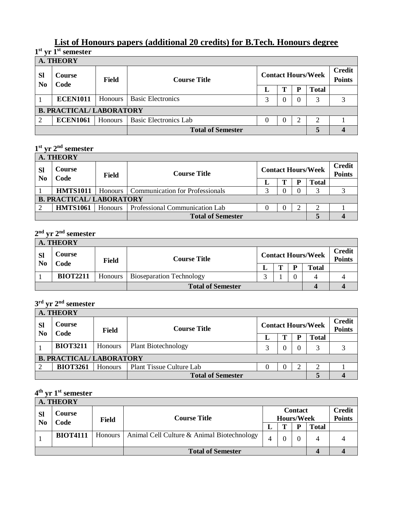## **List of Honours papers (additional 20 credits) for B.Tech. Honours degree 1 st yr 1st semester**

|                             | <b>A. THEORY</b>                |         |                              |          |   |                           |              |                                |  |  |  |
|-----------------------------|---------------------------------|---------|------------------------------|----------|---|---------------------------|--------------|--------------------------------|--|--|--|
| <b>SI</b><br>N <sub>0</sub> | <b>Course</b><br>Code           | Field   | <b>Course Title</b>          |          |   | <b>Contact Hours/Week</b> |              | <b>Credit</b><br><b>Points</b> |  |  |  |
|                             |                                 |         |                              |          | m | D                         | <b>Total</b> |                                |  |  |  |
|                             | <b>ECEN1011</b>                 | Honours | <b>Basic Electronics</b>     | 3        |   |                           | 3            |                                |  |  |  |
|                             | <b>B. PRACTICAL/ LABORATORY</b> |         |                              |          |   |                           |              |                                |  |  |  |
| 2                           | <b>ECEN1061</b>                 | Honours | <b>Basic Electronics Lab</b> | $\theta$ |   | ∍                         | 2            |                                |  |  |  |
|                             |                                 |         | <b>Total of Semester</b>     |          |   |                           | 5            |                                |  |  |  |

#### **1 st yr 2nd semester**

|                                 | <b>A. THEORY</b>         |         |                                           |   |                           |  |                                |  |  |  |  |
|---------------------------------|--------------------------|---------|-------------------------------------------|---|---------------------------|--|--------------------------------|--|--|--|--|
| <b>SI</b><br>N <sub>0</sub>     | Course<br>Code           | Field   | <b>Course Title</b>                       |   | <b>Contact Hours/Week</b> |  | <b>Credit</b><br><b>Points</b> |  |  |  |  |
|                                 |                          |         |                                           |   |                           |  | <b>Total</b>                   |  |  |  |  |
|                                 | <b>HMTS1011</b>          |         | Honours   Communication for Professionals | ⌒ |                           |  |                                |  |  |  |  |
| <b>B. PRACTICAL/ LABORATORY</b> |                          |         |                                           |   |                           |  |                                |  |  |  |  |
|                                 | <b>HMTS1061</b>          | Honours | Professional Communication Lab            |   |                           |  |                                |  |  |  |  |
|                                 | <b>Total of Semester</b> |         |                                           |   |                           |  |                                |  |  |  |  |

#### **2 nd yr 2nd semester**

|                             | <b>A. THEORY</b>         |         |                                 |  |                           |   |       |                                |  |  |
|-----------------------------|--------------------------|---------|---------------------------------|--|---------------------------|---|-------|--------------------------------|--|--|
| <b>SI</b><br>N <sub>0</sub> | Course                   | Field   | <b>Course Title</b>             |  | <b>Contact Hours/Week</b> |   |       | <b>Credit</b><br><b>Points</b> |  |  |
|                             | Code                     |         |                                 |  |                           | D | Total |                                |  |  |
|                             | <b>BIOT2211</b>          | Honours | <b>Bioseparation Technology</b> |  |                           |   |       |                                |  |  |
|                             | <b>Total of Semester</b> |         |                                 |  |                           |   |       |                                |  |  |

#### **3 rd yr 2nd semester**

|                             | <b>A. THEORY</b>                |         |                                 |  |                           |  |              |  |  |  |
|-----------------------------|---------------------------------|---------|---------------------------------|--|---------------------------|--|--------------|--|--|--|
| <b>Sl</b><br>N <sub>0</sub> | <b>Course</b><br>Field          |         | <b>Course Title</b>             |  | <b>Contact Hours/Week</b> |  |              |  |  |  |
|                             | Code                            |         |                                 |  | m                         |  | <b>Total</b> |  |  |  |
|                             | <b>BIOT3211</b>                 | Honours | <b>Plant Biotechnology</b>      |  | $\theta$                  |  |              |  |  |  |
|                             | <b>B. PRACTICAL/ LABORATORY</b> |         |                                 |  |                           |  |              |  |  |  |
|                             | <b>BIOT3261</b>                 | Honours | <b>Plant Tissue Culture Lab</b> |  |                           |  |              |  |  |  |
|                             |                                 |         | <b>Total of Semester</b>        |  |                           |  |              |  |  |  |

#### **4 th yr 1st semester**

|                             | <b>A. THEORY</b>         |                      |                                                 |   |                                     |  |              |                                |  |  |
|-----------------------------|--------------------------|----------------------|-------------------------------------------------|---|-------------------------------------|--|--------------|--------------------------------|--|--|
| <b>SI</b><br>N <sub>0</sub> | Course<br>Code           | <b>Field</b>         | <b>Course Title</b>                             |   | <b>Contact</b><br><b>Hours/Week</b> |  |              | <b>Credit</b><br><b>Points</b> |  |  |
|                             |                          |                      |                                                 | ┚ |                                     |  | <b>Total</b> |                                |  |  |
|                             | <b>BIOT4111</b>          | Honours <sup>1</sup> | Animal Cell Culture & Animal Biotechnology<br>4 |   |                                     |  |              |                                |  |  |
|                             | <b>Total of Semester</b> |                      |                                                 |   |                                     |  |              |                                |  |  |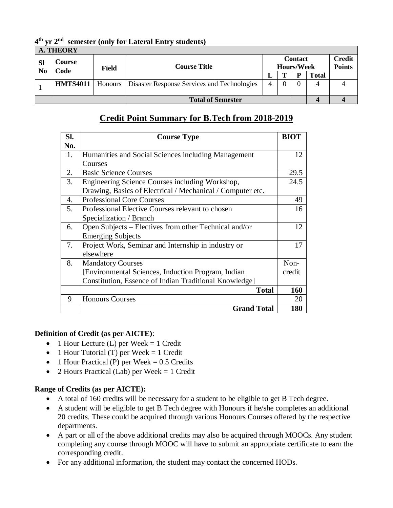|                                               | <b>A. THEORY</b> |       |                                                            |  |                                     |   |       |                                |  |  |
|-----------------------------------------------|------------------|-------|------------------------------------------------------------|--|-------------------------------------|---|-------|--------------------------------|--|--|
| Course<br><b>SI</b><br>N <sub>0</sub><br>Code |                  | Field | <b>Course Title</b>                                        |  | <b>Contact</b><br><b>Hours/Week</b> |   |       | <b>Credit</b><br><b>Points</b> |  |  |
|                                               |                  |       |                                                            |  | m                                   | D | Total |                                |  |  |
|                                               | <b>HMTS4011</b>  |       | Honours   Disaster Response Services and Technologies<br>4 |  | 4                                   |   |       |                                |  |  |
| <b>Total of Semester</b>                      |                  |       |                                                            |  |                                     |   |       |                                |  |  |

**4 th yr 2nd semester (only for Lateral Entry students)**

## **Credit Point Summary for B.Tech from 2018-2019**

| SI. | <b>Course Type</b>                                         | <b>BIOT</b> |
|-----|------------------------------------------------------------|-------------|
| No. |                                                            |             |
| 1.  | Humanities and Social Sciences including Management        | 12          |
|     | Courses                                                    |             |
| 2.  | <b>Basic Science Courses</b>                               | 29.5        |
| 3.  | Engineering Science Courses including Workshop,            | 24.5        |
|     | Drawing, Basics of Electrical / Mechanical / Computer etc. |             |
| 4.  | <b>Professional Core Courses</b>                           | 49          |
| 5.  | Professional Elective Courses relevant to chosen           | 16          |
|     | Specialization / Branch                                    |             |
| 6.  | Open Subjects – Electives from other Technical and/or      | 12          |
|     | <b>Emerging Subjects</b>                                   |             |
| 7.  | Project Work, Seminar and Internship in industry or        | 17          |
|     | elsewhere                                                  |             |
| 8.  | <b>Mandatory Courses</b>                                   | Non-        |
|     | [Environmental Sciences, Induction Program, Indian         | credit      |
|     | Constitution, Essence of Indian Traditional Knowledge]     |             |
|     | <b>Total</b>                                               | <b>160</b>  |
| 9   | <b>Honours Courses</b>                                     | 20          |
|     | <b>Grand Total</b>                                         | 180         |

## **Definition of Credit (as per AICTE)**:

- $\bullet$  1 Hour Lecture (L) per Week = 1 Credit
- 1 Hour Tutorial (T) per Week  $= 1$  Credit
- 1 Hour Practical (P) per Week  $= 0.5$  Credits
- 2 Hours Practical (Lab) per Week  $= 1$  Credit

## **Range of Credits (as per AICTE):**

- A total of 160 credits will be necessary for a student to be eligible to get B Tech degree.
- A student will be eligible to get B Tech degree with Honours if he/she completes an additional 20 credits. These could be acquired through various Honours Courses offered by the respective departments.
- A part or all of the above additional credits may also be acquired through MOOCs. Any student completing any course through MOOC will have to submit an appropriate certificate to earn the corresponding credit.
- For any additional information, the student may contact the concerned HODs.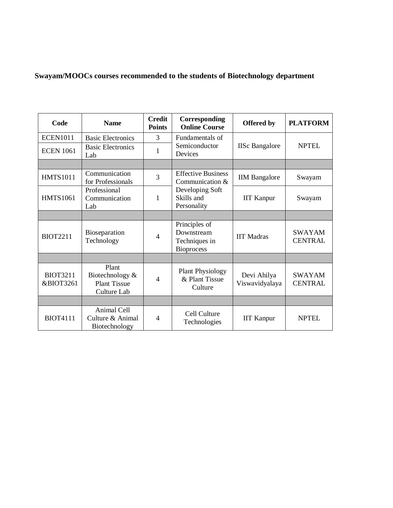## **Swayam/MOOCs courses recommended to the students of Biotechnology department**

| Code                                    | <b>Name</b>                                                    | <b>Credit</b><br><b>Points</b> | Corresponding<br><b>Online Course</b>                             | <b>Offered by</b>             | <b>PLATFORM</b>                 |
|-----------------------------------------|----------------------------------------------------------------|--------------------------------|-------------------------------------------------------------------|-------------------------------|---------------------------------|
| <b>ECEN1011</b>                         | <b>Basic Electronics</b>                                       | 3                              | Fundamentals of                                                   |                               |                                 |
| <b>ECEN 1061</b>                        | <b>Basic Electronics</b><br>Lab                                | 1                              | Semiconductor<br>Devices                                          | <b>IISc Bangalore</b>         | <b>NPTEL</b>                    |
|                                         |                                                                |                                |                                                                   |                               |                                 |
| <b>HMTS1011</b>                         | Communication<br>for Professionals                             | 3                              | <b>Effective Business</b><br>Communication $&$                    | <b>IIM</b> Bangalore          | Swayam                          |
| <b>HMTS1061</b>                         | Professional<br>Communication<br>Lab                           | 1                              | Developing Soft<br>Skills and<br>Personality                      | <b>IIT Kanpur</b>             | Swayam                          |
|                                         |                                                                |                                |                                                                   |                               |                                 |
| <b>BIOT2211</b>                         | Bioseparation<br>Technology                                    | $\overline{4}$                 | Principles of<br>Downstream<br>Techniques in<br><b>Bioprocess</b> | <b>IIT Madras</b>             | <b>SWAYAM</b><br><b>CENTRAL</b> |
|                                         |                                                                |                                |                                                                   |                               |                                 |
| <b>BIOT3211</b><br><b>&amp;BIOT3261</b> | Plant<br>Biotechnology &<br><b>Plant Tissue</b><br>Culture Lab | $\overline{4}$                 | <b>Plant Physiology</b><br>& Plant Tissue<br>Culture              | Devi Ahilya<br>Viswavidyalaya | <b>SWAYAM</b><br><b>CENTRAL</b> |
|                                         |                                                                |                                |                                                                   |                               |                                 |
| <b>BIOT4111</b>                         | Animal Cell<br>Culture & Animal<br>Biotechnology               | $\overline{4}$                 | Cell Culture<br>Technologies                                      | <b>IIT Kanpur</b>             | <b>NPTEL</b>                    |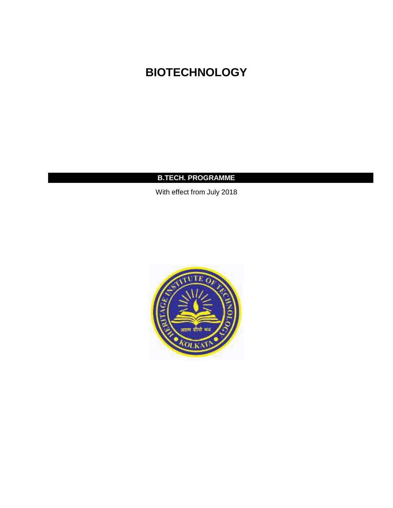# **BIOTECHNOLOGY**

## **B.TECH. PROGRAMME**

With effect from July 2018

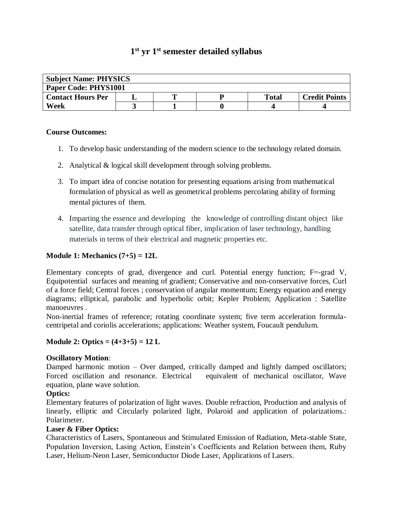## **1 st yr 1 st semester detailed syllabus**

| <b>Subject Name: PHYSICS</b> |  |  |  |       |                      |  |  |
|------------------------------|--|--|--|-------|----------------------|--|--|
| Paper Code: PHYS1001         |  |  |  |       |                      |  |  |
| <b>Contact Hours Per</b>     |  |  |  | Total | <b>Credit Points</b> |  |  |
| Week                         |  |  |  |       |                      |  |  |

#### **Course Outcomes:**

- 1. To develop basic understanding of the modern science to the technology related domain.
- 2. Analytical & logical skill development through solving problems.
- 3. To impart idea of concise notation for presenting equations arising from mathematical formulation of physical as well as geometrical problems percolating ability of forming mental pictures of them.
- 4. Imparting the essence and developing the knowledge of controlling distant object like satellite, data transfer through optical fiber, implication of laser technology, handling materials in terms of their electrical and magnetic properties etc.

## **Module 1: Mechanics (7+5) = 12L**

Elementary concepts of grad, divergence and curl. Potential energy function; F=-grad V, Equipotential surfaces and meaning of gradient; Conservative and non-conservative forces, Curl of a force field; Central forces ; conservation of angular momentum; Energy equation and energy diagrams; elliptical, parabolic and hyperbolic orbit; Kepler Problem; Application : Satellite manoeuvres .

Non-inertial frames of reference; rotating coordinate system; five term acceleration formulacentripetal and coriolis accelerations; applications: Weather system, Foucault pendulum.

#### **Module 2: Optics = (4+3+5) = 12 L**

#### **Oscillatory Motion**:

Damped harmonic motion – Over damped, critically damped and lightly damped oscillators; Forced oscillation and resonance. Electrical equivalent of mechanical oscillator, Wave equation, plane wave solution.

#### **Optics:**

Elementary features of polarization of light waves. Double refraction, Production and analysis of linearly, elliptic and Circularly polarized light, Polaroid and application of polarizations.: Polarimeter.

#### **Laser & Fiber Optics:**

Characteristics of Lasers, Spontaneous and Stimulated Emission of Radiation, Meta-stable State, Population Inversion, Lasing Action, Einstein's Coefficients and Relation between them, Ruby Laser, Helium-Neon Laser, Semiconductor Diode Laser, Applications of Lasers.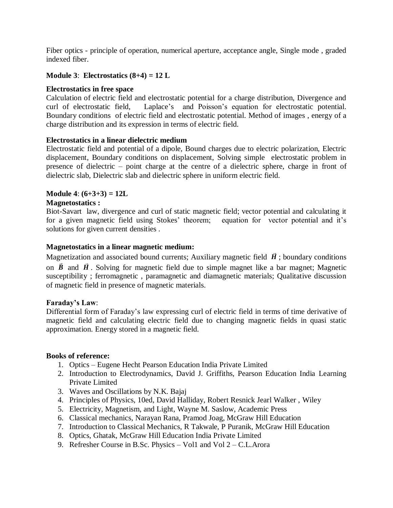Fiber optics - principle of operation, numerical aperture, acceptance angle, Single mode , graded indexed fiber.

## **Module 3**: **Electrostatics (8+4) = 12 L**

#### **Electrostatics in free space**

Calculation of electric field and electrostatic potential for a charge distribution, Divergence and curl of electrostatic field, Laplace's and Poisson's equation for electrostatic potential. Boundary conditions of electric field and electrostatic potential. Method of images , energy of a charge distribution and its expression in terms of electric field.

#### **Electrostatics in a linear dielectric medium**

Electrostatic field and potential of a dipole, Bound charges due to electric polarization, Electric displacement, Boundary conditions on displacement, Solving simple electrostatic problem in presence of dielectric – point charge at the centre of a dielectric sphere, charge in front of dielectric slab, Dielectric slab and dielectric sphere in uniform electric field.

#### **Module 4**: **(6+3+3) = 12L**

#### **Magnetostatics :**

Biot-Savart law, divergence and curl of static magnetic field; vector potential and calculating it for a given magnetic field using Stokes' theorem; equation for vector potential and it's solutions for given current densities .

#### **Magnetostatics in a linear magnetic medium:**

Magnetization and associated bound currents; Auxiliary magnetic field  $\vec{H}$ ; boundary conditions on  $\vec{B}$  and  $\vec{H}$ . Solving for magnetic field due to simple magnet like a bar magnet; Magnetic susceptibility ; ferromagnetic , paramagnetic and diamagnetic materials; Qualitative discussion of magnetic field in presence of magnetic materials.

#### **Faraday's Law**:

Differential form of Faraday's law expressing curl of electric field in terms of time derivative of magnetic field and calculating electric field due to changing magnetic fields in quasi static approximation. Energy stored in a magnetic field.

#### **Books of reference:**

- 1. Optics Eugene Hecht Pearson Education India Private Limited
- 2. Introduction to Electrodynamics, David J. Griffiths, Pearson Education India Learning Private Limited
- 3. Waves and Oscillations by N.K. Bajaj
- 4. Principles of Physics, 10ed, David Halliday, Robert Resnick Jearl Walker , Wiley
- 5. Electricity, Magnetism, and Light, Wayne M. Saslow, Academic Press
- 6. Classical mechanics, Narayan Rana, Pramod Joag, McGraw Hill Education
- 7. Introduction to Classical Mechanics, R Takwale, P Puranik, McGraw Hill Education
- 8. Optics, Ghatak, McGraw Hill Education India Private Limited
- 9. Refresher Course in B.Sc. Physics Vol1 and Vol 2 C.L.Arora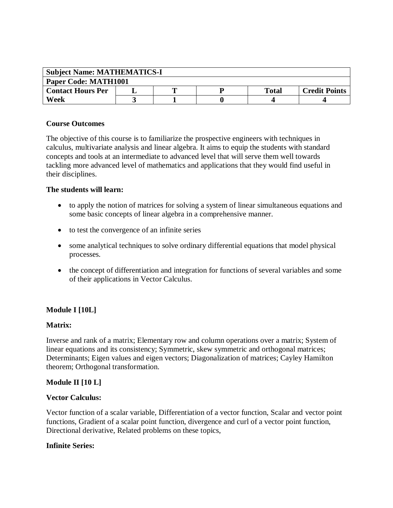| <b>Subject Name: MATHEMATICS-I</b> |  |   |  |              |                      |  |  |  |
|------------------------------------|--|---|--|--------------|----------------------|--|--|--|
| Paper Code: MATH1001               |  |   |  |              |                      |  |  |  |
| <b>Contact Hours Per</b>           |  | m |  | <b>Total</b> | <b>Credit Points</b> |  |  |  |
| Week                               |  |   |  |              |                      |  |  |  |

#### **Course Outcomes**

The objective of this course is to familiarize the prospective engineers with techniques in calculus, multivariate analysis and linear algebra. It aims to equip the students with standard concepts and tools at an intermediate to advanced level that will serve them well towards tackling more advanced level of mathematics and applications that they would find useful in their disciplines.

#### **The students will learn:**

- to apply the notion of matrices for solving a system of linear simultaneous equations and some basic concepts of linear algebra in a comprehensive manner.
- to test the convergence of an infinite series
- some analytical techniques to solve ordinary differential equations that model physical processes.
- the concept of differentiation and integration for functions of several variables and some of their applications in Vector Calculus.

## **Module I [10L]**

#### **Matrix:**

Inverse and rank of a matrix; Elementary row and column operations over a matrix; System of linear equations and its consistency; Symmetric, skew symmetric and orthogonal matrices; Determinants; Eigen values and eigen vectors; Diagonalization of matrices; Cayley Hamilton theorem; Orthogonal transformation.

## **Module II [10 L]**

#### **Vector Calculus:**

Vector function of a scalar variable, Differentiation of a vector function, Scalar and vector point functions, Gradient of a scalar point function, divergence and curl of a vector point function, Directional derivative, Related problems on these topics,

#### **Infinite Series:**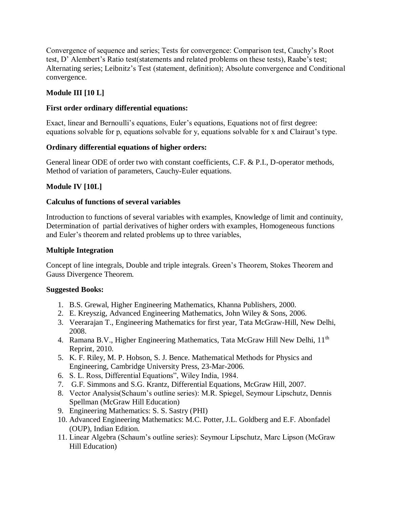Convergence of sequence and series; Tests for convergence: Comparison test, Cauchy's Root test, D' Alembert's Ratio test(statements and related problems on these tests), Raabe's test; Alternating series; Leibnitz's Test (statement, definition); Absolute convergence and Conditional convergence.

## **Module III [10 L]**

## **First order ordinary differential equations:**

Exact, linear and Bernoulli's equations, Euler's equations, Equations not of first degree: equations solvable for p, equations solvable for y, equations solvable for x and Clairaut's type.

#### **Ordinary differential equations of higher orders:**

General linear ODE of order two with constant coefficients, C.F. & P.I., D-operator methods, Method of variation of parameters, Cauchy-Euler equations.

## **Module IV [10L]**

#### **Calculus of functions of several variables**

Introduction to functions of several variables with examples, Knowledge of limit and continuity, Determination of partial derivatives of higher orders with examples, Homogeneous functions and Euler's theorem and related problems up to three variables,

#### **Multiple Integration**

Concept of line integrals, Double and triple integrals. Green's Theorem, Stokes Theorem and Gauss Divergence Theorem.

#### **Suggested Books:**

- 1. B.S. Grewal, Higher Engineering Mathematics, Khanna Publishers, 2000.
- 2. E. Kreyszig, Advanced Engineering Mathematics, John Wiley & Sons, 2006.
- 3. Veerarajan T., Engineering Mathematics for first year, Tata McGraw-Hill, New Delhi, 2008.
- 4. Ramana B.V., Higher Engineering Mathematics, Tata McGraw Hill New Delhi, 11<sup>th</sup> Reprint, 2010.
- 5. K. F. Riley, M. P. Hobson, S. J. Bence. Mathematical Methods for Physics and Engineering, Cambridge University Press, 23-Mar-2006.
- 6. S. L. Ross, Differential Equations", Wiley India, 1984.
- 7. G.F. Simmons and S.G. Krantz, Differential Equations, McGraw Hill, 2007.
- 8. Vector Analysis(Schaum's outline series): M.R. Spiegel, Seymour Lipschutz, Dennis Spellman (McGraw Hill Education)
- 9. Engineering Mathematics: S. S. Sastry (PHI)
- 10. Advanced Engineering Mathematics: M.C. Potter, J.L. Goldberg and E.F. Abonfadel (OUP), Indian Edition.
- 11. Linear Algebra (Schaum's outline series): Seymour Lipschutz, Marc Lipson (McGraw Hill Education)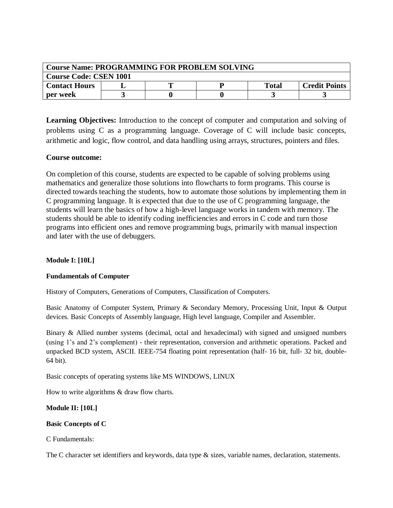| <b>Course Name: PROGRAMMING FOR PROBLEM SOLVING</b> |  |  |  |              |                      |  |  |  |
|-----------------------------------------------------|--|--|--|--------------|----------------------|--|--|--|
| <b>Course Code: CSEN 1001</b>                       |  |  |  |              |                      |  |  |  |
| <b>Contact Hours</b>                                |  |  |  | <b>Total</b> | <b>Credit Points</b> |  |  |  |
| per week                                            |  |  |  |              |                      |  |  |  |

**Learning Objectives:** Introduction to the concept of computer and computation and solving of problems using C as a programming language. Coverage of C will include basic concepts, arithmetic and logic, flow control, and data handling using arrays, structures, pointers and files.

#### **Course outcome:**

On completion of this course, students are expected to be capable of solving problems using mathematics and generalize those solutions into flowcharts to form programs. This course is directed towards teaching the students, how to automate those solutions by implementing them in C programming language. It is expected that due to the use of C programming language, the students will learn the basics of how a high-level language works in tandem with memory. The students should be able to identify coding inefficiencies and errors in C code and turn those programs into efficient ones and remove programming bugs, primarily with manual inspection and later with the use of debuggers.

#### **Module I: [10L]**

#### **Fundamentals of Computer**

History of Computers, Generations of Computers, Classification of Computers.

Basic Anatomy of Computer System, Primary & Secondary Memory, Processing Unit, Input & Output devices. Basic Concepts of Assembly language, High level language, Compiler and Assembler.

Binary & Allied number systems (decimal, octal and hexadecimal) with signed and unsigned numbers (using 1's and 2's complement) - their representation, conversion and arithmetic operations. Packed and unpacked BCD system, ASCII. IEEE-754 floating point representation (half- 16 bit, full- 32 bit, double-64 bit).

Basic concepts of operating systems like MS WINDOWS, LINUX

How to write algorithms & draw flow charts.

#### **Module II: [10L]**

#### **Basic Concepts of C**

C Fundamentals:

The C character set identifiers and keywords, data type & sizes, variable names, declaration, statements.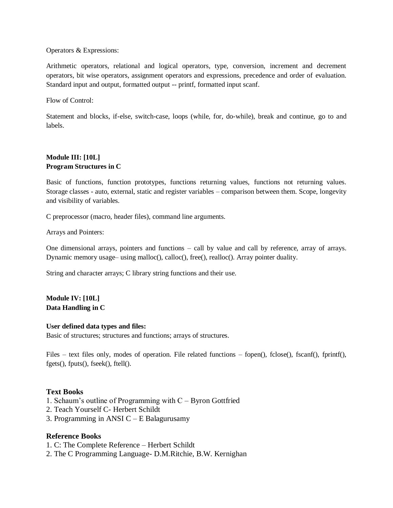#### Operators & Expressions:

Arithmetic operators, relational and logical operators, type, conversion, increment and decrement operators, bit wise operators, assignment operators and expressions, precedence and order of evaluation. Standard input and output, formatted output -- printf, formatted input scanf.

Flow of Control:

Statement and blocks, if-else, switch-case, loops (while, for, do-while), break and continue, go to and labels.

#### **Module III: [10L] Program Structures in C**

Basic of functions, function prototypes, functions returning values, functions not returning values. Storage classes - auto, external, static and register variables – comparison between them. Scope, longevity and visibility of variables.

C preprocessor (macro, header files), command line arguments.

Arrays and Pointers:

One dimensional arrays, pointers and functions – call by value and call by reference, array of arrays. Dynamic memory usage– using malloc(), calloc(), free(), realloc(). Array pointer duality.

String and character arrays; C library string functions and their use.

**Module IV: [10L] Data Handling in C**

#### **User defined data types and files:**

Basic of structures; structures and functions; arrays of structures.

Files – text files only, modes of operation. File related functions – fopen(), fclose(), fscanf(), fprintf(), fgets(), fputs(), fseek(), ftell().

#### **Text Books**

- 1. Schaum's outline of Programming with C Byron Gottfried
- 2. Teach Yourself C- Herbert Schildt
- 3. Programming in ANSI C E Balagurusamy

#### **Reference Books**

1. C: The Complete Reference – Herbert Schildt

2. The C Programming Language- D.M.Ritchie, B.W. Kernighan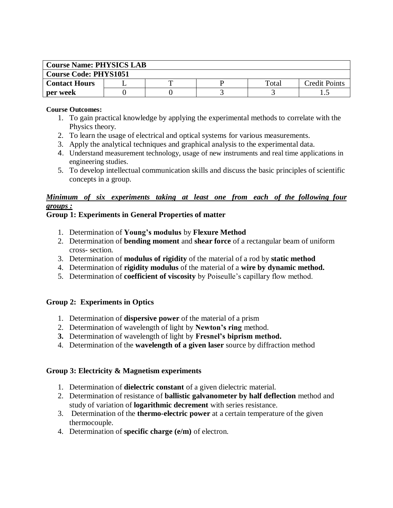| <b>Course Name: PHYSICS LAB</b> |  |  |  |       |                      |  |  |  |
|---------------------------------|--|--|--|-------|----------------------|--|--|--|
| <b>Course Code: PHYS1051</b>    |  |  |  |       |                      |  |  |  |
| <b>Contact Hours</b>            |  |  |  | Total | <b>Credit Points</b> |  |  |  |
| per week                        |  |  |  |       |                      |  |  |  |

#### **Course Outcomes:**

- 1. To gain practical knowledge by applying the experimental methods to correlate with the Physics theory.
- 2. To learn the usage of electrical and optical systems for various measurements.
- 3. Apply the analytical techniques and graphical analysis to the experimental data.
- 4. Understand measurement technology, usage of new instruments and real time applications in engineering studies.
- 5. To develop intellectual communication skills and discuss the basic principles of scientific concepts in a group.

## *Minimum of six experiments taking at least one from each of the following four groups :*

#### **Group 1: Experiments in General Properties of matter**

- 1. Determination of **Young's modulus** by **Flexure Method**
- 2. Determination of **bending moment** and **shear force** of a rectangular beam of uniform cross- section.
- 3. Determination of **modulus of rigidity** of the material of a rod by **static method**
- 4. Determination of **rigidity modulus** of the material of a **wire by dynamic method.**
- 5. Determination of **coefficient of viscosity** by Poiseulle's capillary flow method.

## **Group 2: Experiments in Optics**

- 1. Determination of **dispersive power** of the material of a prism
- 2. Determination of wavelength of light by **Newton's ring** method.
- **3.** Determination of wavelength of light by **Fresnel's biprism method.**
- 4. Determination of the **wavelength of a given laser** source by diffraction method

## **Group 3: Electricity & Magnetism experiments**

- 1. Determination of **dielectric constant** of a given dielectric material.
- 2. Determination of resistance of **ballistic galvanometer by half deflection** method and study of variation of **logarithmic decrement** with series resistance.
- 3. Determination of the **thermo-electric power** at a certain temperature of the given thermocouple.
- 4. Determination of **specific charge (e/m)** of electron.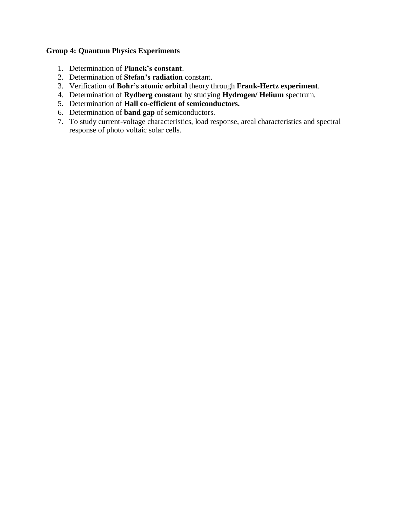## **Group 4: Quantum Physics Experiments**

- 1. Determination of **Planck's constant**.
- 2. Determination of **Stefan's radiation** constant.
- 3. Verification of **Bohr's atomic orbital** theory through **Frank-Hertz experiment**.
- 4. Determination of **Rydberg constant** by studying **Hydrogen/ Helium** spectrum.
- 5. Determination of **Hall co-efficient of semiconductors.**
- 6. Determination of **band gap** of semiconductors.
- 7. To study current-voltage characteristics, load response, areal characteristics and spectral response of photo voltaic solar cells.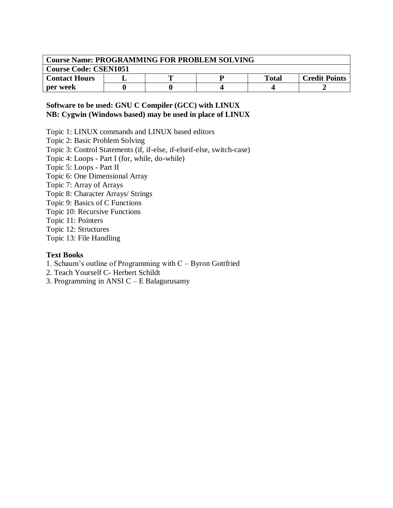| <b>Course Name: PROGRAMMING FOR PROBLEM SOLVING</b> |  |  |  |              |                      |  |  |  |
|-----------------------------------------------------|--|--|--|--------------|----------------------|--|--|--|
| <b>Course Code: CSEN1051</b>                        |  |  |  |              |                      |  |  |  |
| <b>Contact Hours</b>                                |  |  |  | <b>Total</b> | <b>Credit Points</b> |  |  |  |
| per week                                            |  |  |  |              |                      |  |  |  |

## **Software to be used: GNU C Compiler (GCC) with LINUX NB: Cygwin (Windows based) may be used in place of LINUX**

Topic 1: LINUX commands and LINUX based editors

Topic 2: Basic Problem Solving

Topic 3: Control Statements (if, if-else, if-elseif-else, switch-case)

Topic 4: Loops - Part I (for, while, do-while)

Topic 5: Loops - Part II

Topic 6: One Dimensional Array

Topic 7: Array of Arrays

Topic 8: Character Arrays/ Strings

Topic 9: Basics of C Functions

Topic 10: Recursive Functions

Topic 11: Pointers

Topic 12: Structures

Topic 13: File Handling

#### **Text Books**

1. Schaum's outline of Programming with C – Byron Gottfried

2. Teach Yourself C- Herbert Schildt

3. Programming in ANSI C – E Balagurusamy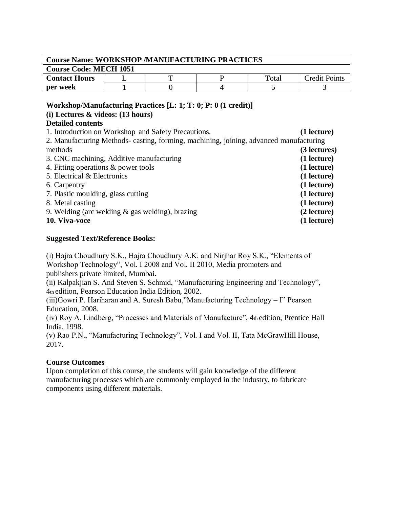| <b>Course Name: WORKSHOP /MANUFACTURING PRACTICES</b> |  |  |  |       |                      |  |  |
|-------------------------------------------------------|--|--|--|-------|----------------------|--|--|
| <b>Course Code: MECH 1051</b>                         |  |  |  |       |                      |  |  |
| <b>Contact Hours</b>                                  |  |  |  | Total | <b>Credit Points</b> |  |  |
| per week                                              |  |  |  |       |                      |  |  |

#### **Workshop/Manufacturing Practices [L: 1; T: 0; P: 0 (1 credit)]**

## **(i) Lectures & videos: (13 hours)**

## **Detailed contents**

1. Introduction on Workshop and Safety Precautions. **(1 lecture)** 2. Manufacturing Methods- casting, forming, machining, joining, advanced manufacturing methods **(3 lectures)** 3. CNC machining, Additive manufacturing **(1 lecture)** 4. Fitting operations & power tools **(1 lecture)** 5. Electrical & Electronics **(1 lecture)** 6. Carpentry **(1 lecture)** 7. Plastic moulding, glass cutting **(1 lecture)** 8. Metal casting **(1 lecture)** 9. Welding (arc welding & gas welding), brazing **(2 lecture) 10. Viva-voce (1 lecture)**

## **Suggested Text/Reference Books:**

(i) Hajra Choudhury S.K., Hajra Choudhury A.K. and Nirjhar Roy S.K., "Elements of Workshop Technology", Vol. I 2008 and Vol. II 2010, Media promoters and publishers private limited, Mumbai.

(ii) Kalpakjian S. And Steven S. Schmid, "Manufacturing Engineering and Technology", 4th edition, Pearson Education India Edition, 2002.

(iii)Gowri P. Hariharan and A. Suresh Babu,"Manufacturing Technology – I" Pearson Education, 2008.

(iv) Roy A. Lindberg, "Processes and Materials of Manufacture", 4th edition, Prentice Hall India, 1998.

(v) Rao P.N., "Manufacturing Technology", Vol. I and Vol. II, Tata McGrawHill House, 2017.

## **Course Outcomes**

Upon completion of this course, the students will gain knowledge of the different manufacturing processes which are commonly employed in the industry, to fabricate components using different materials.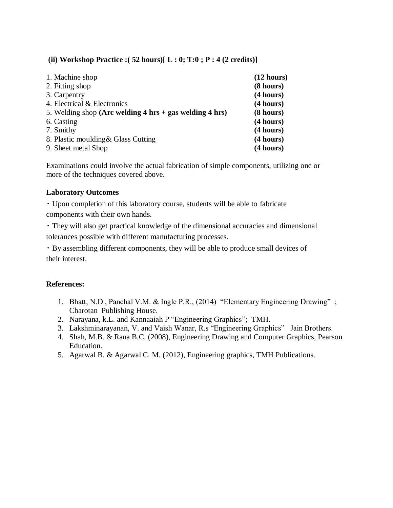## **(ii) Workshop Practice :( 52 hours)[ L : 0; T:0 ; P : 4 (2 credits)]**

| 1. Machine shop                                                                     | (12 hours) |
|-------------------------------------------------------------------------------------|------------|
| 2. Fitting shop                                                                     | (8 hours)  |
| 3. Carpentry                                                                        | (4 hours)  |
| 4. Electrical & Electronics                                                         | (4 hours)  |
| 5. Welding shop (Arc welding $4 \text{ hrs} + \text{gas}$ welding $4 \text{ hrs}$ ) | (8 hours)  |
| 6. Casting                                                                          | (4 hours)  |
| 7. Smithy                                                                           | (4 hours)  |
| 8. Plastic moulding & Glass Cutting                                                 | (4 hours)  |
| 9. Sheet metal Shop                                                                 | (4 hours)  |

Examinations could involve the actual fabrication of simple components, utilizing one or more of the techniques covered above.

#### **Laboratory Outcomes**

Upon completion of this laboratory course, students will be able to fabricate components with their own hands.

They will also get practical knowledge of the dimensional accuracies and dimensional tolerances possible with different manufacturing processes.

By assembling different components, they will be able to produce small devices of their interest.

#### **References:**

- 1. Bhatt, N.D., Panchal V.M. & Ingle P.R., (2014) "Elementary Engineering Drawing" ; Charotan Publishing House.
- 2. Narayana, k.L. and Kannaaiah P "Engineering Graphics"; TMH.
- 3. Lakshminarayanan, V. and Vaish Wanar, R.s "Engineering Graphics" Jain Brothers.
- 4. Shah, M.B. & Rana B.C. (2008), Engineering Drawing and Computer Graphics, Pearson Education.
- 5. Agarwal B. & Agarwal C. M. (2012), Engineering graphics, TMH Publications.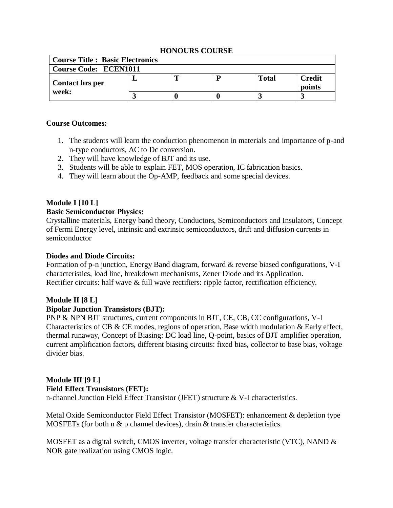## **HONOURS COURSE**

| <b>Course Title : Basic Electronics</b> |  |   |  |       |                  |  |  |
|-----------------------------------------|--|---|--|-------|------------------|--|--|
| <b>Course Code: ECEN1011</b>            |  |   |  |       |                  |  |  |
| Contact hrs per                         |  | m |  | Total | Credit<br>points |  |  |
| week:                                   |  |   |  |       |                  |  |  |

#### **Course Outcomes:**

- 1. The students will learn the conduction phenomenon in materials and importance of p-and n-type conductors, AC to Dc conversion.
- 2. They will have knowledge of BJT and its use.
- 3. Students will be able to explain FET, MOS operation, IC fabrication basics.
- 4. They will learn about the Op-AMP, feedback and some special devices.

## **Module I [10 L]**

#### **Basic Semiconductor Physics:**

Crystalline materials, Energy band theory, Conductors, Semiconductors and Insulators, Concept of Fermi Energy level, intrinsic and extrinsic semiconductors, drift and diffusion currents in semiconductor

#### **Diodes and Diode Circuits:**

Formation of p-n junction, Energy Band diagram, forward & reverse biased configurations, V-I characteristics, load line, breakdown mechanisms, Zener Diode and its Application. Rectifier circuits: half wave & full wave rectifiers: ripple factor, rectification efficiency.

#### **Module II [8 L]**

#### **Bipolar Junction Transistors (BJT):**

PNP & NPN BJT structures, current components in BJT, CE, CB, CC configurations, V-I Characteristics of CB & CE modes, regions of operation, Base width modulation & Early effect, thermal runaway, Concept of Biasing: DC load line, Q-point, basics of BJT amplifier operation, current amplification factors, different biasing circuits: fixed bias, collector to base bias, voltage divider bias.

## **Module III [9 L] Field Effect Transistors (FET):**

n-channel Junction Field Effect Transistor (JFET) structure & V-I characteristics.

Metal Oxide Semiconductor Field Effect Transistor (MOSFET): enhancement & depletion type MOSFETs (for both n  $\&$  p channel devices), drain  $\&$  transfer characteristics.

MOSFET as a digital switch, CMOS inverter, voltage transfer characteristic (VTC), NAND & NOR gate realization using CMOS logic.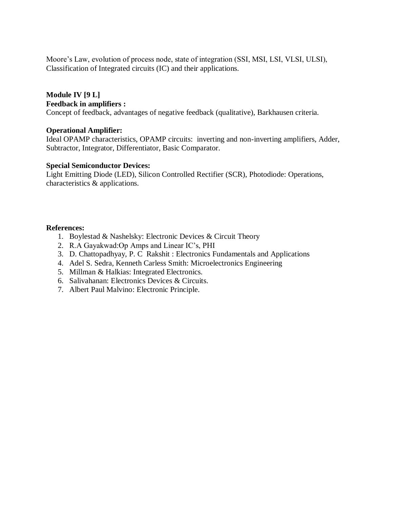Moore's Law, evolution of process node, state of integration (SSI, MSI, LSI, VLSI, ULSI), Classification of Integrated circuits (IC) and their applications.

#### **Module IV [9 L] Feedback in amplifiers :**

Concept of feedback, advantages of negative feedback (qualitative), Barkhausen criteria.

#### **Operational Amplifier:**

Ideal OPAMP characteristics, OPAMP circuits: inverting and non-inverting amplifiers, Adder, Subtractor, Integrator, Differentiator, Basic Comparator.

#### **Special Semiconductor Devices:**

Light Emitting Diode (LED), Silicon Controlled Rectifier (SCR), Photodiode: Operations, characteristics & applications.

#### **References:**

- 1. Boylestad & Nashelsky: Electronic Devices & Circuit Theory
- 2. R.A Gayakwad:Op Amps and Linear IC's, PHI
- 3. D. [Chattopadhyay, P. C](http://www.google.co.in/search?tbo=p&tbm=bks&q=inauthor:%22Chattopadhyay+D.,+Rakshit+P.+C.%22) Rakshit : Electronics Fundamentals and Applications
- 4. [Adel S. Sedra,](https://www.google.co.in/search?safe=active&hl=en&biw=1366&bih=639&tbm=bks&tbm=bks&q=inauthor:%22Adel+S.+Sedra%22&sa=X&ei=EXJ0U4fDOYmXuASJuYDwCQ&ved=0CC4Q9AgwAA) [Kenneth Carless Smith:](https://www.google.co.in/search?safe=active&hl=en&tbm=bks&tbm=bks&q=inauthor:%22Kenneth+Carless+Smith%22&sa=X&ei=EXJ0U4fDOYmXuASJuYDwCQ&ved=0CC8Q9AgwAA&biw=1366&bih=639&dpr=1) Microelectronics Engineering
- 5. Millman & Halkias: Integrated Electronics.
- 6. Salivahanan: Electronics Devices & Circuits.
- 7. [Albert Paul Malvino:](http://www.google.co.in/search?tbo=p&tbm=bks&q=inauthor:%22Albert+Paul+Malvino%22) Electronic Principle.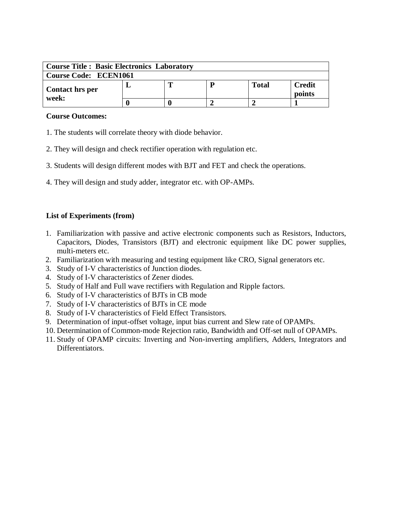| <b>Course Title : Basic Electronics Laboratory</b> |  |  |   |              |                         |  |  |
|----------------------------------------------------|--|--|---|--------------|-------------------------|--|--|
| <b>Course Code: ECEN1061</b>                       |  |  |   |              |                         |  |  |
| Contact hrs per                                    |  |  | D | <b>Total</b> | <b>Credit</b><br>points |  |  |
| week:                                              |  |  |   |              |                         |  |  |

#### **Course Outcomes:**

- 1. The students will correlate theory with diode behavior.
- 2. They will design and check rectifier operation with regulation etc.
- 3. Students will design different modes with BJT and FET and check the operations.
- 4. They will design and study adder, integrator etc. with OP-AMPs.

## **List of Experiments (from)**

- 1. Familiarization with passive and active electronic components such as Resistors, Inductors, Capacitors, Diodes, Transistors (BJT) and electronic equipment like DC power supplies, multi-meters etc.
- 2. Familiarization with measuring and testing equipment like CRO, Signal generators etc.
- 3. Study of I-V characteristics of Junction diodes.
- 4. Study of I-V characteristics of Zener diodes.
- 5. Study of Half and Full wave rectifiers with Regulation and Ripple factors.
- 6. Study of I-V characteristics of BJTs in CB mode
- 7. Study of I-V characteristics of BJTs in CE mode
- 8. Study of I-V characteristics of Field Effect Transistors.
- 9. Determination of input-offset voltage, input bias current and Slew rate of OPAMPs.
- 10. Determination of Common-mode Rejection ratio, Bandwidth and Off-set null of OPAMPs.
- 11. Study of OPAMP circuits: Inverting and Non-inverting amplifiers, Adders, Integrators and Differentiators.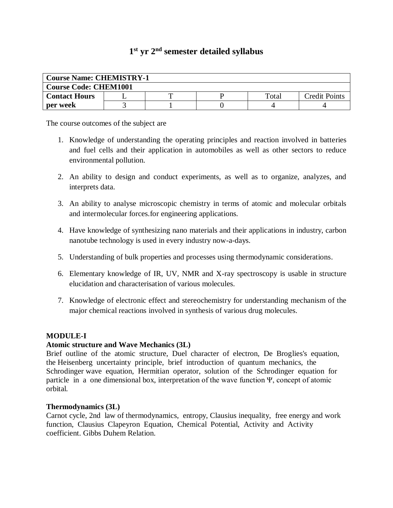## **1 st yr 2nd semester detailed syllabus**

| <b>Course Name: CHEMISTRY-1</b> |  |  |  |       |               |  |  |
|---------------------------------|--|--|--|-------|---------------|--|--|
| <b>Course Code: CHEM1001</b>    |  |  |  |       |               |  |  |
| <b>Contact Hours</b>            |  |  |  | Total | Credit Points |  |  |
| per week                        |  |  |  |       |               |  |  |

The course outcomes of the subject are

- 1. Knowledge of understanding the operating principles and reaction involved in batteries and fuel cells and their application in automobiles as well as other sectors to reduce environmental pollution.
- 2. An ability to design and conduct experiments, as well as to organize, analyzes, and interprets data.
- 3. An ability to analyse microscopic chemistry in terms of atomic and molecular orbitals and intermolecular forces.for engineering applications.
- 4. Have knowledge of synthesizing nano materials and their applications in industry, carbon nanotube technology is used in every industry now-a-days.
- 5. Understanding of bulk properties and processes using thermodynamic considerations.
- 6. Elementary knowledge of IR, UV, NMR and X-ray spectroscopy is usable in structure elucidation and characterisation of various molecules.
- 7. Knowledge of electronic effect and stereochemistry for understanding mechanism of the major chemical reactions involved in synthesis of various drug molecules.

## **MODULE-I**

## **Atomic structure and Wave Mechanics (3L)**

Brief outline of the atomic structure, Duel character of electron, De Broglies's equation, the Heisenberg uncertainty principle, brief introduction of quantum mechanics, the Schrodinger wave equation, Hermitian operator, solution of the Schrodinger equation for particle in a one dimensional box, interpretation of the wave function Ψ, concept of atomic orbital.

## **Thermodynamics (3L)**

Carnot cycle, 2nd law of thermodynamics, entropy, Clausius inequality, free energy and work function, Clausius Clapeyron Equation, Chemical Potential, Activity and Activity coefficient. Gibbs Duhem Relation.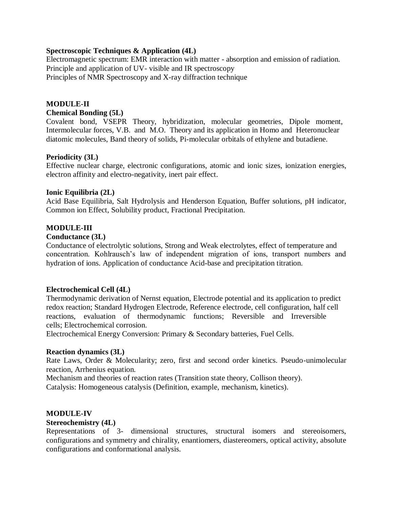#### **Spectroscopic Techniques & Application (4L)**

Electromagnetic spectrum: EMR interaction with matter - absorption and emission of radiation. Principle and application of UV- visible and IR spectroscopy Principles of NMR Spectroscopy and X-ray diffraction technique

#### **MODULE-II Chemical Bonding (5L)**

Covalent bond, VSEPR Theory, hybridization, molecular geometries, Dipole moment, Intermolecular forces, V.B. and M.O. Theory and its application in Homo and Heteronuclear diatomic molecules, Band theory of solids, Pi-molecular orbitals of ethylene and butadiene.

#### **Periodicity (3L)**

Effective nuclear charge, electronic configurations, atomic and ionic sizes, ionization energies, electron affinity and electro-negativity, inert pair effect.

#### **Ionic Equilibria (2L)**

Acid Base Equilibria, Salt Hydrolysis and Henderson Equation, Buffer solutions, pH indicator, Common ion Effect, Solubility product, Fractional Precipitation.

#### **MODULE-III**

#### **Conductance (3L)**

Conductance of electrolytic solutions, Strong and Weak electrolytes, effect of temperature and concentration. Kohlrausch's law of independent migration of ions, transport numbers and hydration of ions. Application of conductance Acid-base and precipitation titration.

#### **Electrochemical Cell (4L)**

Thermodynamic derivation of Nernst equation, Electrode potential and its application to predict redox reaction; Standard Hydrogen Electrode, Reference electrode, cell configuration, half cell reactions, evaluation of thermodynamic functions; Reversible and Irreversible cells; Electrochemical corrosion.

Electrochemical Energy Conversion: Primary & Secondary batteries, Fuel Cells.

#### **Reaction dynamics (3L)**

Rate Laws, Order & Molecularity; zero, first and second order kinetics. Pseudo-unimolecular reaction, Arrhenius equation.

Mechanism and theories of reaction rates (Transition state theory, Collison theory).

Catalysis: Homogeneous catalysis (Definition, example, mechanism, kinetics).

## **MODULE-IV**

#### **Stereochemistry (4L)**

Representations of 3- dimensional structures, structural isomers and stereoisomers, configurations and symmetry and chirality, enantiomers, diastereomers, optical activity, absolute configurations and conformational analysis.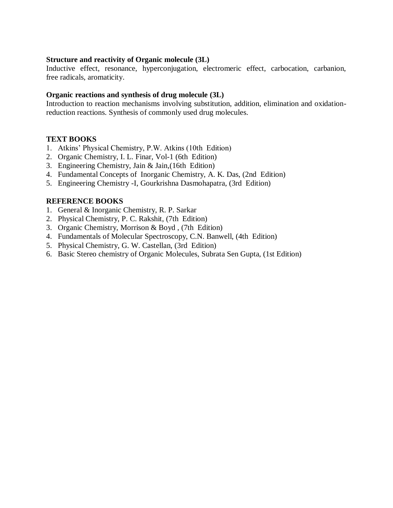#### **Structure and reactivity of Organic molecule (3L)**

Inductive effect, resonance, hyperconjugation, electromeric effect, carbocation, carbanion, free radicals, aromaticity.

#### **Organic reactions and synthesis of drug molecule (3L)**

Introduction to reaction mechanisms involving substitution, addition, elimination and oxidationreduction reactions. Synthesis of commonly used drug molecules.

#### **TEXT BOOKS**

- 1. Atkins' Physical Chemistry, P.W. Atkins (10th Edition)
- 2. Organic Chemistry, I. L. Finar, Vol-1 (6th Edition)
- 3. Engineering Chemistry, Jain & Jain,(16th Edition)
- 4. Fundamental Concepts of Inorganic Chemistry, A. K. Das, (2nd Edition)
- 5. Engineering Chemistry -I, Gourkrishna Dasmohapatra, (3rd Edition)

#### **REFERENCE BOOKS**

- 1. General & Inorganic Chemistry, R. P. Sarkar
- 2. Physical Chemistry, P. C. Rakshit, (7th Edition)
- 3. Organic Chemistry, Morrison & Boyd , (7th Edition)
- 4. Fundamentals of Molecular Spectroscopy, C.N. Banwell, (4th Edition)
- 5. Physical Chemistry, G. W. Castellan, (3rd Edition)
- 6. Basic Stereo chemistry of Organic Molecules, Subrata Sen Gupta, (1st Edition)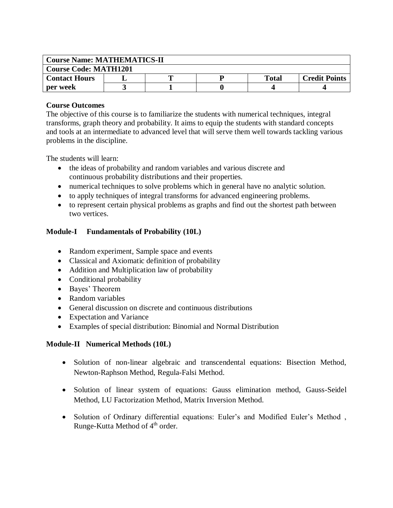| <b>Course Name: MATHEMATICS-II</b> |  |  |  |              |                      |  |
|------------------------------------|--|--|--|--------------|----------------------|--|
| <b>Course Code: MATH1201</b>       |  |  |  |              |                      |  |
| <b>Contact Hours</b>               |  |  |  | <b>Total</b> | <b>Credit Points</b> |  |
| per week                           |  |  |  |              |                      |  |

## **Course Outcomes**

The objective of this course is to familiarize the students with numerical techniques, integral transforms, graph theory and probability. It aims to equip the students with standard concepts and tools at an intermediate to advanced level that will serve them well towards tackling various problems in the discipline.

The students will learn:

- the ideas of probability and random variables and various discrete and continuous probability distributions and their properties.
- numerical techniques to solve problems which in general have no analytic solution.
- to apply techniques of integral transforms for advanced engineering problems.
- to represent certain physical problems as graphs and find out the shortest path between two vertices.

## **Module-I Fundamentals of Probability (10L)**

- Random experiment, Sample space and events
- Classical and Axiomatic definition of probability
- Addition and Multiplication law of probability
- Conditional probability
- Bayes' Theorem
- Random variables
- General discussion on discrete and continuous distributions
- Expectation and Variance
- Examples of special distribution: Binomial and Normal Distribution

## **Module-II Numerical Methods (10L)**

- Solution of non-linear algebraic and transcendental equations: Bisection Method, Newton-Raphson Method, Regula-Falsi Method.
- Solution of linear system of equations: Gauss elimination method, Gauss-Seidel Method, LU Factorization Method, Matrix Inversion Method.
- Solution of Ordinary differential equations: Euler's and Modified Euler's Method , Runge-Kutta Method of 4<sup>th</sup> order.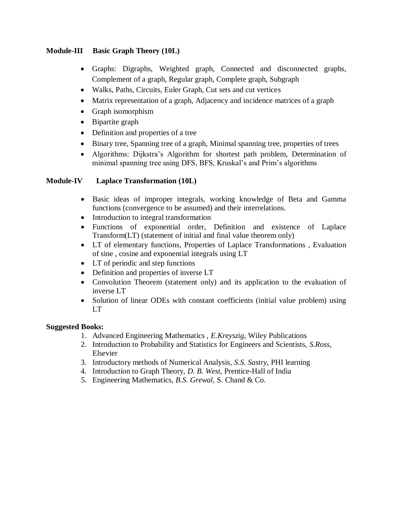## **Module-III Basic Graph Theory (10L)**

- Graphs: Digraphs, Weighted graph, Connected and disconnected graphs, Complement of a graph, Regular graph, Complete graph, Subgraph
- Walks, Paths, Circuits, Euler Graph, Cut sets and cut vertices
- Matrix representation of a graph, Adjacency and incidence matrices of a graph
- Graph isomorphism
- Bipartite graph
- Definition and properties of a tree
- Binary tree, Spanning tree of a graph, Minimal spanning tree, properties of trees
- Algorithms: Dijkstra's Algorithm for shortest path problem, Determination of minimal spanning tree using DFS, BFS, Kruskal's and Prim's algorithms

## **Module-IV Laplace Transformation (10L)**

- Basic ideas of improper integrals, working knowledge of Beta and Gamma functions (convergence to be assumed) and their interrelations.
- Introduction to integral transformation
- Functions of exponential order, Definition and existence of Laplace Transform(LT) (statement of initial and final value theorem only)
- LT of elementary functions, Properties of Laplace Transformations , Evaluation of sine , cosine and exponential integrals using LT
- LT of periodic and step functions
- Definition and properties of inverse LT
- Convolution Theorem (statement only) and its application to the evaluation of inverse LT
- Solution of linear ODEs with constant coefficients (initial value problem) using LT

## **Suggested Books:**

- 1. Advanced Engineering Mathematics , *E.Kreyszig*, Wiley Publications
- 2. Introduction to Probability and Statistics for Engineers and Scientists, *S.Ross*, Elsevier
- 3. Introductory methods of Numerical Analysis, *S.S. Sastry*, PHI learning
- 4. Introduction to Graph Theory, *D. B. West*, Prentice-Hall of India
- 5. Engineering Mathematics, *B.S. Grewal,* S. Chand & Co.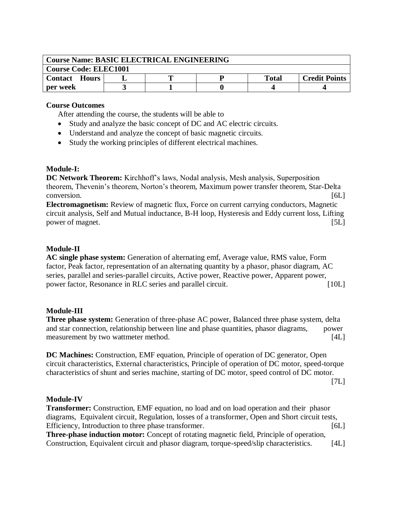| <b>Course Name: BASIC ELECTRICAL ENGINEERING</b> |  |  |  |              |                      |  |
|--------------------------------------------------|--|--|--|--------------|----------------------|--|
| <b>Course Code: ELEC1001</b>                     |  |  |  |              |                      |  |
| <b>Contact Hours</b>                             |  |  |  | <b>Total</b> | <b>Credit Points</b> |  |
| per week                                         |  |  |  |              |                      |  |

#### **Course Outcomes**

After attending the course, the students will be able to

- Study and analyze the basic concept of DC and AC electric circuits.
- Understand and analyze the concept of basic magnetic circuits.
- Study the working principles of different electrical machines.

## **Module-I:**

**DC Network Theorem:** Kirchhoff's laws, Nodal analysis, Mesh analysis, Superposition theorem, Thevenin's theorem, Norton's theorem, Maximum power transfer theorem, Star-Delta conversion. [6L]

**Electromagnetism:** Review of magnetic flux, Force on current carrying conductors, Magnetic circuit analysis, Self and Mutual inductance, B-H loop, Hysteresis and Eddy current loss, Lifting power of magnet. [5L]

## **Module-II**

**AC single phase system:** Generation of alternating emf, Average value, RMS value, Form factor, Peak factor, representation of an alternating quantity by a phasor, phasor diagram, AC series, parallel and series-parallel circuits, Active power, Reactive power, Apparent power, power factor, Resonance in RLC series and parallel circuit. [10L]

## **Module-III**

**Three phase system:** Generation of three-phase AC power, Balanced three phase system, delta and star connection, relationship between line and phase quantities, phasor diagrams, power measurement by two wattmeter method. [4L]

**DC Machines:** Construction, EMF equation, Principle of operation of DC generator, Open circuit characteristics, External characteristics, Principle of operation of DC motor, speed-torque characteristics of shunt and series machine, starting of DC motor, speed control of DC motor.

 $[7L]$ 

## **Module-IV**

**Transformer:** Construction, EMF equation, no load and on load operation and their phasor diagrams, Equivalent circuit, Regulation, losses of a transformer, Open and Short circuit tests, Efficiency, Introduction to three phase transformer. [6L] **Three-phase induction motor:** Concept of rotating magnetic field, Principle of operation, Construction, Equivalent circuit and phasor diagram, torque-speed/slip characteristics. [4L]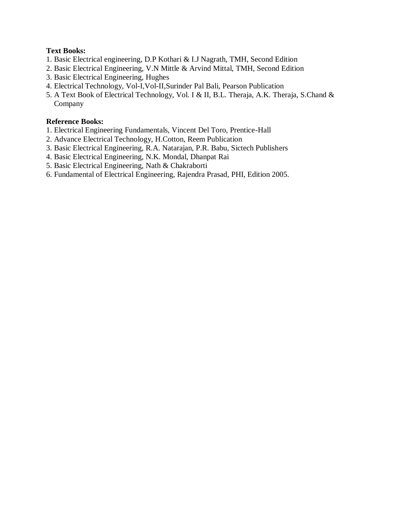## **Text Books:**

- 1. Basic Electrical engineering, D.P Kothari & I.J Nagrath, TMH, Second Edition
- 2. Basic Electrical Engineering, V.N Mittle & Arvind Mittal, TMH, Second Edition
- 3. Basic Electrical Engineering, Hughes
- 4. Electrical Technology, Vol-I,Vol-II,Surinder Pal Bali, Pearson Publication
- 5. A Text Book of Electrical Technology, Vol. I & II, B.L. Theraja, A.K. Theraja, S.Chand & Company

#### **Reference Books:**

- 1. Electrical Engineering Fundamentals, Vincent Del Toro, Prentice-Hall
- 2. Advance Electrical Technology, H.Cotton, Reem Publication
- 3. Basic Electrical Engineering, R.A. Natarajan, P.R. Babu, Sictech Publishers
- 4. Basic Electrical Engineering, N.K. Mondal, Dhanpat Rai
- 5. Basic Electrical Engineering, Nath & Chakraborti
- 6. Fundamental of Electrical Engineering, Rajendra Prasad, PHI, Edition 2005.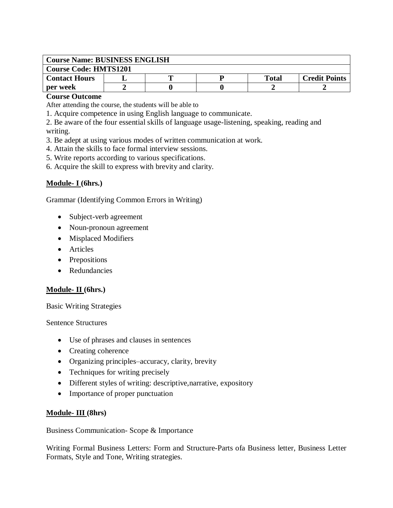| <b>Course Name: BUSINESS ENGLISH</b> |  |  |  |       |                      |  |
|--------------------------------------|--|--|--|-------|----------------------|--|
| <b>Course Code: HMTS1201</b>         |  |  |  |       |                      |  |
| <b>Contact Hours</b>                 |  |  |  | Total | <b>Credit Points</b> |  |
| per week                             |  |  |  |       |                      |  |

#### **Course Outcome**

After attending the course, the students will be able to

1. Acquire competence in using English language to communicate.

2. Be aware of the four essential skills of language usage-listening, speaking, reading and writing.

3. Be adept at using various modes of written communication at work.

- 4. Attain the skills to face formal interview sessions.
- 5. Write reports according to various specifications.
- 6. Acquire the skill to express with brevity and clarity.

#### **Module- I (6hrs.)**

Grammar (Identifying Common Errors in Writing)

- Subject-verb agreement
- Noun-pronoun agreement
- Misplaced Modifiers
- Articles
- Prepositions
- Redundancies

#### **Module- II (6hrs.)**

Basic Writing Strategies

Sentence Structures

- Use of phrases and clauses in sentences
- Creating coherence
- Organizing principles–accuracy, clarity, brevity
- Techniques for writing precisely
- Different styles of writing: descriptive, narrative, expository
- Importance of proper punctuation

#### **Module- III (8hrs)**

Business Communication- Scope & Importance

Writing Formal Business Letters: Form and Structure-Parts ofa Business letter, Business Letter Formats, Style and Tone, Writing strategies.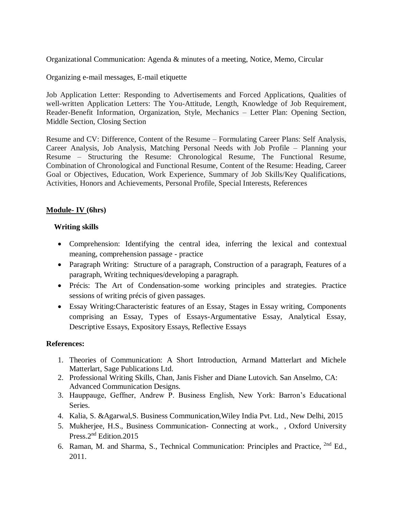Organizational Communication: Agenda & minutes of a meeting, Notice, Memo, Circular

Organizing e-mail messages, E-mail etiquette

Job Application Letter: Responding to Advertisements and Forced Applications, Qualities of well-written Application Letters: The You-Attitude, Length, Knowledge of Job Requirement, Reader-Benefit Information, Organization, Style, Mechanics – Letter Plan: Opening Section, Middle Section, Closing Section

Resume and CV: Difference, Content of the Resume – Formulating Career Plans: Self Analysis, Career Analysis, Job Analysis, Matching Personal Needs with Job Profile – Planning your Resume – Structuring the Resume: Chronological Resume, The Functional Resume, Combination of Chronological and Functional Resume, Content of the Resume: Heading, Career Goal or Objectives, Education, Work Experience, Summary of Job Skills/Key Qualifications, Activities, Honors and Achievements, Personal Profile, Special Interests, References

## **Module- IV (6hrs)**

## **Writing skills**

- Comprehension: Identifying the central idea, inferring the lexical and contextual meaning, comprehension passage - practice
- Paragraph Writing: Structure of a paragraph, Construction of a paragraph, Features of a paragraph, Writing techniques/developing a paragraph.
- Précis: The Art of Condensation-some working principles and strategies. Practice sessions of writing précis of given passages.
- Essay Writing:Characteristic features of an Essay, Stages in Essay writing, Components comprising an Essay, Types of Essays-Argumentative Essay, Analytical Essay, Descriptive Essays, Expository Essays, Reflective Essays

#### **References:**

- 1. Theories of Communication: A Short Introduction, Armand Matterlart and Michele Matterlart, Sage Publications Ltd.
- 2. Professional Writing Skills, Chan, Janis Fisher and Diane Lutovich. San Anselmo, CA: Advanced Communication Designs.
- 3. Hauppauge, Geffner, Andrew P. Business English, New York: Barron's Educational Series.
- 4. Kalia, S. &Agarwal,S. Business Communication,Wiley India Pvt. Ltd., New Delhi, 2015
- 5. Mukherjee, H.S., Business Communication- Connecting at work., , Oxford University Press.2nd Edition.2015
- 6. Raman, M. and Sharma, S., Technical Communication: Principles and Practice, <sup>2nd</sup> Ed., 2011.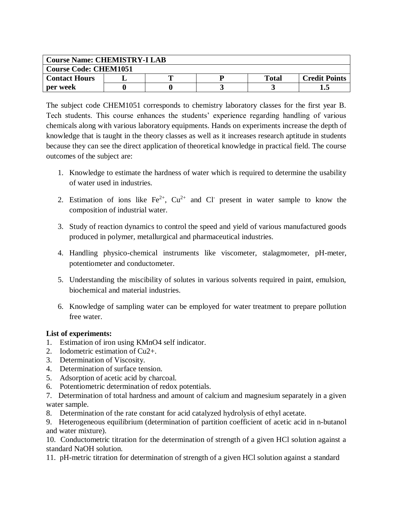| <b>Course Name: CHEMISTRY-I LAB</b> |  |  |  |              |                      |  |  |
|-------------------------------------|--|--|--|--------------|----------------------|--|--|
| <b>Course Code: CHEM1051</b>        |  |  |  |              |                      |  |  |
| <b>Contact Hours</b>                |  |  |  | <b>Total</b> | <b>Credit Points</b> |  |  |
| per week                            |  |  |  |              |                      |  |  |

The subject code CHEM1051 corresponds to chemistry laboratory classes for the first year B. Tech students. This course enhances the students' experience regarding handling of various chemicals along with various laboratory equipments. Hands on experiments increase the depth of knowledge that is taught in the theory classes as well as it increases research aptitude in students because they can see the direct application of theoretical knowledge in practical field. The course outcomes of the subject are:

- 1. Knowledge to estimate the hardness of water which is required to determine the usability of water used in industries.
- 2. Estimation of ions like  $Fe^{2+}$ ,  $Cu^{2+}$  and Cl present in water sample to know the composition of industrial water.
- 3. Study of reaction dynamics to control the speed and yield of various manufactured goods produced in polymer, metallurgical and pharmaceutical industries.
- 4. Handling physico-chemical instruments like viscometer, stalagmometer, pH-meter, potentiometer and conductometer.
- 5. Understanding the miscibility of solutes in various solvents required in paint, emulsion, biochemical and material industries.
- 6. Knowledge of sampling water can be employed for water treatment to prepare pollution free water.

## **List of experiments:**

- 1. Estimation of iron using KMnO4 self indicator.
- 2. Iodometric estimation of Cu2+.
- 3. Determination of Viscosity.
- 4. Determination of surface tension.
- 5. Adsorption of acetic acid by charcoal.
- 6. Potentiometric determination of redox potentials.
- 7. Determination of total hardness and amount of calcium and magnesium separately in a given water sample.
- 8. Determination of the rate constant for acid catalyzed hydrolysis of ethyl acetate.

9. Heterogeneous equilibrium (determination of partition coefficient of acetic acid in n-butanol and water mixture).

10. Conductometric titration for the determination of strength of a given HCl solution against a standard NaOH solution.

11. pH-metric titration for determination of strength of a given HCl solution against a standard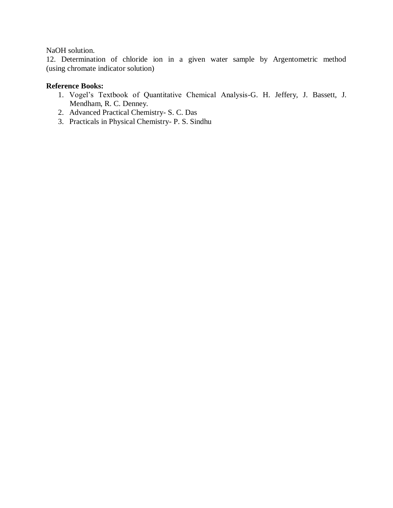## NaOH solution.

12. Determination of chloride ion in a given water sample by Argentometric method (using chromate indicator solution)

## **Reference Books:**

- 1. Vogel's Textbook of Quantitative Chemical Analysis-G. H. Jeffery, J. Bassett, J. Mendham, R. C. Denney.
- 2. Advanced Practical Chemistry- S. C. Das
- 3. Practicals in Physical Chemistry- P. S. Sindhu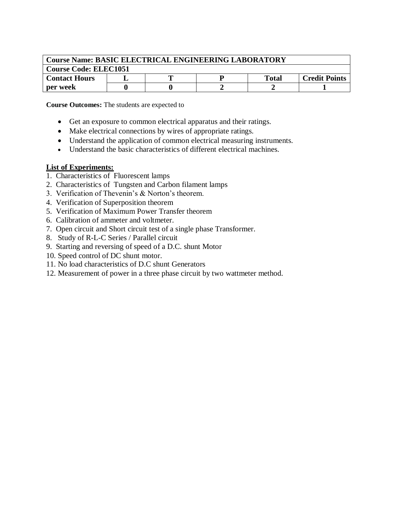| <b>Course Name: BASIC ELECTRICAL ENGINEERING LABORATORY</b> |  |  |  |              |                      |  |  |
|-------------------------------------------------------------|--|--|--|--------------|----------------------|--|--|
| <b>Course Code: ELEC1051</b>                                |  |  |  |              |                      |  |  |
| <b>Contact Hours</b>                                        |  |  |  | <b>Total</b> | <b>Credit Points</b> |  |  |
| per week                                                    |  |  |  |              |                      |  |  |

**Course Outcomes:** The students are expected to

- Get an exposure to common electrical apparatus and their ratings.
- Make electrical connections by wires of appropriate ratings.
- Understand the application of common electrical measuring instruments.
- Understand the basic characteristics of different electrical machines.

## **List of Experiments:**

- 1. Characteristics of Fluorescent lamps
- 2. Characteristics of Tungsten and Carbon filament lamps
- 3. Verification of Thevenin's & Norton's theorem.
- 4. Verification of Superposition theorem
- 5. Verification of Maximum Power Transfer theorem
- 6. Calibration of ammeter and voltmeter.
- 7. Open circuit and Short circuit test of a single phase Transformer.
- 8. Study of R-L-C Series / Parallel circuit
- 9. Starting and reversing of speed of a D.C. shunt Motor
- 10. Speed control of DC shunt motor.
- 11. No load characteristics of D.C shunt Generators
- 12. Measurement of power in a three phase circuit by two wattmeter method.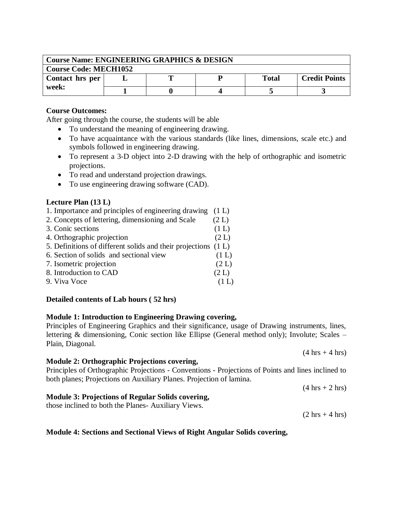| <b>Course Name: ENGINEERING GRAPHICS &amp; DESIGN</b> |  |  |  |       |                      |  |  |
|-------------------------------------------------------|--|--|--|-------|----------------------|--|--|
| <b>Course Code: MECH1052</b>                          |  |  |  |       |                      |  |  |
| Contact hrs per<br>week:                              |  |  |  | Total | <b>Credit Points</b> |  |  |
|                                                       |  |  |  |       |                      |  |  |

After going through the course, the students will be able

- To understand the meaning of engineering drawing.
- To have acquaintance with the various standards (like lines, dimensions, scale etc.) and symbols followed in engineering drawing.
- To represent a 3-D object into 2-D drawing with the help of orthographic and isometric projections.
- To read and understand projection drawings.
- To use engineering drawing software (CAD).

#### **Lecture Plan (13 L)**

| 1. Importance and principles of engineering drawing            | (1 L) |
|----------------------------------------------------------------|-------|
| 2. Concepts of lettering, dimensioning and Scale               | (2 L) |
| 3. Conic sections                                              | (1 L) |
| 4. Orthographic projection                                     | (2 L) |
| 5. Definitions of different solids and their projections (1 L) |       |
| 6. Section of solids and sectional view                        | (1 L) |
| 7. Isometric projection                                        | (2 L) |
| 8. Introduction to CAD                                         | (2 L) |
| 9. Viva Voce                                                   |       |

## **Detailed contents of Lab hours ( 52 hrs)**

#### **Module 1: Introduction to Engineering Drawing covering,**

Principles of Engineering Graphics and their significance, usage of Drawing instruments, lines, lettering & dimensioning, Conic section like Ellipse (General method only); Involute; Scales – Plain, Diagonal.

#### **Module 2: Orthographic Projections covering,**

Principles of Orthographic Projections - Conventions - Projections of Points and lines inclined to both planes; Projections on Auxiliary Planes. Projection of lamina.

#### **Module 3: Projections of Regular Solids covering,**

those inclined to both the Planes- Auxiliary Views.

 $(2 \text{ hrs} + 4 \text{ hrs})$ 

 $(4 \text{ hrs} + 2 \text{ hrs})$ 

#### **Module 4: Sections and Sectional Views of Right Angular Solids covering,**

 $(4 \text{ hrs} + 4 \text{ hrs})$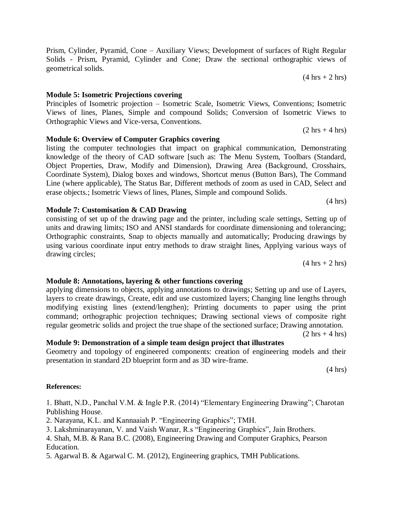Views of lines, Planes, Simple and compound Solids; Conversion of Isometric Views to Orthographic Views and Vice-versa, Conventions.  $(2 \text{ hrs} + 4 \text{ hrs})$ 

Principles of Isometric projection – Isometric Scale, Isometric Views, Conventions; Isometric

Prism, Cylinder, Pyramid, Cone – Auxiliary Views; Development of surfaces of Right Regular Solids - Prism, Pyramid, Cylinder and Cone; Draw the sectional orthographic views of

**Module 6: Overview of Computer Graphics covering** listing the computer technologies that impact on graphical communication, Demonstrating knowledge of the theory of CAD software [such as: The Menu System, Toolbars (Standard, Object Properties, Draw, Modify and Dimension), Drawing Area (Background, Crosshairs, Coordinate System), Dialog boxes and windows, Shortcut menus (Button Bars), The Command Line (where applicable), The Status Bar, Different methods of zoom as used in CAD, Select and erase objects.; Isometric Views of lines, Planes, Simple and compound Solids.

consisting of set up of the drawing page and the printer, including scale settings, Setting up of units and drawing limits; ISO and ANSI standards for coordinate dimensioning and tolerancing; Orthographic constraints, Snap to objects manually and automatically; Producing drawings by using various coordinate input entry methods to draw straight lines, Applying various ways of drawing circles;

**Module 8: Annotations, layering & other functions covering**  applying dimensions to objects, applying annotations to drawings; Setting up and use of Layers, layers to create drawings, Create, edit and use customized layers; Changing line lengths through

modifying existing lines (extend/lengthen); Printing documents to paper using the print command; orthographic projection techniques; Drawing sectional views of composite right regular geometric solids and project the true shape of the sectioned surface; Drawing annotation.

**Module 9: Demonstration of a simple team design project that illustrates**  Geometry and topology of engineered components: creation of engineering models and their

presentation in standard 2D blueprint form and as 3D wire-frame.

(4 hrs)

#### **References:**

1. Bhatt, N.D., Panchal V.M. & Ingle P.R. (2014) "Elementary Engineering Drawing"; Charotan Publishing House.

2. Narayana, K.L. and Kannaaiah P. "Engineering Graphics"; TMH.

3. Lakshminarayanan, V. and Vaish Wanar, R.s "Engineering Graphics", Jain Brothers.

4. Shah, M.B. & Rana B.C. (2008), Engineering Drawing and Computer Graphics, Pearson Education.

5. Agarwal B. & Agarwal C. M. (2012), Engineering graphics, TMH Publications.

## **Module 7: Customisation & CAD Drawing**

**Module 5: Isometric Projections covering**

geometrical solids.

 $(4 \text{ hrs} + 2 \text{ hrs})$ 

 $(2 \text{ hrs} + 4 \text{ hrs})$ 

(4 hrs)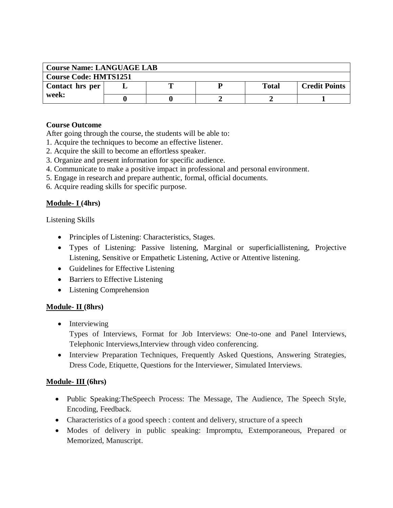| <b>Course Name: LANGUAGE LAB</b> |  |  |  |              |                      |  |  |
|----------------------------------|--|--|--|--------------|----------------------|--|--|
| <b>Course Code: HMTS1251</b>     |  |  |  |              |                      |  |  |
| Contact hrs per<br>week:         |  |  |  | <b>Total</b> | <b>Credit Points</b> |  |  |
|                                  |  |  |  |              |                      |  |  |

After going through the course, the students will be able to:

- 1. Acquire the techniques to become an effective listener.
- 2. Acquire the skill to become an effortless speaker.
- 3. Organize and present information for specific audience.
- 4. Communicate to make a positive impact in professional and personal environment.
- 5. Engage in research and prepare authentic, formal, official documents.
- 6. Acquire reading skills for specific purpose.

## **Module- I (4hrs)**

Listening Skills

- Principles of Listening: Characteristics, Stages.
- Types of Listening: Passive listening, Marginal or superficiallistening, Projective Listening, Sensitive or Empathetic Listening, Active or Attentive listening.
- Guidelines for Effective Listening
- Barriers to Effective Listening
- Listening Comprehension

## **Module- II (8hrs)**

• Interviewing

Types of Interviews, Format for Job Interviews: One-to-one and Panel Interviews, Telephonic Interviews,Interview through video conferencing.

 Interview Preparation Techniques, Frequently Asked Questions, Answering Strategies, Dress Code, Etiquette, Questions for the Interviewer, Simulated Interviews.

## **Module- III (6hrs)**

- Public Speaking:TheSpeech Process: The Message, The Audience, The Speech Style, Encoding, Feedback.
- Characteristics of a good speech : content and delivery, structure of a speech
- Modes of delivery in public speaking: Impromptu, Extemporaneous, Prepared or Memorized, Manuscript.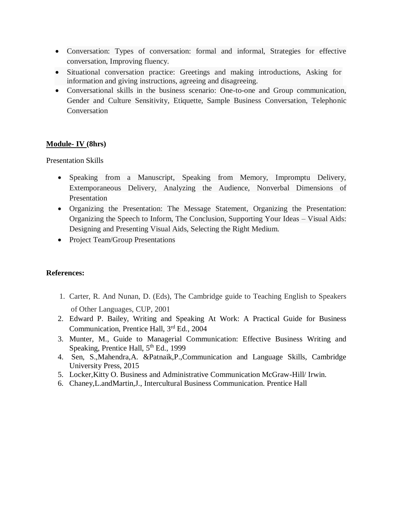- Conversation: Types of conversation: formal and informal, Strategies for effective conversation, Improving fluency.
- Situational conversation practice: Greetings and making introductions, Asking for information and giving instructions, agreeing and disagreeing.
- Conversational skills in the business scenario: One-to-one and Group communication, Gender and Culture Sensitivity, Etiquette, Sample Business Conversation, Telephonic Conversation

## **Module- IV (8hrs)**

Presentation Skills

- Speaking from a Manuscript, Speaking from Memory, Impromptu Delivery, Extemporaneous Delivery, Analyzing the Audience, Nonverbal Dimensions of Presentation
- Organizing the Presentation: The Message Statement, Organizing the Presentation: Organizing the Speech to Inform, The Conclusion, Supporting Your Ideas – Visual Aids: Designing and Presenting Visual Aids, Selecting the Right Medium.
- Project Team/Group Presentations

## **References:**

- 1. Carter, R. And Nunan, D. (Eds), The Cambridge guide to Teaching English to Speakers of Other Languages, CUP, 2001
- 2. Edward P. Bailey, Writing and Speaking At Work: A Practical Guide for Business Communication, Prentice Hall, 3rd Ed., 2004
- 3. Munter, M., Guide to Managerial Communication: Effective Business Writing and Speaking, Prentice Hall, 5<sup>th</sup> Ed., 1999
- 4. Sen, S.,Mahendra,A. &Patnaik,P.,Communication and Language Skills, Cambridge University Press, 2015
- 5. Locker,Kitty O. Business and Administrative Communication McGraw-Hill/ Irwin.
- 6. Chaney,L.andMartin,J., Intercultural Business Communication. Prentice Hall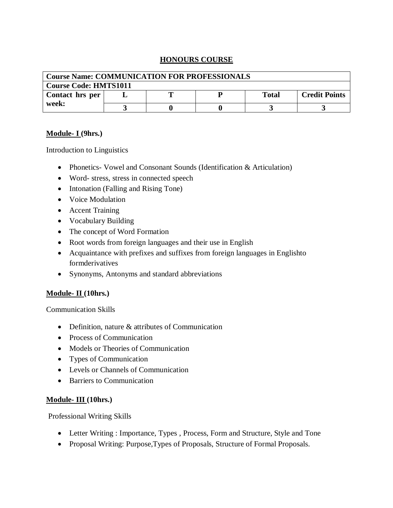## **HONOURS COURSE**

| <b>Course Name: COMMUNICATION FOR PROFESSIONALS</b> |  |  |  |              |                      |  |  |
|-----------------------------------------------------|--|--|--|--------------|----------------------|--|--|
| <b>Course Code: HMTS1011</b>                        |  |  |  |              |                      |  |  |
| Contact hrs per<br>week:                            |  |  |  | <b>Total</b> | <b>Credit Points</b> |  |  |
|                                                     |  |  |  |              |                      |  |  |

#### **Module- I (9hrs.)**

Introduction to Linguistics

- Phonetics- Vowel and Consonant Sounds (Identification & Articulation)
- Word- stress, stress in connected speech
- Intonation (Falling and Rising Tone)
- Voice Modulation
- Accent Training
- Vocabulary Building
- The concept of Word Formation
- Root words from foreign languages and their use in English
- Acquaintance with prefixes and suffixes from foreign languages in Englishto formderivatives
- Synonyms, Antonyms and standard abbreviations

## **Module- II (10hrs.)**

Communication Skills

- Definition, nature & attributes of Communication
- Process of Communication
- Models or Theories of Communication
- Types of Communication
- Levels or Channels of Communication
- Barriers to Communication

## **Module- III (10hrs.)**

Professional Writing Skills

- Letter Writing : Importance, Types , Process, Form and Structure, Style and Tone
- Proposal Writing: Purpose,Types of Proposals, Structure of Formal Proposals.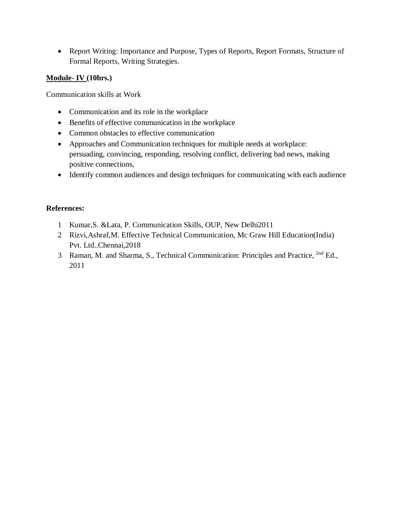Report Writing: Importance and Purpose, Types of Reports, Report Formats, Structure of Formal Reports, Writing Strategies.

## **Module- IV (10hrs.)**

Communication skills at Work

- Communication and its role in the workplace
- Benefits of effective communication in the workplace
- Common obstacles to effective communication
- Approaches and Communication techniques for multiple needs at workplace: persuading, convincing, responding, resolving conflict, delivering bad news, making positive connections,
- Identify common audiences and design techniques for communicating with each audience

## **References:**

- 1 Kumar,S. &Lata, P. Communication Skills, OUP, New Delhi2011
- 2 Rizvi,Ashraf,M. Effective Technical Communication, Mc Graw Hill Education(India) Pvt. Ltd..Chennai,2018
- 3 Raman, M. and Sharma, S., Technical Communication: Principles and Practice, 2nd Ed., 2011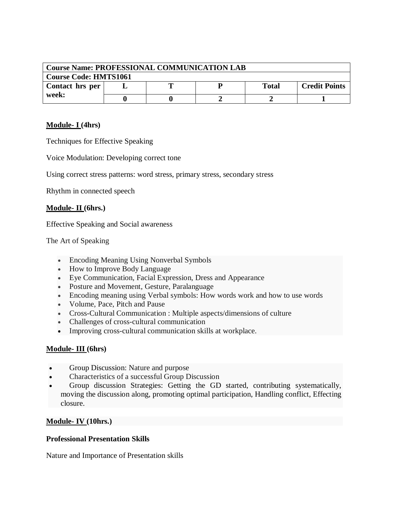| <b>Course Name: PROFESSIONAL COMMUNICATION LAB</b> |  |  |  |              |                      |  |  |
|----------------------------------------------------|--|--|--|--------------|----------------------|--|--|
| <b>Course Code: HMTS1061</b>                       |  |  |  |              |                      |  |  |
| Contact hrs per<br>week:                           |  |  |  | <b>Total</b> | <b>Credit Points</b> |  |  |
|                                                    |  |  |  |              |                      |  |  |

## **Module- I (4hrs)**

Techniques for Effective Speaking

Voice Modulation: Developing correct tone

Using correct stress patterns: word stress, primary stress, secondary stress

Rhythm in connected speech

## **Module- II (6hrs.)**

Effective Speaking and Social awareness

The Art of Speaking

- Encoding Meaning Using Nonverbal Symbols
- How to Improve Body Language
- Eye Communication, Facial Expression, Dress and Appearance
- Posture and Movement, Gesture, Paralanguage
- Encoding meaning using Verbal symbols: How words work and how to use words
- Volume, Pace, Pitch and Pause
- Cross-Cultural Communication : Multiple aspects/dimensions of culture
- Challenges of cross-cultural communication
- Improving cross-cultural communication skills at workplace.

## **Module- III (6hrs)**

- Group Discussion: Nature and purpose
- Characteristics of a successful Group Discussion
- Group discussion Strategies: Getting the GD started, contributing systematically, moving the discussion along, promoting optimal participation, Handling conflict, Effecting closure.

## **Module- IV (10hrs.)**

## **Professional Presentation Skills**

Nature and Importance of Presentation skills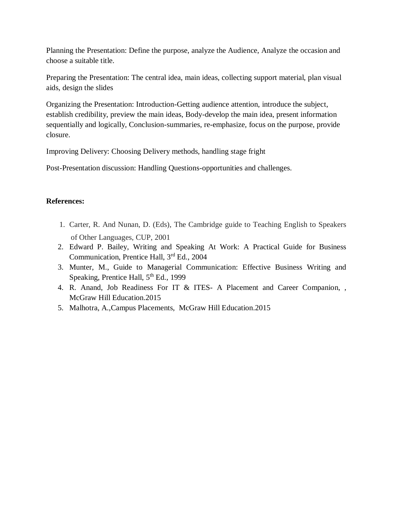Planning the Presentation: Define the purpose, analyze the Audience, Analyze the occasion and choose a suitable title.

Preparing the Presentation: The central idea, main ideas, collecting support material, plan visual aids, design the slides

Organizing the Presentation: Introduction-Getting audience attention, introduce the subject, establish credibility, preview the main ideas, Body-develop the main idea, present information sequentially and logically, Conclusion-summaries, re-emphasize, focus on the purpose, provide closure.

Improving Delivery: Choosing Delivery methods, handling stage fright

Post-Presentation discussion: Handling Questions-opportunities and challenges.

## **References:**

- 1. Carter, R. And Nunan, D. (Eds), The Cambridge guide to Teaching English to Speakers of Other Languages, CUP, 2001
- 2. Edward P. Bailey, Writing and Speaking At Work: A Practical Guide for Business Communication, Prentice Hall, 3rd Ed., 2004
- 3. Munter, M., Guide to Managerial Communication: Effective Business Writing and Speaking, Prentice Hall,  $5<sup>th</sup>$  Ed., 1999
- 4. R. Anand, Job Readiness For IT & ITES- A Placement and Career Companion, , McGraw Hill Education.2015
- 5. Malhotra, A.,Campus Placements, McGraw Hill Education.2015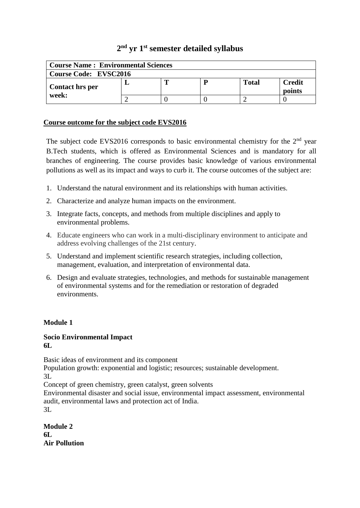# **2 nd yr 1st semester detailed syllabus**

| <b>Course Name: Environmental Sciences</b> |  |   |   |              |                         |  |  |
|--------------------------------------------|--|---|---|--------------|-------------------------|--|--|
| <b>Course Code: EVSC2016</b>               |  |   |   |              |                         |  |  |
| <b>Contact hrs per</b>                     |  | m | D | <b>Total</b> | <b>Credit</b><br>points |  |  |
| week:                                      |  |   |   |              |                         |  |  |

## **Course outcome for the subject code EVS2016**

The subject code EVS2016 corresponds to basic environmental chemistry for the  $2<sup>nd</sup>$  year B.Tech students, which is offered as Environmental Sciences and is mandatory for all branches of engineering. The course provides basic knowledge of various environmental pollutions as well as its impact and ways to curb it. The course outcomes of the subject are:

- 1. Understand the natural environment and its relationships with human activities.
- 2. Characterize and analyze human impacts on the environment.
- 3. Integrate facts, concepts, and methods from multiple disciplines and apply to environmental problems.
- 4. Educate engineers who can work in a multi-disciplinary environment to anticipate and address evolving challenges of the 21st century.
- 5. Understand and implement scientific research strategies, including collection, management, evaluation, and interpretation of environmental data.
- 6. Design and evaluate strategies, technologies, and methods for sustainable management of environmental systems and for the remediation or restoration of degraded environments.

#### **Module 1**

#### **Socio Environmental Impact 6L**

Basic ideas of environment and its component

Population growth: exponential and logistic; resources; sustainable development. 3L

Concept of green chemistry, green catalyst, green solvents

Environmental disaster and social issue, environmental impact assessment, environmental audit, environmental laws and protection act of India.

3L

| <b>Module 2</b>      |
|----------------------|
| 6L                   |
| <b>Air Pollution</b> |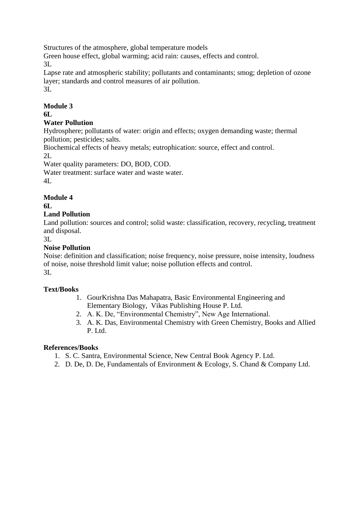Structures of the atmosphere, global temperature models

Green house effect, global warming; acid rain: causes, effects and control. 3L

Lapse rate and atmospheric stability; pollutants and contaminants; smog; depletion of ozone layer; standards and control measures of air pollution.

3L

# **Module 3**

**6L**

# **Water Pollution**

Hydrosphere; pollutants of water: origin and effects; oxygen demanding waste; thermal pollution; pesticides; salts.

Biochemical effects of heavy metals; eutrophication: source, effect and control. 2L

Water quality parameters: DO, BOD, COD.

Water treatment: surface water and waste water. 4L

# **Module 4**

**6L**

## **Land Pollution**

Land pollution: sources and control; solid waste: classification, recovery, recycling, treatment and disposal.

3L

## **Noise Pollution**

Noise: definition and classification; noise frequency, noise pressure, noise intensity, loudness of noise, noise threshold limit value; noise pollution effects and control. 3L

## **Text/Books**

- 1. GourKrishna Das Mahapatra, Basic Environmental Engineering and Elementary Biology, Vikas Publishing House P. Ltd.
- 2. A. K. De, "Environmental Chemistry", New Age International.
- 3. A. K. Das, Environmental Chemistry with Green Chemistry, Books and Allied P. Ltd.

## **References/Books**

- 1. S. C. Santra, Environmental Science, New Central Book Agency P. Ltd.
- 2. D. De, D. De, Fundamentals of Environment & Ecology, S. Chand & Company Ltd.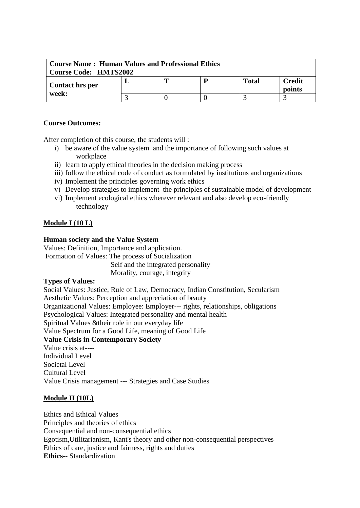| <b>Course Name: Human Values and Professional Ethics</b> |  |  |  |              |                         |  |
|----------------------------------------------------------|--|--|--|--------------|-------------------------|--|
| <b>Course Code: HMTS2002</b>                             |  |  |  |              |                         |  |
| Contact hrs per                                          |  |  |  | <b>Total</b> | <b>Credit</b><br>points |  |
| week:                                                    |  |  |  |              |                         |  |

After completion of this course, the students will :

- i) be aware of the value system and the importance of following such values at workplace
- ii) learn to apply ethical theories in the decision making process
- iii) follow the ethical code of conduct as formulated by institutions and organizations
- iv) Implement the principles governing work ethics
- v) Develop strategies to implement the principles of sustainable model of development
- vi) Implement ecological ethics wherever relevant and also develop eco-friendly technology

## **Module I (10 L)**

## **Human society and the Value System**

Values: Definition, Importance and application. Formation of Values: The process of Socialization Self and the integrated personality Morality, courage, integrity

#### **Types of Values:**

Social Values: Justice, Rule of Law, Democracy, Indian Constitution, Secularism Aesthetic Values: Perception and appreciation of beauty Organizational Values: Employee: Employer--- rights, relationships, obligations Psychological Values: Integrated personality and mental health Spiritual Values &their role in our everyday life Value Spectrum for a Good Life, meaning of Good Life **Value Crisis in Contemporary Society** Value crisis at---- Individual Level Societal Level Cultural Level Value Crisis management --- Strategies and Case Studies

## **Module II (10L)**

Ethics and Ethical Values Principles and theories of ethics Consequential and non-consequential ethics Egotism,Utilitarianism, Kant's theory and other non-consequential perspectives Ethics of care, justice and fairness, rights and duties **Ethics**-- Standardization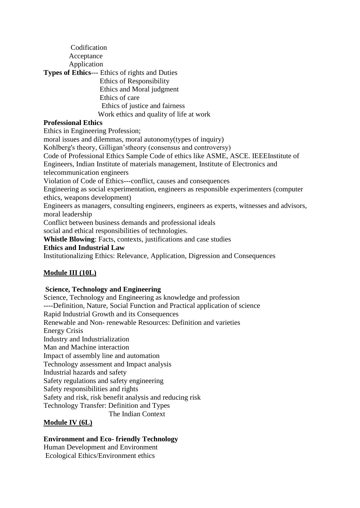Codification Acceptance Application **Types of Ethics**--- Ethics of rights and Duties Ethics of Responsibility Ethics and Moral judgment Ethics of care Ethics of justice and fairness Work ethics and quality of life at work **Professional Ethics**

Ethics in Engineering Profession; moral issues and dilemmas, moral autonomy(types of inquiry) Kohlberg's theory, Gilligan'stheory (consensus and controversy) Code of Professional Ethics Sample Code of ethics like ASME, ASCE. IEEEInstitute of Engineers, Indian Institute of materials management, Institute of Electronics and telecommunication engineers Violation of Code of Ethics---conflict, causes and consequences Engineering as social experimentation, engineers as responsible experimenters (computer ethics, weapons development) Engineers as managers, consulting engineers, engineers as experts, witnesses and advisors, moral leadership Conflict between business demands and professional ideals social and ethical responsibilities of technologies. **Whistle Blowing**: Facts, contexts, justifications and case studies **Ethics and Industrial Law** Institutionalizing Ethics: Relevance, Application, Digression and Consequences

## **Module III (10L)**

## **Science, Technology and Engineering**

Science, Technology and Engineering as knowledge and profession ----Definition, Nature, Social Function and Practical application of science Rapid Industrial Growth and its Consequences Renewable and Non- renewable Resources: Definition and varieties Energy Crisis Industry and Industrialization Man and Machine interaction Impact of assembly line and automation Technology assessment and Impact analysis Industrial hazards and safety Safety regulations and safety engineering Safety responsibilities and rights Safety and risk, risk benefit analysis and reducing risk Technology Transfer: Definition and Types The Indian Context **Module IV (6L)**

#### **Environment and Eco- friendly Technology**  Human Development and Environment Ecological Ethics/Environment ethics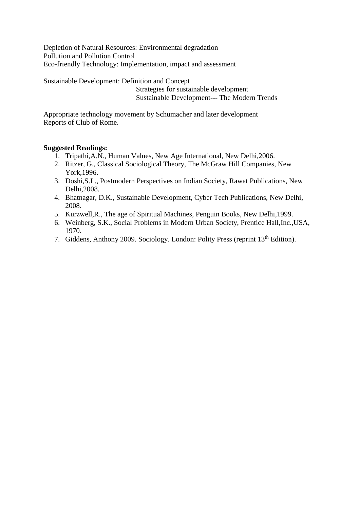Depletion of Natural Resources: Environmental degradation Pollution and Pollution Control Eco-friendly Technology: Implementation, impact and assessment

Sustainable Development: Definition and Concept

 Strategies for sustainable development Sustainable Development--- The Modern Trends

Appropriate technology movement by Schumacher and later development Reports of Club of Rome.

## **Suggested Readings:**

- 1. Tripathi,A.N., Human Values, New Age International, New Delhi,2006.
- 2. Ritzer, G., Classical Sociological Theory, The McGraw Hill Companies, New York,1996.
- 3. Doshi,S.L., Postmodern Perspectives on Indian Society, Rawat Publications, New Delhi,2008.
- 4. Bhatnagar, D.K., Sustainable Development, Cyber Tech Publications, New Delhi, 2008.
- 5. Kurzwell,R., The age of Spiritual Machines, Penguin Books, New Delhi,1999.
- 6. Weinberg, S.K., Social Problems in Modern Urban Society, Prentice Hall,Inc.,USA, 1970.
- 7. Giddens, Anthony 2009. Sociology. London: Polity Press (reprint 13<sup>th</sup> Edition).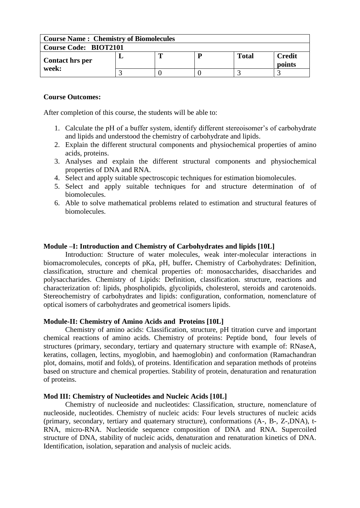| <b>Course Name: Chemistry of Biomolecules</b> |  |  |  |       |                         |  |  |
|-----------------------------------------------|--|--|--|-------|-------------------------|--|--|
| <b>Course Code: BIOT2101</b>                  |  |  |  |       |                         |  |  |
| Contact hrs per                               |  |  |  | Total | <b>Credit</b><br>points |  |  |
| week:                                         |  |  |  |       |                         |  |  |

After completion of this course, the students will be able to:

- 1. Calculate the pH of a buffer system, identify different stereoisomer's of carbohydrate and lipids and understood the chemistry of carbohydrate and lipids.
- 2. Explain the different structural components and physiochemical properties of amino acids, proteins.
- 3. Analyses and explain the different structural components and physiochemical properties of DNA and RNA.
- 4. Select and apply suitable spectroscopic techniques for estimation biomolecules.
- 5. Select and apply suitable techniques for and structure determination of of biomolecules.
- 6. Able to solve mathematical problems related to estimation and structural features of biomolecules.

#### **Module –I: Introduction and Chemistry of Carbohydrates and lipids [10L]**

Introduction: Structure of water molecules, weak inter-molecular interactions in biomacromolecules, concepts of pKa, pH, buffer**.** Chemistry of Carbohydrates: Definition, classification, structure and chemical properties of: monosaccharides, disaccharides and polysaccharides. Chemistry of Lipids: Definition, classification. structure, reactions and characterization of: lipids, phospholipids, glycolipids, cholesterol, steroids and carotenoids. Stereochemistry of carbohydrates and lipids: configuration, conformation, nomenclature of optical isomers of carbohydrates and geometrical isomers lipids.

#### **Module-II: Chemistry of Amino Acids and Proteins [10L]**

Chemistry of amino acids: Classification, structure, pH titration curve and important chemical reactions of amino acids. Chemistry of proteins: Peptide bond, four levels of structures (primary, secondary, tertiary and quaternary structure with example of: RNaseA, keratins, collagen, lectins, myoglobin, and haemoglobin) and conformation (Ramachandran plot, domains, motif and folds), of proteins. Identification and separation methods of proteins based on structure and chemical properties. Stability of protein, denaturation and renaturation of proteins.

#### **Mod III: Chemistry of Nucleotides and Nucleic Acids [10L]**

Chemistry of nucleoside and nucleotides: Classification, structure, nomenclature of nucleoside, nucleotides. Chemistry of nucleic acids: Four levels structures of nucleic acids (primary, secondary, tertiary and quaternary structure), conformations (A-, B-, Z-,DNA), t-RNA, micro-RNA. Nucleotide sequence composition of DNA and RNA. Supercoiled structure of DNA, stability of nucleic acids, denaturation and renaturation kinetics of DNA. Identification, isolation, separation and analysis of nucleic acids.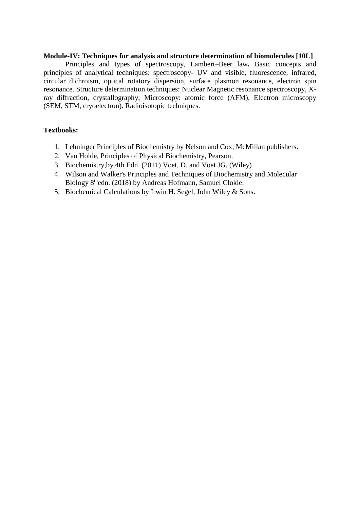#### **Module-IV: Techniques for analysis and structure determination of biomolecules [10L]**

Principles and types of spectroscopy, Lambert**–**Beer law**.** Basic concepts and principles of analytical techniques: spectroscopy- UV and visible, fluorescence, infrared, circular dichroism, optical rotatory dispersion, surface plasmon resonance, electron spin resonance. Structure determination techniques: Nuclear Magnetic resonance spectroscopy, Xray diffraction, crystallography; Microscopy: atomic force (AFM), Electron microscopy (SEM, STM, cryoelectron). Radioisotopic techniques.

## **Textbooks:**

- 1. Lehninger Principles of Biochemistry by Nelson and Cox, McMillan publishers.
- 2. Van Holde, Principles of Physical Biochemistry, Pearson.
- 3. Biochemistry,by 4th Edn. (2011) Voet, D. and Voet JG. (Wiley)
- 4. Wilson and Walker's Principles and Techniques of Biochemistry and Molecular Biology 8<sup>th</sup>edn. (2018) by Andreas Hofmann, Samuel Clokie.
- 5. Biochemical Calculations by Irwin H. Segel, John Wiley & Sons.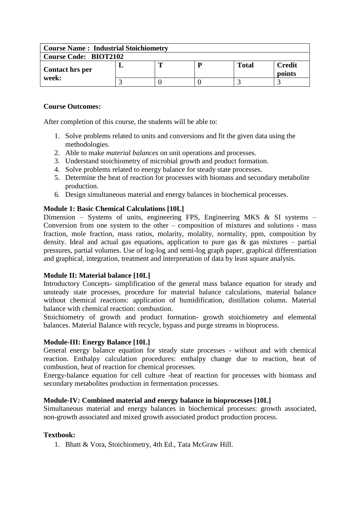| <b>Course Name: Industrial Stoichiometry</b> |  |  |  |              |                         |  |  |
|----------------------------------------------|--|--|--|--------------|-------------------------|--|--|
| <b>Course Code: BIOT2102</b>                 |  |  |  |              |                         |  |  |
| <b>Contact hrs per</b>                       |  |  |  | <b>Total</b> | <b>Credit</b><br>points |  |  |
| week:                                        |  |  |  |              |                         |  |  |

After completion of this course, the students will be able to:

- 1. Solve problems related to units and conversions and fit the given data using the methodologies.
- 2. Able to make *material balances* on unit operations and processes.
- 3. Understand stoichiometry of microbial growth and product formation.
- 4. Solve problems related to energy balance for steady state processes.
- 5. Determine the heat of reaction for processes with biomass and secondary metabolite production.
- 6. Design simultaneous material and energy balances in biochemical processes.

## **Module 1: Basic Chemical Calculations [10L]**

Dimension – Systems of units, engineering FPS, Engineering MKS & SI systems – Conversion from one system to the other – composition of mixtures and solutions - mass fraction, mole fraction, mass ratios, molarity, molality, normality, ppm, composition by density. Ideal and actual gas equations, application to pure gas  $\&$  gas mixtures – partial pressures, partial volumes. Use of log-log and semi-log graph paper, graphical differentiation and graphical, integration, treatment and interpretation of data by least square analysis.

#### **Module II: Material balance [10L]**

Introductory Concepts- simplification of the general mass balance equation for steady and unsteady state processes, procedure for material balance calculations, material balance without chemical reactions: application of humidification, distillation column. Material balance with chemical reaction: combustion.

Stoichiometry of growth and product formation- growth stoichiometry and elemental balances. Material Balance with recycle, bypass and purge streams in bioprocess.

#### **Module-III: Energy Balance [10L]**

General energy balance equation for steady state processes - without and with chemical reaction. Enthalpy calculation procedures: enthalpy change due to reaction, heat of combustion, heat of reaction for chemical processes.

Energy-balance equation for cell culture -heat of reaction for processes with biomass and secondary metabolites production in fermentation processes.

#### **Module-IV: Combined material and energy balance in bioprocesses [10L]**

Simultaneous material and energy balances in biochemical processes: growth associated, non-growth associated and mixed growth associated product production process.

#### **Textbook:**

1. Bhatt & Vora, Stoichiometry, 4th Ed., Tata McGraw Hill.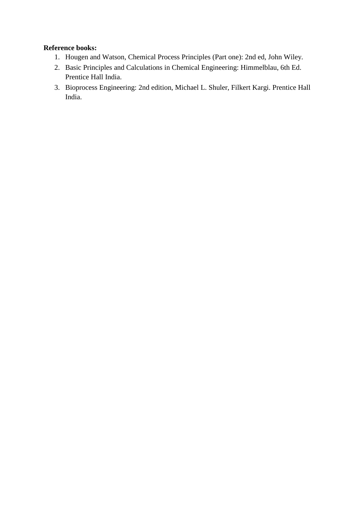## **Reference books:**

- 1. Hougen and Watson, Chemical Process Principles (Part one): 2nd ed, John Wiley.
- 2. Basic Principles and Calculations in Chemical Engineering: Himmelblau, 6th Ed. Prentice Hall India.
- 3. Bioprocess Engineering: 2nd edition, Michael L. Shuler, Filkert Kargi. Prentice Hall India.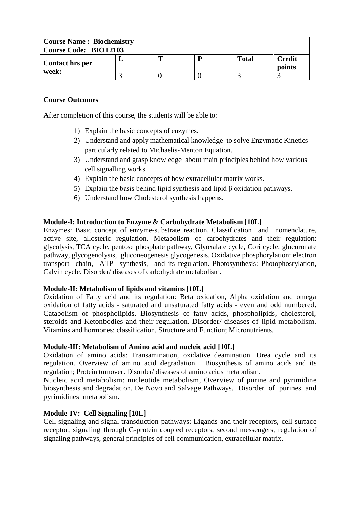| <b>Course Name: Biochemistry</b> |  |  |  |              |                         |  |  |
|----------------------------------|--|--|--|--------------|-------------------------|--|--|
| <b>Course Code: BIOT2103</b>     |  |  |  |              |                         |  |  |
| Contact hrs per                  |  |  |  | <b>Total</b> | <b>Credit</b><br>points |  |  |
| week:                            |  |  |  |              |                         |  |  |

After completion of this course, the students will be able to:

- 1) Explain the basic concepts of enzymes.
- 2) Understand and apply mathematical knowledge to solve Enzymatic Kinetics particularly related to Michaelis-Menton Equation.
- 3) Understand and grasp knowledge about main principles behind how various cell signalling works.
- 4) Explain the basic concepts of how extracellular matrix works.
- 5) Explain the basis behind lipid synthesis and lipid β oxidation pathways.
- 6) Understand how Cholesterol synthesis happens.

## **Module-I: Introduction to Enzyme & Carbohydrate Metabolism [10L]**

Enzymes: Basic concept of enzyme-substrate reaction, Classification and nomenclature, active site, allosteric regulation. Metabolism of carbohydrates and their regulation: glycolysis, TCA cycle, pentose phosphate pathway, Glyoxalate cycle, Cori cycle, glucuronate pathway, glycogenolysis, gluconeogenesis glycogenesis. Oxidative phosphorylation: electron transport chain, ATP synthesis, and its regulation. Photosynthesis: Photophosrylation, Calvin cycle. Disorder/ diseases of carbohydrate metabolism.

## **Module-II: Metabolism of lipids and vitamins [10L]**

Oxidation of Fatty acid and its regulation: Beta oxidation, Alpha oxidation and omega oxidation of fatty acids - saturated and unsaturated fatty acids - even and odd numbered. Catabolism of phospholipids. Biosynthesis of fatty acids, phospholipids, cholesterol, steroids and Ketonbodies and their regulation. Disorder/ diseases of lipid metabolism. Vitamins and hormones: classification, Structure and Function; Micronutrients.

#### **Module-III: Metabolism of Amino acid and nucleic acid [10L]**

Oxidation of amino acids: Transamination, oxidative deamination. Urea cycle and its regulation. Overview of amino acid degradation. Biosynthesis of amino acids and its regulation; Protein turnover. Disorder/ diseases of amino acids metabolism.

Nucleic acid metabolism: nucleotide metabolism, Overview of purine and pyrimidine biosynthesis and degradation, De Novo and Salvage Pathways. Disorder of purines and pyrimidines metabolism.

## **Module-IV: Cell Signaling [10L]**

Cell signaling and signal transduction pathways: Ligands and their receptors, cell surface receptor, signaling through G-protein coupled receptors, second messengers, regulation of signaling pathways, general principles of cell communication, extracellular matrix.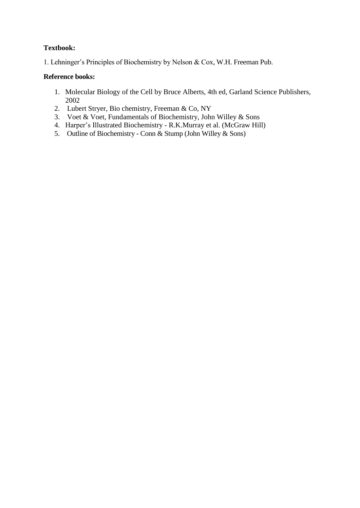## **Textbook:**

1. Lehninger's Principles of Biochemistry by Nelson & Cox, W.H. Freeman Pub.

## **Reference books:**

- 1. Molecular Biology of the Cell by Bruce Alberts, 4th ed, Garland Science Publishers, 2002
- 2. Lubert Stryer, Bio chemistry, Freeman & Co, NY
- 3. Voet & Voet, Fundamentals of Biochemistry, John Willey & Sons
- 4. Harper's Illustrated Biochemistry R.K.Murray et al. (McGraw Hill)
- 5. Outline of Biochemistry Conn & Stump (John Willey & Sons)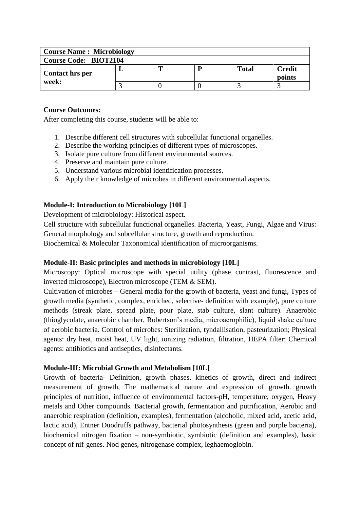| <b>Course Name: Microbiology</b> |  |  |  |              |                         |  |  |
|----------------------------------|--|--|--|--------------|-------------------------|--|--|
| <b>Course Code: BIOT2104</b>     |  |  |  |              |                         |  |  |
| <b>Contact hrs per</b>           |  |  |  | <b>Total</b> | <b>Credit</b><br>points |  |  |
| week:                            |  |  |  |              |                         |  |  |

After completing this course, students will be able to:

- 1. Describe different cell structures with subcellular functional organelles.
- 2. Describe the working principles of different types of microscopes.
- 3. Isolate pure culture from different environmental sources.
- 4. Preserve and maintain pure culture.
- 5. Understand various microbial identification processes.
- 6. Apply their knowledge of microbes in different environmental aspects.

## **Module-I: Introduction to Microbiology [10L]**

Development of microbiology: Historical aspect.

Cell structure with subcellular functional organelles. Bacteria, Yeast, Fungi, Algae and Virus: General morphology and subcellular structure, growth and reproduction.

Biochemical & Molecular Taxonomical identification of microorganisms.

## **Module-II: Basic principles and methods in microbiology [10L]**

Microscopy: Optical microscope with special utility (phase contrast, fluorescence and inverted microscope), Electron microscope (TEM & SEM).

Cultivation of microbes – General media for the growth of bacteria, yeast and fungi, Types of growth media (synthetic, complex, enriched, selective- definition with example), pure culture methods (streak plate, spread plate, pour plate, stab culture, slant culture). Anaerobic (thioglycolate, anaerobic chamber, Robertson's media, microaerophilic), liquid shake culture of aerobic bacteria. Control of microbes: Sterilization, tyndallisation, pasteurization; Physical agents: dry heat, moist heat, UV light, ionizing radiation, filtration, HEPA filter; Chemical agents: antibiotics and antiseptics, disinfectants.

## **Module-III: Microbial Growth and Metabolism [10L]**

Growth of bacteria- Definition, growth phases, kinetics of growth, direct and indirect measurement of growth, The mathematical nature and expression of growth. growth principles of nutrition, influence of environmental factors-pH, temperature, oxygen, Heavy metals and Other compounds. Bacterial growth, fermentation and putrification, Aerobic and anaerobic respiration (definition, examples), fermentation (alcoholic, mixed acid, acetic acid, lactic acid), Entner Duodruffs pathway, bacterial photosynthesis (green and purple bacteria), biochemical nitrogen fixation – non-symbiotic, symbiotic (definition and examples), basic concept of nif-genes. Nod genes, nitrogenase complex, leghaemoglobin.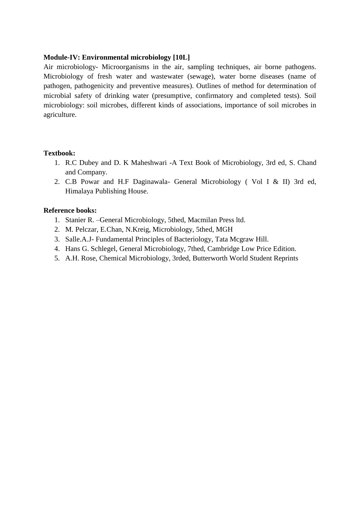#### **Module-IV: Environmental microbiology [10L]**

Air microbiology- Microorganisms in the air, sampling techniques, air borne pathogens. Microbiology of fresh water and wastewater (sewage), water borne diseases (name of pathogen, pathogenicity and preventive measures). Outlines of method for determination of microbial safety of drinking water (presumptive, confirmatory and completed tests). Soil microbiology: soil microbes, different kinds of associations, importance of soil microbes in agriculture.

## **Textbook:**

- 1. R.C Dubey and D. K Maheshwari -A Text Book of Microbiology, 3rd ed, S. Chand and Company.
- 2. C.B Powar and H.F Daginawala- General Microbiology ( Vol I & II) 3rd ed, Himalaya Publishing House.

## **Reference books:**

- 1. Stanier R. –General Microbiology, 5thed, Macmilan Press ltd.
- 2. M. Pelczar, E.Chan, N.Kreig, Microbiology, 5thed, MGH
- 3. Salle.A.J- Fundamental Principles of Bacteriology, Tata Mcgraw Hill.
- 4. Hans G. Schlegel, General Microbiology, 7thed, Cambridge Low Price Edition.
- 5. A.H. Rose, Chemical Microbiology, 3rded, Butterworth World Student Reprints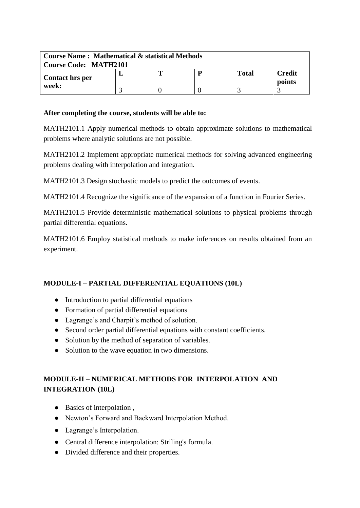| <b>Course Name: Mathematical &amp; statistical Methods</b> |  |  |   |              |                  |  |  |
|------------------------------------------------------------|--|--|---|--------------|------------------|--|--|
| <b>Course Code: MATH2101</b>                               |  |  |   |              |                  |  |  |
| <b>Contact hrs per</b>                                     |  |  | D | <b>Total</b> | Credit<br>points |  |  |
| week:                                                      |  |  |   |              |                  |  |  |

## **After completing the course, students will be able to:**

MATH2101.1 Apply numerical methods to obtain approximate solutions to mathematical problems where analytic solutions are not possible.

MATH2101.2 Implement appropriate numerical methods for solving advanced engineering problems dealing with interpolation and integration.

MATH2101.3 Design stochastic models to predict the outcomes of events.

MATH2101.4 Recognize the significance of the expansion of a function in Fourier Series.

MATH2101.5 Provide deterministic mathematical solutions to physical problems through partial differential equations.

MATH2101.6 Employ statistical methods to make inferences on results obtained from an experiment.

# **MODULE-I – PARTIAL DIFFERENTIAL EQUATIONS (10L)**

- Introduction to partial differential equations
- Formation of partial differential equations
- Lagrange's and Charpit's method of solution.
- Second order partial differential equations with constant coefficients.
- Solution by the method of separation of variables.
- Solution to the wave equation in two dimensions.

# **MODULE-II – NUMERICAL METHODS FOR INTERPOLATION AND INTEGRATION (10L)**

- Basics of interpolation,
- Newton's Forward and Backward Interpolation Method.
- Lagrange's Interpolation.
- Central difference interpolation: Striling's formula.
- Divided difference and their properties.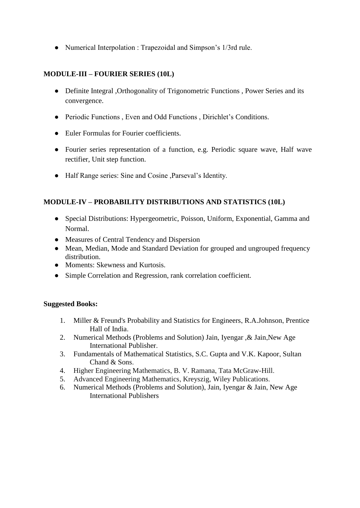● Numerical Interpolation : Trapezoidal and Simpson's 1/3rd rule.

## **MODULE-III – FOURIER SERIES (10L)**

- Definite Integral , Orthogonality of Trigonometric Functions , Power Series and its convergence.
- Periodic Functions , Even and Odd Functions , Dirichlet's Conditions.
- Euler Formulas for Fourier coefficients.
- Fourier series representation of a function, e.g. Periodic square wave, Half wave rectifier, Unit step function.
- Half Range series: Sine and Cosine ,Parseval's Identity.

## **MODULE-IV – PROBABILITY DISTRIBUTIONS AND STATISTICS (10L)**

- Special Distributions: Hypergeometric, Poisson, Uniform, Exponential, Gamma and Normal.
- Measures of Central Tendency and Dispersion
- Mean, Median, Mode and Standard Deviation for grouped and ungrouped frequency distribution.
- Moments: Skewness and Kurtosis.
- Simple Correlation and Regression, rank correlation coefficient.

## **Suggested Books:**

- 1. Miller & Freund's Probability and Statistics for Engineers, R.A.Johnson, Prentice Hall of India.
- 2. Numerical Methods (Problems and Solution) Jain, Iyengar ,& Jain,New Age International Publisher.
- 3. Fundamentals of Mathematical Statistics, S.C. Gupta and V.K. Kapoor, Sultan Chand & Sons.
- 4. Higher Engineering Mathematics, B. V. Ramana, Tata McGraw-Hill.
- 5. Advanced Engineering Mathematics, Kreyszig, Wiley Publications.
- 6. Numerical Methods (Problems and Solution), Jain, Iyengar & Jain, New Age International Publishers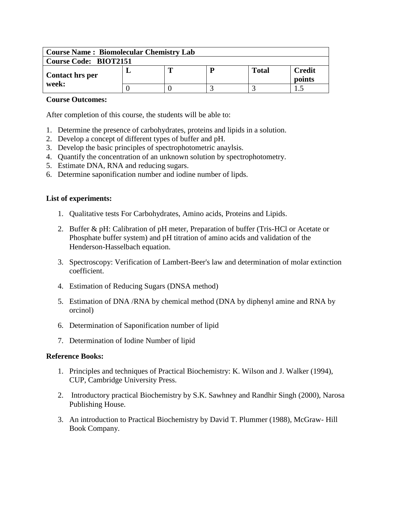| <b>Course Name: Biomolecular Chemistry Lab</b> |  |  |   |              |                         |  |  |
|------------------------------------------------|--|--|---|--------------|-------------------------|--|--|
| <b>Course Code: BIOT2151</b>                   |  |  |   |              |                         |  |  |
| <b>Contact hrs per</b>                         |  |  | D | <b>Total</b> | <b>Credit</b><br>points |  |  |
| week:                                          |  |  |   |              |                         |  |  |

After completion of this course, the students will be able to:

- 1. Determine the presence of carbohydrates, proteins and lipids in a solution.
- 2. Develop a concept of different types of buffer and pH.
- 3. Develop the basic principles of spectrophotometric anaylsis.
- 4. Quantify the concentration of an unknown solution by spectrophotometry.
- 5. Estimate DNA, RNA and reducing sugars.
- 6. Determine saponification number and iodine number of lipds.

#### **List of experiments:**

- 1. Qualitative tests For Carbohydrates, Amino acids, Proteins and Lipids.
- 2. Buffer & pH: Calibration of pH meter, Preparation of buffer (Tris-HCl or Acetate or Phosphate buffer system) and pH titration of amino acids and validation of the Henderson-Hasselbach equation.
- 3. Spectroscopy: Verification of Lambert-Beer's law and determination of molar extinction coefficient.
- 4. Estimation of Reducing Sugars (DNSA method)
- 5. Estimation of DNA /RNA by chemical method (DNA by diphenyl amine and RNA by orcinol)
- 6. Determination of Saponification number of lipid
- 7. Determination of Iodine Number of lipid

#### **Reference Books:**

- 1. Principles and techniques of Practical Biochemistry: K. Wilson and J. Walker (1994), CUP, Cambridge University Press.
- 2. Introductory practical Biochemistry by S.K. Sawhney and Randhir Singh (2000), Narosa Publishing House.
- 3. An introduction to Practical Biochemistry by David T. Plummer (1988), McGraw- Hill Book Company.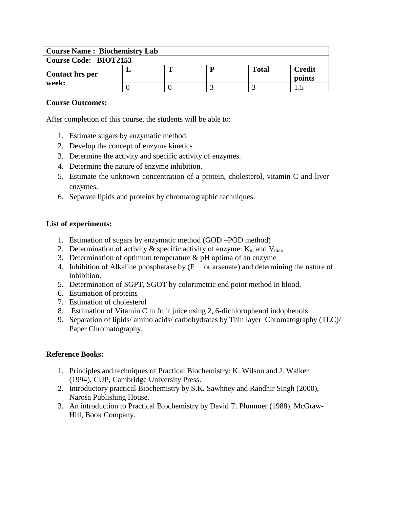| <b>Course Name: Biochemistry Lab</b> |  |  |   |              |                         |  |  |
|--------------------------------------|--|--|---|--------------|-------------------------|--|--|
| <b>Course Code: BIOT2153</b>         |  |  |   |              |                         |  |  |
| <b>Contact hrs per</b>               |  |  | D | <b>Total</b> | <b>Credit</b><br>points |  |  |
| week:                                |  |  |   |              |                         |  |  |

After completion of this course, the students will be able to:

- 1. Estimate sugars by enzymatic method.
- 2. Develop the concept of enzyme kinetics
- 3. Determine the activity and specific activity of enzymes.
- 4. Determine the nature of enzyme inhibition.
- 5. Estimate the unknown concentration of a protein, cholesterol, vitamin C and liver enzymes.
- 6. Separate lipids and proteins by chromatographic techniques.

## **List of experiments:**

- 1. Estimation of sugars by enzymatic method (GOD –POD method)
- 2. Determination of activity  $\&$  specific activity of enzyme:  $K_m$  and  $V_{max}$
- 3. Determination of optimum temperature & pH optima of an enzyme
- 4. Inhibition of Alkaline phosphatase by  $(F<sup>-</sup>$  or arsenate) and determining the nature of inhibition.
- 5. Determination of SGPT, SGOT by colorimetric end point method in blood.
- 6. Estimation of proteins
- 7. Estimation of cholesterol
- 8. Estimation of Vitamin C in fruit juice using 2, 6-dichlorophenol indophenols
- 9. Separation of lipids/ amino acids/ carbohydrates by Thin layer Chromatography (TLC)/ Paper Chromatography.

## **Reference Books:**

- 1. Principles and techniques of Practical Biochemistry: K. Wilson and J. Walker (1994), CUP, Cambridge University Press.
- 2. Introductory practical Biochemistry by S.K. Sawhney and Randhir Singh (2000), Narosa Publishing House.
- 3. An introduction to Practical Biochemistry by David T. Plummer (1988), McGraw-Hill, Book Company.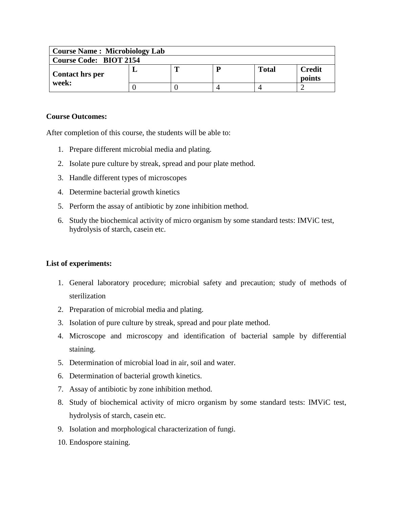| <b>Course Name: Microbiology Lab</b> |  |   |  |              |                         |  |  |
|--------------------------------------|--|---|--|--------------|-------------------------|--|--|
| <b>Course Code: BIOT 2154</b>        |  |   |  |              |                         |  |  |
| <b>Contact hrs per</b>               |  | m |  | <b>Total</b> | <b>Credit</b><br>points |  |  |
| week:                                |  |   |  |              |                         |  |  |

After completion of this course, the students will be able to:

- 1. Prepare different microbial media and plating.
- 2. Isolate pure culture by streak, spread and pour plate method.
- 3. Handle different types of microscopes
- 4. Determine bacterial growth kinetics
- 5. Perform the assay of antibiotic by zone inhibition method.
- 6. Study the biochemical activity of micro organism by some standard tests: IMViC test, hydrolysis of starch, casein etc.

#### **List of experiments:**

- 1. General laboratory procedure; microbial safety and precaution; study of methods of sterilization
- 2. Preparation of microbial media and plating.
- 3. Isolation of pure culture by streak, spread and pour plate method.
- 4. Microscope and microscopy and identification of bacterial sample by differential staining.
- 5. Determination of microbial load in air, soil and water.
- 6. Determination of bacterial growth kinetics.
- 7. Assay of antibiotic by zone inhibition method.
- 8. Study of biochemical activity of micro organism by some standard tests: IMViC test, hydrolysis of starch, casein etc.
- 9. Isolation and morphological characterization of fungi.
- 10. Endospore staining.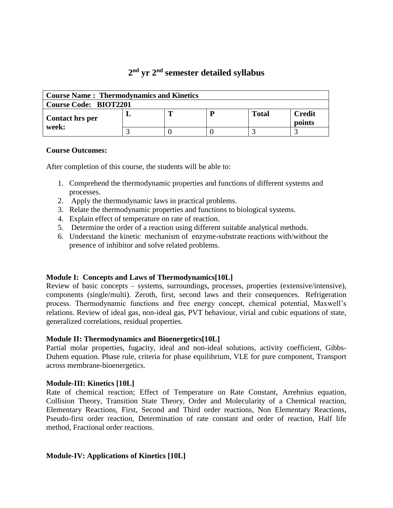# **2 nd yr 2 nd semester detailed syllabus**

| <b>Course Name: Thermodynamics and Kinetics</b> |  |  |  |              |                  |  |  |
|-------------------------------------------------|--|--|--|--------------|------------------|--|--|
| <b>Course Code: BIOT2201</b>                    |  |  |  |              |                  |  |  |
| <b>Contact hrs per</b><br>week:                 |  |  |  | <b>Total</b> | Credit<br>points |  |  |
|                                                 |  |  |  |              |                  |  |  |

#### **Course Outcomes:**

After completion of this course, the students will be able to:

- 1. Comprehend the thermodynamic properties and functions of different systems and processes.
- 2. Apply the thermodynamic laws in practical problems.
- 3. Relate the thermodynamic properties and functions to biological systems.
- 4. Explain effect of temperature on rate of reaction.
- 5. Determine the order of a reaction using different suitable analytical methods.
- 6. Understand the kinetic mechanism of enzyme-substrate reactions with/without the presence of inhibitor and solve related problems.

#### **Module I: Concepts and Laws of Thermodynamics[10L]**

Review of basic concepts – systems, surroundings, processes, properties (extensive/intensive), components (single/multi). Zeroth, first, second laws and their consequences. Refrigeration process. Thermodynamic functions and free energy concept, chemical potential, Maxwell's relations. Review of ideal gas, non-ideal gas, PVT behaviour, virial and cubic equations of state, generalized correlations, residual properties.

#### **Module II: Thermodynamics and Bioenergetics[10L]**

Partial molar properties, fugacity, ideal and non-ideal solutions, activity coefficient, Gibbs-Duhem equation. Phase rule, criteria for phase equilibrium, VLE for pure component, Transport across membrane-bioenergetics.

#### **Module-III: Kinetics [10L]**

Rate of chemical reaction; Effect of Temperature on Rate Constant, Arrehnius equation, Collision Theory, Transition State Theory, Order and Molecularity of a Chemical reaction, Elementary Reactions, First, Second and Third order reactions, Non Elementary Reactions, Pseudo-first order reaction, Determination of rate constant and order of reaction, Half life method, Fractional order reactions.

#### **Module-IV: Applications of Kinetics [10L]**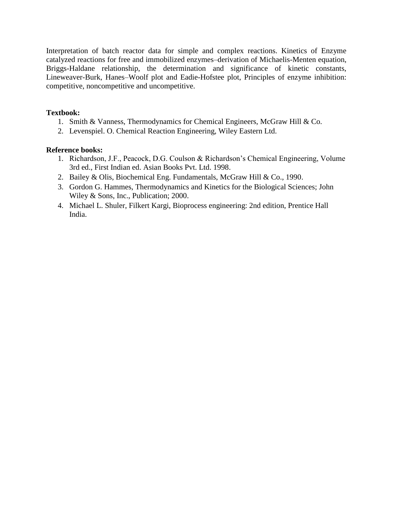Interpretation of batch reactor data for simple and complex reactions. Kinetics of Enzyme catalyzed reactions for free and immobilized enzymes–derivation of Michaelis-Menten equation, Briggs-Haldane relationship, the determination and significance of kinetic constants, Lineweaver-Burk, Hanes–Woolf plot and Eadie-Hofstee plot, Principles of enzyme inhibition: competitive, noncompetitive and uncompetitive.

#### **Textbook:**

- 1. Smith & Vanness, Thermodynamics for Chemical Engineers, McGraw Hill & Co.
- 2. Levenspiel. O. Chemical Reaction Engineering, Wiley Eastern Ltd.

#### **Reference books:**

- 1. Richardson, J.F., Peacock, D.G. Coulson & Richardson's Chemical Engineering, Volume 3rd ed., First Indian ed. Asian Books Pvt. Ltd. 1998.
- 2. Bailey & Olis, Biochemical Eng. Fundamentals, McGraw Hill & Co., 1990.
- 3. Gordon G. Hammes, Thermodynamics and Kinetics for the Biological Sciences; John Wiley & Sons, Inc., Publication; 2000.
- 4. Michael L. Shuler, Filkert Kargi, Bioprocess engineering: 2nd edition, Prentice Hall India.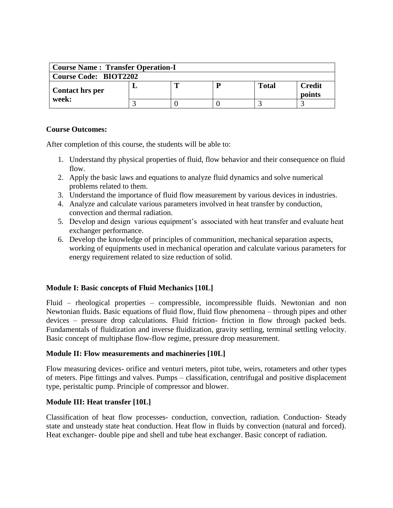| <b>Course Name: Transfer Operation-I</b> |  |   |  |       |                         |  |  |
|------------------------------------------|--|---|--|-------|-------------------------|--|--|
| <b>Course Code: BIOT2202</b>             |  |   |  |       |                         |  |  |
| <b>Contact hrs per</b>                   |  | m |  | Total | <b>Credit</b><br>points |  |  |
| week:                                    |  |   |  |       |                         |  |  |

After completion of this course, the students will be able to:

- 1. Understand thy physical properties of fluid, flow behavior and their consequence on fluid flow.
- 2. Apply the basic laws and equations to analyze fluid dynamics and solve numerical problems related to them.
- 3. Understand the importance of fluid flow measurement by various devices in industries.
- 4. Analyze and calculate various parameters involved in heat transfer by conduction, convection and thermal radiation.
- 5. Develop and design various equipment's associated with heat transfer and evaluate heat exchanger performance.
- 6. Develop the knowledge of principles of communition, mechanical separation aspects, working of equipments used in mechanical operation and calculate various parameters for energy requirement related to size reduction of solid.

## **Module I: Basic concepts of Fluid Mechanics [10L]**

Fluid – rheological properties – compressible, incompressible fluids. Newtonian and non Newtonian fluids. Basic equations of fluid flow, fluid flow phenomena – through pipes and other devices – pressure drop calculations. Fluid friction- friction in flow through packed beds. Fundamentals of fluidization and inverse fluidization, gravity settling, terminal settling velocity. Basic concept of multiphase flow-flow regime, pressure drop measurement.

#### **Module II: Flow measurements and machineries [10L]**

Flow measuring devices- orifice and venturi meters, pitot tube, weirs, rotameters and other types of meters. Pipe fittings and valves. Pumps – classification, centrifugal and positive displacement type, peristaltic pump. Principle of compressor and blower.

#### **Module III: Heat transfer [10L]**

Classification of heat flow processes- conduction, convection, radiation. Conduction- Steady state and unsteady state heat conduction. Heat flow in fluids by convection (natural and forced). Heat exchanger- double pipe and shell and tube heat exchanger. Basic concept of radiation.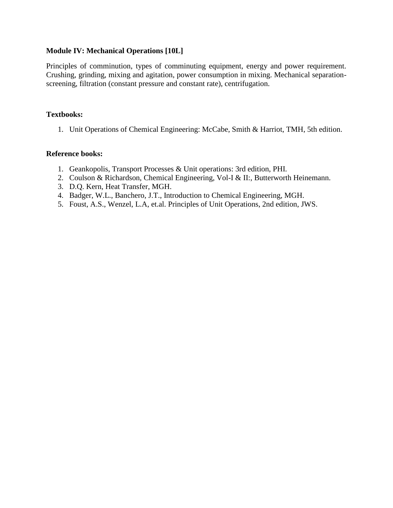#### **Module IV: Mechanical Operations [10L]**

Principles of comminution, types of comminuting equipment, energy and power requirement. Crushing, grinding, mixing and agitation, power consumption in mixing. Mechanical separationscreening, filtration (constant pressure and constant rate), centrifugation.

#### **Textbooks:**

1. Unit Operations of Chemical Engineering: McCabe, Smith & Harriot, TMH, 5th edition.

#### **Reference books:**

- 1. Geankopolis, Transport Processes & Unit operations: 3rd edition, PHI.
- 2. Coulson & Richardson, Chemical Engineering, Vol-I & II:, Butterworth Heinemann.
- 3. D.Q. Kern, Heat Transfer, MGH.
- 4. Badger, W.L., Banchero, J.T., Introduction to Chemical Engineering, MGH.
- 5. Foust, A.S., Wenzel, L.A, et.al. Principles of Unit Operations, 2nd edition, JWS.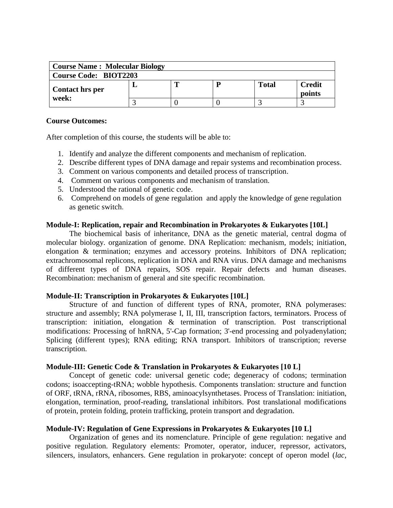| <b>Course Name: Molecular Biology</b> |  |  |   |       |                         |  |  |
|---------------------------------------|--|--|---|-------|-------------------------|--|--|
| <b>Course Code: BIOT2203</b>          |  |  |   |       |                         |  |  |
| <b>Contact hrs per</b>                |  |  | P | Total | <b>Credit</b><br>points |  |  |
| week:                                 |  |  |   |       |                         |  |  |

After completion of this course, the students will be able to:

- 1. Identify and analyze the different components and mechanism of replication.
- 2. Describe different types of DNA damage and repair systems and recombination process.
- 3. Comment on various components and detailed process of transcription.
- 4. Comment on various components and mechanism of translation.
- 5. Understood the rational of genetic code.
- 6. Comprehend on models of gene regulation and apply the knowledge of gene regulation as genetic switch.

#### **Module-I: Replication, repair and Recombination in Prokaryotes & Eukaryotes [10L]**

The biochemical basis of inheritance, DNA as the genetic material, central dogma of molecular biology. organization of genome. DNA Replication: mechanism, models; initiation, elongation & termination; enzymes and accessory proteins. Inhibitors of DNA replication; extrachromosomal replicons, replication in DNA and RNA virus. DNA damage and mechanisms of different types of DNA repairs, SOS repair. Repair defects and human diseases. Recombination: mechanism of general and site specific recombination.

#### **Module-II: Transcription in Prokaryotes & Eukaryotes [10L]**

Structure of and function of different types of RNA, promoter, RNA polymerases: structure and assembly; RNA polymerase I, II, III, transcription factors, terminators. Process of transcription: initiation, elongation & termination of transcription. Post transcriptional modifications: Processing of hnRNA, 5'-Cap formation; 3'-end processing and polyadenylation; Splicing (different types); RNA editing; RNA transport. Inhibitors of transcription; reverse transcription.

#### **Module-III: Genetic Code & Translation in Prokaryotes & Eukaryotes [10 L]**

Concept of genetic code: universal genetic code; degeneracy of codons; termination codons; isoaccepting-tRNA; wobble hypothesis. Components translation: structure and function of ORF, tRNA, rRNA, ribosomes, RBS, aminoacylsynthetases. Process of Translation: initiation, elongation, termination, proof-reading, translational inhibitors. Post translational modifications of protein, protein folding, protein trafficking, protein transport and degradation.

#### **Module-IV: Regulation of Gene Expressions in Prokaryotes & Eukaryotes [10 L]**

Organization of genes and its nomenclature. Principle of gene regulation: negative and positive regulation. Regulatory elements: Promoter, operator, inducer, repressor, activators, silencers, insulators, enhancers. Gene regulation in prokaryote: concept of operon model (*lac,*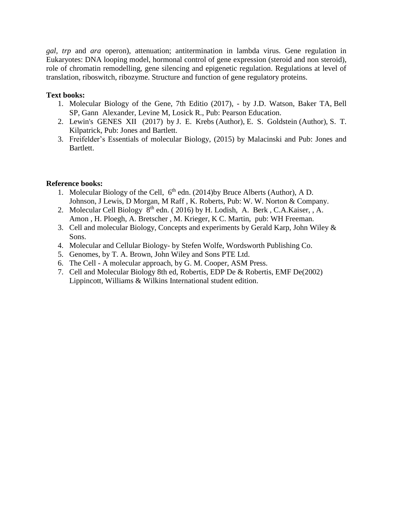*gal, trp* and *ara* operon), attenuation; antitermination in lambda virus. Gene regulation in Eukaryotes: DNA looping model, hormonal control of gene expression (steroid and non steroid), role of chromatin remodelling, gene silencing and epigenetic regulation. Regulations at level of translation, riboswitch, ribozyme. Structure and function of gene regulatory proteins.

## **Text books:**

- 1. Molecular Biology of the Gene, 7th Editio (2017), by J.D. Watson, Baker TA, Bell SP, Gann Alexander, Levine M, Losick R., Pub: Pearson Education.
- 2. Lewin's GENES XII (2017) by J. E. Krebs (Author), E. S. Goldstein (Author), S. T. Kilpatrick, Pub: Jones and Bartlett.
- 3. Freifelder's Essentials of molecular Biology, (2015) by Malacinski and Pub: Jones and Bartlett.

## **Reference books:**

- 1. Molecular Biology of the Cell,  $6<sup>th</sup>$  edn. (2014)by Bruce Alberts (Author), A D. Johnson, J Lewis, D Morgan, M Raff , K. Roberts, Pub: W. W. Norton & Company.
- 2. Molecular Cell Biology  $8<sup>th</sup>$  edn. (2016) by H. Lodish, [A.](https://www.amazon.in/s/ref=dp_byline_sr_book_4?ie=UTF8&field-author=Angelika+Amon&search-alias=stripbooks) Berk, C.A.Kaiser, , A. [Amon](https://www.amazon.in/s/ref=dp_byline_sr_book_4?ie=UTF8&field-author=Angelika+Amon&search-alias=stripbooks) , H. Ploegh, A. Bretscher , M. Krieger, K C. Martin, pub: WH Freeman.
- 3. Cell and molecular Biology, Concepts and experiments by Gerald Karp, John Wiley & Sons.
- 4. Molecular and Cellular Biology- by Stefen Wolfe, Wordsworth Publishing Co.
- 5. Genomes, by T. A. Brown, John Wiley and Sons PTE Ltd.
- 6. The Cell A molecular approach, by G. M. Cooper, ASM Press.
- 7. Cell and Molecular Biology 8th ed, Robertis, EDP De & Robertis, EMF De(2002) Lippincott, Williams & Wilkins International student edition.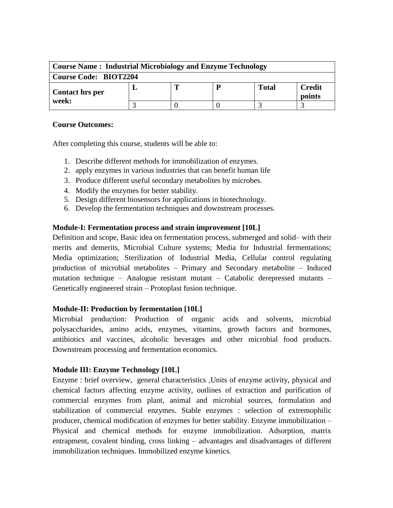| <b>Course Name: Industrial Microbiology and Enzyme Technology</b> |  |  |  |       |                         |  |  |  |  |
|-------------------------------------------------------------------|--|--|--|-------|-------------------------|--|--|--|--|
| <b>Course Code: BIOT2204</b>                                      |  |  |  |       |                         |  |  |  |  |
| <b>Contact hrs per</b>                                            |  |  |  | Total | <b>Credit</b><br>points |  |  |  |  |
| week:                                                             |  |  |  |       |                         |  |  |  |  |

After completing this course, students will be able to:

- 1. Describe different methods for immobilization of enzymes.
- 2. apply enzymes in various industries that can benefit human life
- 3. Produce different useful secondary metabolites by microbes.
- 4. Modify the enzymes for better stability.
- 5. Design different biosensors for applications in biotechnology.
- 6. Develop the fermentation techniques and downstream processes.

#### **Module-I: Fermentation process and strain improvement [10L]**

Definition and scope, Basic idea on fermentation process, submerged and solid– with their merits and demerits, Microbial Culture systems; Media for Industrial fermentations; Media optimization; Sterilization of Industrial Media, Cellular control regulating production of microbial metabolites – Primary and Secondary metabolite – Induced mutation technique – Analogue resistant mutant – Catabolic derepressed mutants – Genetically engineered strain – Protoplast fusion technique.

#### **Module-II: Production by fermentation [10L]**

Microbial production: Production of organic acids and solvents, microbial polysaccharides, amino acids, enzymes, vitamins, growth factors and hormones, antibiotics and vaccines, alcoholic beverages and other microbial food products. Downstream processing and fermentation economics.

#### **Module III: Enzyme Technology [10L]**

Enzyme : brief overview, general characteristics ,Units of enzyme activity, physical and chemical factors affecting enzyme activity, outlines of extraction and purification of commercial enzymes from plant, animal and microbial sources, formulation and stabilization of commercial enzymes. Stable enzymes : selection of extremophilic producer, chemical modification of enzymes for better stability. Enzyme immobilization – Physical and chemical methods for enzyme immobilization. Adsorption, matrix entrapment, covalent binding, cross linking – advantages and disadvantages of different immobilization techniques. Immobilized enzyme kinetics.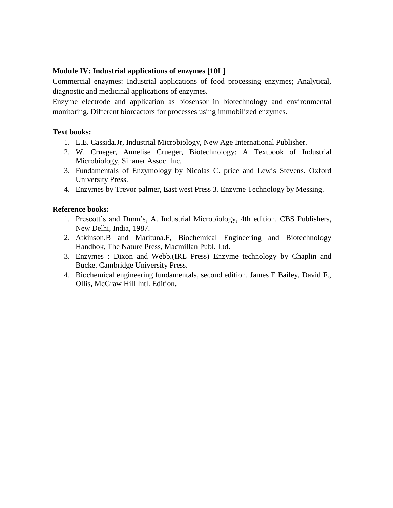## **Module IV: Industrial applications of enzymes [10L]**

Commercial enzymes: Industrial applications of food processing enzymes; Analytical, diagnostic and medicinal applications of enzymes.

Enzyme electrode and application as biosensor in biotechnology and environmental monitoring. Different bioreactors for processes using immobilized enzymes.

#### **Text books:**

- 1. L.E. Cassida.Jr, Industrial Microbiology, New Age International Publisher.
- 2. W. Crueger, Annelise Crueger, Biotechnology: A Textbook of Industrial Microbiology, Sinauer Assoc. Inc.
- 3. Fundamentals of Enzymology by Nicolas C. price and Lewis Stevens. Oxford University Press.
- 4. Enzymes by Trevor palmer, East west Press 3. Enzyme Technology by Messing.

#### **Reference books:**

- 1. Prescott's and Dunn's, A. Industrial Microbiology, 4th edition. CBS Publishers, New Delhi, India, 1987.
- 2. Atkinson.B and Marituna.F, Biochemical Engineering and Biotechnology Handbok, The Nature Press, Macmillan Publ. Ltd.
- 3. Enzymes : Dixon and Webb.(IRL Press) Enzyme technology by Chaplin and Bucke. Cambridge University Press.
- 4. Biochemical engineering fundamentals, second edition. James E Bailey, David F., Ollis, McGraw Hill Intl. Edition.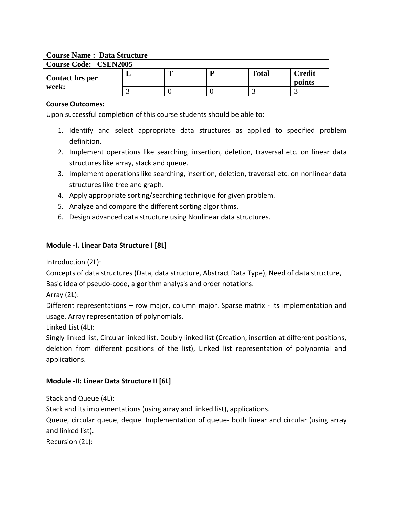| <b>Course Name: Data Structure</b> |  |  |   |       |                  |  |  |  |  |
|------------------------------------|--|--|---|-------|------------------|--|--|--|--|
| <b>Course Code: CSEN2005</b>       |  |  |   |       |                  |  |  |  |  |
| <b>Contact hrs per</b>             |  |  | р | Total | Credit<br>points |  |  |  |  |
| week:                              |  |  |   |       |                  |  |  |  |  |

Upon successful completion of this course students should be able to:

- 1. Identify and select appropriate data structures as applied to specified problem definition.
- 2. Implement operations like searching, insertion, deletion, traversal etc. on linear data structures like array, stack and queue.
- 3. Implement operations like searching, insertion, deletion, traversal etc. on nonlinear data structures like tree and graph.
- 4. Apply appropriate sorting/searching technique for given problem.
- 5. Analyze and compare the different sorting algorithms.
- 6. Design advanced data structure using Nonlinear data structures.

## **Module -I. Linear Data Structure I [8L]**

Introduction (2L):

Concepts of data structures (Data, data structure, Abstract Data Type), Need of data structure, Basic idea of pseudo-code, algorithm analysis and order notations.

Array (2L):

Different representations – row major, column major. Sparse matrix - its implementation and usage. Array representation of polynomials.

Linked List (4L):

Singly linked list, Circular linked list, Doubly linked list (Creation, insertion at different positions, deletion from different positions of the list), Linked list representation of polynomial and applications.

## **Module -II: Linear Data Structure II [6L]**

Stack and Queue (4L):

Stack and its implementations (using array and linked list), applications.

Queue, circular queue, deque. Implementation of queue- both linear and circular (using array and linked list).

Recursion (2L):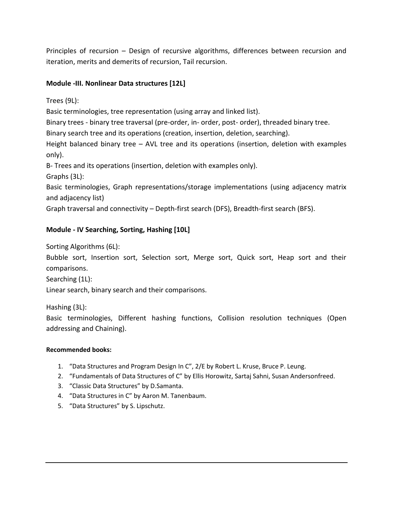Principles of recursion – Design of recursive algorithms, differences between recursion and iteration, merits and demerits of recursion, Tail recursion.

## **Module -III. Nonlinear Data structures [12L]**

Trees (9L):

Basic terminologies, tree representation (using array and linked list).

Binary trees - binary tree traversal (pre-order, in- order, post- order), threaded binary tree.

Binary search tree and its operations (creation, insertion, deletion, searching).

Height balanced binary tree – AVL tree and its operations (insertion, deletion with examples only).

B- Trees and its operations (insertion, deletion with examples only).

Graphs (3L):

Basic terminologies, Graph representations/storage implementations (using adjacency matrix and adjacency list)

Graph traversal and connectivity – Depth-first search (DFS), Breadth-first search (BFS).

# **Module - IV Searching, Sorting, Hashing [10L]**

Sorting Algorithms (6L):

Bubble sort, Insertion sort, Selection sort, Merge sort, Quick sort, Heap sort and their comparisons.

Searching (1L):

Linear search, binary search and their comparisons.

Hashing (3L):

Basic terminologies, Different hashing functions, Collision resolution techniques (Open addressing and Chaining).

#### **Recommended books:**

- 1. "Data Structures and Program Design In C", 2/E by Robert L. Kruse, Bruce P. Leung.
- 2. "Fundamentals of Data Structures of C" by Ellis Horowitz, Sartaj Sahni, Susan Andersonfreed.
- 3. "Classic Data Structures" by D.Samanta.
- 4. "Data Structures in C" by Aaron M. Tanenbaum.
- 5. "Data Structures" by S. Lipschutz.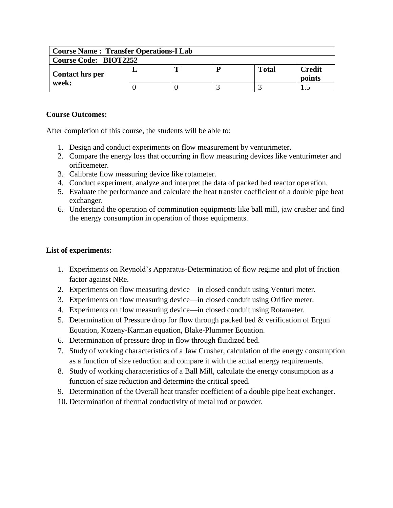| <b>Course Name: Transfer Operations-I Lab</b> |  |   |  |       |                         |  |  |  |  |
|-----------------------------------------------|--|---|--|-------|-------------------------|--|--|--|--|
| <b>Course Code: BIOT2252</b>                  |  |   |  |       |                         |  |  |  |  |
| Contact hrs per                               |  | m |  | Total | <b>Credit</b><br>points |  |  |  |  |
| week:                                         |  |   |  |       |                         |  |  |  |  |

After completion of this course, the students will be able to:

- 1. Design and conduct experiments on flow measurement by venturimeter.
- 2. Compare the energy loss that occurring in flow measuring devices like venturimeter and orificemeter.
- 3. Calibrate flow measuring device like rotameter.
- 4. Conduct experiment, analyze and interpret the data of packed bed reactor operation.
- 5. Evaluate the performance and calculate the heat transfer coefficient of a double pipe heat exchanger.
- 6. Understand the operation of comminution equipments like ball mill, jaw crusher and find the energy consumption in operation of those equipments.

- 1. Experiments on Reynold's Apparatus-Determination of flow regime and plot of friction factor against NRe.
- 2. Experiments on flow measuring device—in closed conduit using Venturi meter.
- 3. Experiments on flow measuring device—in closed conduit using Orifice meter.
- 4. Experiments on flow measuring device—in closed conduit using Rotameter.
- 5. Determination of Pressure drop for flow through packed bed & verification of Ergun Equation, Kozeny-Karman equation, Blake-Plummer Equation.
- 6. Determination of pressure drop in flow through fluidized bed.
- 7. Study of working characteristics of a Jaw Crusher, calculation of the energy consumption as a function of size reduction and compare it with the actual energy requirements.
- 8. Study of working characteristics of a Ball Mill, calculate the energy consumption as a function of size reduction and determine the critical speed.
- 9. Determination of the Overall heat transfer coefficient of a double pipe heat exchanger.
- 10. Determination of thermal conductivity of metal rod or powder.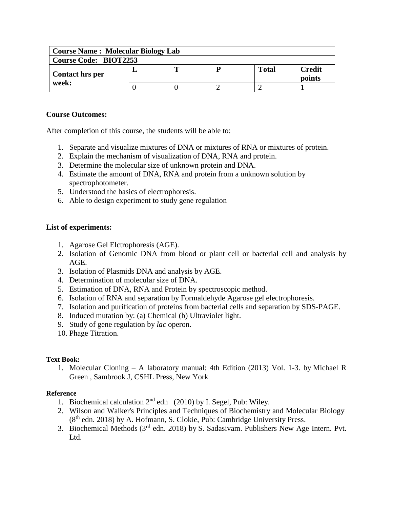| <b>Course Name: Molecular Biology Lab</b> |  |   |  |              |                         |  |  |  |
|-------------------------------------------|--|---|--|--------------|-------------------------|--|--|--|
| <b>Course Code: BIOT2253</b>              |  |   |  |              |                         |  |  |  |
| <b>Contact hrs per</b>                    |  | m |  | <b>Total</b> | <b>Credit</b><br>points |  |  |  |
| week:                                     |  |   |  |              |                         |  |  |  |

After completion of this course, the students will be able to:

- 1. Separate and visualize mixtures of DNA or mixtures of RNA or mixtures of protein.
- 2. Explain the mechanism of visualization of DNA, RNA and protein.
- 3. Determine the molecular size of unknown protein and DNA.
- 4. Estimate the amount of DNA, RNA and protein from a unknown solution by spectrophotometer.
- 5. Understood the basics of electrophoresis.
- 6. Able to design experiment to study gene regulation

## **List of experiments:**

- 1. Agarose Gel Elctrophoresis (AGE).
- 2. Isolation of Genomic DNA from blood or plant cell or bacterial cell and analysis by AGE.
- 3. Isolation of Plasmids DNA and analysis by AGE.
- 4. Determination of molecular size of DNA.
- 5. Estimation of DNA, RNA and Protein by spectroscopic method.
- 6. Isolation of RNA and separation by Formaldehyde Agarose gel electrophoresis.
- 7. Isolation and purification of proteins from bacterial cells and separation by SDS-PAGE.
- 8. Induced mutation by: (a) Chemical (b) Ultraviolet light.
- 9. Study of gene regulation by *lac* operon.
- 10. Phage Titration.

## **Text Book:**

1. Molecular Cloning – A laboratory manual: 4th Edition (2013) Vol. 1-3. by Michael R Green , Sambrook J, CSHL Press, New York

## **Reference**

- 1. Biochemical calculation  $2<sup>nd</sup>$  edn (2010) by I. Segel, Pub: Wiley.
- 2. Wilson and Walker's Principles and Techniques of Biochemistry and Molecular Biology (8th edn. 2018) by A. Hofmann, S. Clokie, Pub: Cambridge University Press.
- 3. Biochemical Methods ( $3<sup>rd</sup>$  edn. 2018) by S. Sadasivam. Publishers New Age Intern. Pvt. Ltd.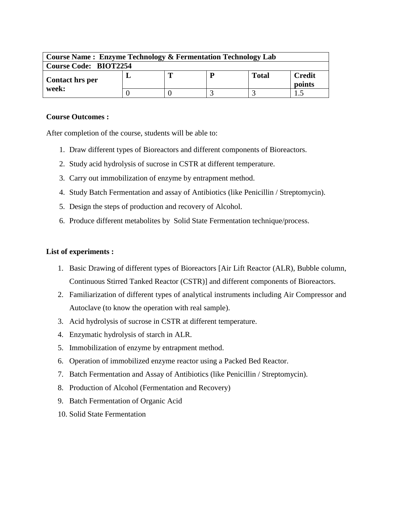| <b>Course Name: Enzyme Technology &amp; Fermentation Technology Lab</b> |  |  |   |              |                  |  |  |  |
|-------------------------------------------------------------------------|--|--|---|--------------|------------------|--|--|--|
| <b>Course Code: BIOT2254</b>                                            |  |  |   |              |                  |  |  |  |
| Contact hrs per                                                         |  |  | D | <b>Total</b> | Credit<br>points |  |  |  |
| week:                                                                   |  |  |   |              |                  |  |  |  |

After completion of the course, students will be able to:

- 1. Draw different types of Bioreactors and different components of Bioreactors.
- 2. Study acid hydrolysis of sucrose in CSTR at different temperature.
- 3. Carry out immobilization of enzyme by entrapment method.
- 4. Study Batch Fermentation and assay of Antibiotics (like Penicillin / Streptomycin).
- 5. Design the steps of production and recovery of Alcohol.
- 6. Produce different metabolites by Solid State Fermentation technique/process.

- 1. Basic Drawing of different types of Bioreactors [Air Lift Reactor (ALR), Bubble column, Continuous Stirred Tanked Reactor (CSTR)] and different components of Bioreactors.
- 2. Familiarization of different types of analytical instruments including Air Compressor and Autoclave (to know the operation with real sample).
- 3. Acid hydrolysis of sucrose in CSTR at different temperature.
- 4. Enzymatic hydrolysis of starch in ALR.
- 5. Immobilization of enzyme by entrapment method.
- 6. Operation of immobilized enzyme reactor using a Packed Bed Reactor.
- 7. Batch Fermentation and Assay of Antibiotics (like Penicillin / Streptomycin).
- 8. Production of Alcohol (Fermentation and Recovery)
- 9. Batch Fermentation of Organic Acid
- 10. Solid State Fermentation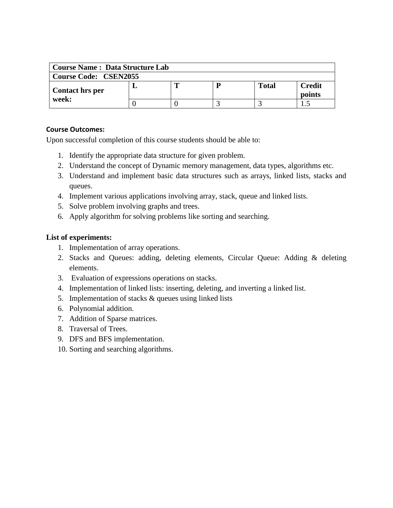| <b>Course Name: Data Structure Lab</b> |  |   |  |              |                         |  |  |  |
|----------------------------------------|--|---|--|--------------|-------------------------|--|--|--|
| <b>Course Code: CSEN2055</b>           |  |   |  |              |                         |  |  |  |
| <b>Contact hrs per</b>                 |  | m |  | <b>Total</b> | <b>Credit</b><br>points |  |  |  |
| week:                                  |  |   |  |              |                         |  |  |  |

Upon successful completion of this course students should be able to:

- 1. Identify the appropriate data structure for given problem.
- 2. Understand the concept of Dynamic memory management, data types, algorithms etc.
- 3. Understand and implement basic data structures such as arrays, linked lists, stacks and queues.
- 4. Implement various applications involving array, stack, queue and linked lists.
- 5. Solve problem involving graphs and trees.
- 6. Apply algorithm for solving problems like sorting and searching.

- 1. Implementation of array operations.
- 2. Stacks and Queues: adding, deleting elements, Circular Queue: Adding & deleting elements.
- 3. Evaluation of expressions operations on stacks.
- 4. Implementation of linked lists: inserting, deleting, and inverting a linked list.
- 5. Implementation of stacks & queues using linked lists
- 6. Polynomial addition.
- 7. Addition of Sparse matrices.
- 8. Traversal of Trees.
- 9. DFS and BFS implementation.
- 10. Sorting and searching algorithms.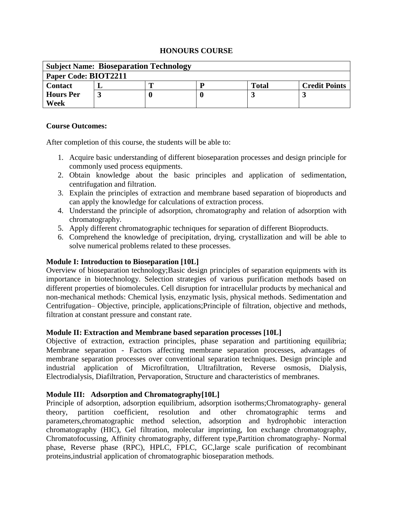#### **HONOURS COURSE**

| <b>Subject Name: Bioseparation Technology</b> |  |  |  |              |                      |  |  |  |  |
|-----------------------------------------------|--|--|--|--------------|----------------------|--|--|--|--|
| Paper Code: BIOT2211                          |  |  |  |              |                      |  |  |  |  |
| <b>Contact</b>                                |  |  |  | <b>Total</b> | <b>Credit Points</b> |  |  |  |  |
| <b>Hours Per</b>                              |  |  |  |              |                      |  |  |  |  |
| Week                                          |  |  |  |              |                      |  |  |  |  |

#### **Course Outcomes:**

After completion of this course, the students will be able to:

- 1. Acquire basic understanding of different bioseparation processes and design principle for commonly used process equipments.
- 2. Obtain knowledge about the basic principles and application of sedimentation, centrifugation and filtration.
- 3. Explain the principles of extraction and membrane based separation of bioproducts and can apply the knowledge for calculations of extraction process.
- 4. Understand the principle of adsorption, chromatography and relation of adsorption with chromatography.
- 5. Apply different chromatographic techniques for separation of different Bioproducts.
- 6. Comprehend the knowledge of precipitation, drying, crystallization and will be able to solve numerical problems related to these processes.

## **Module I: Introduction to Bioseparation [10L]**

Overview of bioseparation technology;Basic design principles of separation equipments with its importance in biotechnology. Selection strategies of various purification methods based on different properties of biomolecules. Cell disruption for intracellular products by mechanical and non-mechanical methods: Chemical lysis, enzymatic lysis, physical methods. Sedimentation and Centrifugation– Objective, principle, applications;Principle of filtration, objective and methods, filtration at constant pressure and constant rate.

## **Module II: Extraction and Membrane based separation processes [10L]**

Objective of extraction, extraction principles, phase separation and partitioning equilibria; Membrane separation - Factors affecting membrane separation processes, advantages of membrane separation processes over conventional separation techniques. Design principle and industrial application of Microfiltration, Ultrafiltration, Reverse osmosis, Dialysis, Electrodialysis, Diafiltration, Pervaporation, Structure and characteristics of membranes.

## **Module III: Adsorption and Chromatography[10L]**

Principle of adsorption, adsorption equilibrium, adsorption isotherms;Chromatography- general theory, partition coefficient, resolution and other chromatographic terms and parameters,chromatographic method selection, adsorption and hydrophobic interaction chromatography (HIC), Gel filtration, molecular imprinting, Ion exchange chromatography, Chromatofocussing, Affinity chromatography, different type,Partition chromatography- Normal phase, Reverse phase (RPC), HPLC, FPLC, GC,large scale purification of recombinant proteins,industrial application of chromatographic bioseparation methods.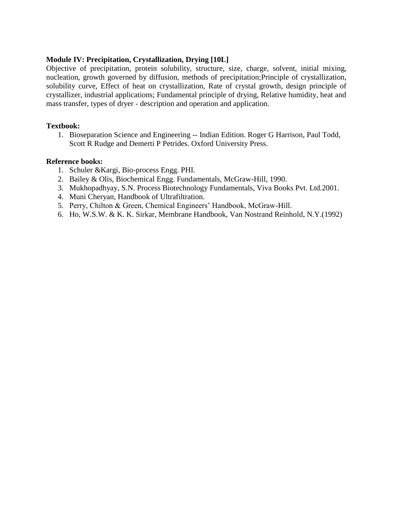#### **Module IV: Precipitation, Crystallization, Drying [10L]**

Objective of precipitation, protein solubility, structure, size, charge, solvent, initial mixing, nucleation, growth governed by diffusion, methods of precipitation;Principle of crystallization, solubility curve, Effect of heat on crystallization, Rate of crystal growth, design principle of crystallizer, industrial applications; Fundamental principle of drying, Relative humidity, heat and mass transfer, types of dryer - description and operation and application.

#### **Textbook:**

1. Bioseparation Science and Engineering -- Indian Edition. Roger G Harrison, Paul Todd, Scott R Rudge and Demerti P Petrides. Oxford University Press.

#### **Reference books:**

- 1. Schuler &Kargi, Bio-process Engg. PHI.
- 2. Bailey & Olis, Biochemical Engg. Fundamentals, McGraw-Hill, 1990.
- 3. Mukhopadhyay, S.N. Process Biotechnology Fundamentals, Viva Books Pvt. Ltd.2001.
- 4. Muni Cheryan, Handbook of Ultrafiltration.
- 5. Perry, Chilton & Green, Chemical Engineers' Handbook, McGraw-Hill.
- 6. Ho, W.S.W. & K. K. Sirkar, Membrane Handbook, Van Nostrand Reinhold, N.Y.(1992)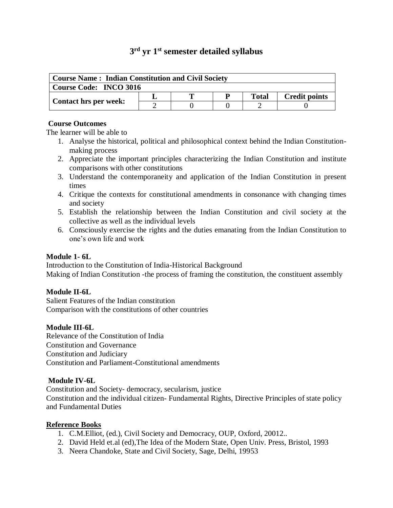# **3 rd yr 1st semester detailed syllabus**

| <b>Course Name: Indian Constitution and Civil Society</b> |  |  |  |       |                      |  |  |  |
|-----------------------------------------------------------|--|--|--|-------|----------------------|--|--|--|
| Course Code: INCO 3016                                    |  |  |  |       |                      |  |  |  |
|                                                           |  |  |  | Total | <b>Credit points</b> |  |  |  |
| <b>Contact hrs per week:</b>                              |  |  |  |       |                      |  |  |  |

#### **Course Outcomes**

The learner will be able to

- 1. Analyse the historical, political and philosophical context behind the Indian Constitutionmaking process
- 2. Appreciate the important principles characterizing the Indian Constitution and institute comparisons with other constitutions
- 3. Understand the contemporaneity and application of the Indian Constitution in present times
- 4. Critique the contexts for constitutional amendments in consonance with changing times and society
- 5. Establish the relationship between the Indian Constitution and civil society at the collective as well as the individual levels
- 6. Consciously exercise the rights and the duties emanating from the Indian Constitution to one's own life and work

## **Module 1- 6L**

Introduction to the Constitution of India-Historical Background Making of Indian Constitution -the process of framing the constitution, the constituent assembly

## **Module II-6L**

Salient Features of the Indian constitution Comparison with the constitutions of other countries

## **Module III-6L**

Relevance of the Constitution of India Constitution and Governance Constitution and Judiciary Constitution and Parliament-Constitutional amendments

## **Module IV-6L**

Constitution and Society- democracy, secularism, justice Constitution and the individual citizen- Fundamental Rights, Directive Principles of state policy and Fundamental Duties

#### **Reference Books**

- 1. C.M.Elliot, (ed.), Civil Society and Democracy, OUP, Oxford, 20012..
- 2. David Held et.al (ed),The Idea of the Modern State, Open Univ. Press, Bristol, 1993
- 3. Neera Chandoke, State and Civil Society, Sage, Delhi, 19953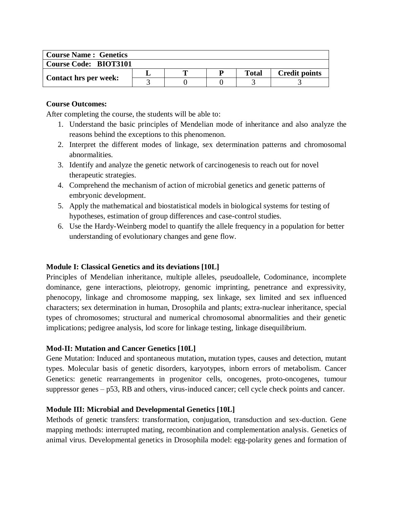| <b>Course Name: Genetics</b> |  |   |  |              |                      |
|------------------------------|--|---|--|--------------|----------------------|
| <b>Course Code: BIOT3101</b> |  |   |  |              |                      |
|                              |  | m |  | <b>Total</b> | <b>Credit points</b> |
| <b>Contact hrs per week:</b> |  |   |  |              |                      |

After completing the course, the students will be able to:

- 1. Understand the basic principles of Mendelian mode of inheritance and also analyze the reasons behind the exceptions to this phenomenon.
- 2. Interpret the different modes of linkage, sex determination patterns and chromosomal abnormalities.
- 3. Identify and analyze the genetic network of carcinogenesis to reach out for novel therapeutic strategies.
- 4. Comprehend the mechanism of action of microbial genetics and genetic patterns of embryonic development.
- 5. Apply the mathematical and biostatistical models in biological systems for testing of hypotheses, estimation of group differences and case-control studies.
- 6. Use the Hardy-Weinberg model to quantify the allele frequency in a population for better understanding of evolutionary changes and gene flow.

## **Module I: Classical Genetics and its deviations [10L]**

Principles of Mendelian inheritance, multiple alleles, pseudoallele, Codominance, incomplete dominance, gene interactions, pleiotropy, genomic imprinting, penetrance and expressivity, phenocopy, linkage and chromosome mapping, sex linkage, sex limited and sex influenced characters; sex determination in human, Drosophila and plants; extra-nuclear inheritance, special types of chromosomes; structural and numerical chromosomal abnormalities and their genetic implications; pedigree analysis, lod score for linkage testing, linkage disequilibrium.

## **Mod-II: Mutation and Cancer Genetics [10L]**

Gene Mutation: Induced and spontaneous mutation**,** mutation types, causes and detection, mutant types. Molecular basis of genetic disorders, karyotypes, inborn errors of metabolism. Cancer Genetics: genetic rearrangements in progenitor cells, oncogenes, proto-oncogenes, tumour suppressor genes – p53, RB and others, virus-induced cancer; cell cycle check points and cancer.

## **Module III: Microbial and Developmental Genetics [10L]**

Methods of genetic transfers: transformation, conjugation, transduction and sex-duction. Gene mapping methods: interrupted mating, recombination and complementation analysis. Genetics of animal virus. Developmental genetics in Drosophila model: egg-polarity genes and formation of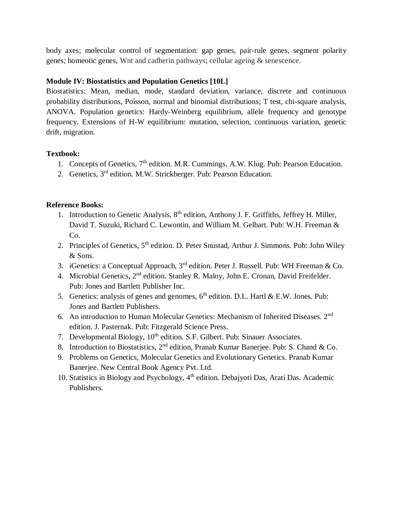body axes; molecular control of segmentation: gap genes, pair-rule genes, segment polarity genes; homeotic genes, Wnt and cadherin pathways; cellular ageing & senescence.

## **Module IV: Biostatistics and Population Genetics [10L]**

Biostatistics: Mean, median, mode, standard deviation, variance, discrete and continuous probability distributions, Poisson, normal and binomial distributions; T test, chi-square analysis, ANOVA. Population genetics: Hardy-Weinberg equilibrium, allele frequency and genotype frequency. Extensions of H-W equilibrium: mutation, selection, continuous variation, genetic drift, migration.

## **Textbook:**

- 1. Concepts of Genetics, 7<sup>th</sup> edition. M.R. Cummings, A.W. Klug. Pub: Pearson Education.
- 2. Genetics, 3<sup>rd</sup> edition. M.W. Strickberger. Pub: Pearson Education.

## **Reference Books:**

- 1. Introduction to Genetic Analysis, 8<sup>th</sup> edition, Anthony J. F. Griffiths, Jeffrey H. Miller, David T. Suzuki, Richard C. Lewontin, and William M. Gelbart. Pub: W.H. Freeman & Co.
- 2. Principles of Genetics, 5<sup>th</sup> edition. D. Peter Snustad, Arthur J. Simmons. Pub: John Wiley & Sons.
- 3. iGenetics: a Conceptual Approach,  $3<sup>rd</sup>$  edition. Peter J. Russell. Pub: WH Freeman & Co.
- 4. Microbial Genetics, 2<sup>nd</sup> edition. Stanley R. Maloy, John E. Cronan, David Freifelder. Pub: Jones and Bartlett Publisher Inc.
- 5. Genetics: analysis of genes and genomes,  $6<sup>th</sup>$  edition. D.L. Hartl & E.W. Jones. Pub: Jones and Bartlett Publishers.
- 6. An introduction to Human Molecular Genetics: Mechanism of Inherited Diseases. 2nd edition. J. Pasternak. Pub: Fitzgerald Science Press.
- 7. Developmental Biology,  $10^{th}$  edition. S.F. Gilbert. Pub: Sinauer Associates.
- 8. Introduction to Biostatistics, 2<sup>nd</sup> edition, Pranab Kumar Banerjee. Pub: S. Chand & Co.
- 9. Problems on Genetics, Molecular Genetics and Evolutionary Genetics. Pranab Kumar Banerjee. New Central Book Agency Pvt. Ltd.
- 10. Statistics in Biology and Psychology, 4<sup>th</sup> edition. Debajyoti Das, Arati Das. Academic Publishers.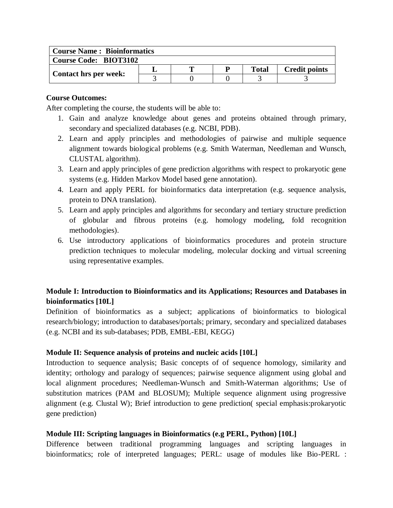| <b>Course Name: Bioinformatics</b> |  |  |  |              |                      |  |  |
|------------------------------------|--|--|--|--------------|----------------------|--|--|
| <b>Course Code: BIOT3102</b>       |  |  |  |              |                      |  |  |
|                                    |  |  |  | <b>Total</b> | <b>Credit points</b> |  |  |
| <b>Contact hrs per week:</b>       |  |  |  |              |                      |  |  |

After completing the course, the students will be able to:

- 1. Gain and analyze knowledge about genes and proteins obtained through primary, secondary and specialized databases (e.g. NCBI, PDB).
- 2. Learn and apply principles and methodologies of pairwise and multiple sequence alignment towards biological problems (e.g. Smith Waterman, Needleman and Wunsch, CLUSTAL algorithm).
- 3. Learn and apply principles of gene prediction algorithms with respect to prokaryotic gene systems (e.g. Hidden Markov Model based gene annotation).
- 4. Learn and apply PERL for bioinformatics data interpretation (e.g. sequence analysis, protein to DNA translation).
- 5. Learn and apply principles and algorithms for secondary and tertiary structure prediction of globular and fibrous proteins (e.g. homology modeling, fold recognition methodologies).
- 6. Use introductory applications of bioinformatics procedures and protein structure prediction techniques to molecular modeling, molecular docking and virtual screening using representative examples.

# **Module I: Introduction to Bioinformatics and its Applications; Resources and Databases in bioinformatics [10L]**

Definition of bioinformatics as a subject; applications of bioinformatics to biological research/biology; introduction to databases/portals; primary, secondary and specialized databases (e.g. NCBI and its sub-databases; PDB, EMBL-EBI, KEGG)

## **Module II: Sequence analysis of proteins and nucleic acids [10L]**

Introduction to sequence analysis; Basic concepts of of sequence homology, similarity and identity; orthology and paralogy of sequences; pairwise sequence alignment using global and local alignment procedures; Needleman-Wunsch and Smith-Waterman algorithms; Use of substitution matrices (PAM and BLOSUM); Multiple sequence alignment using progressive alignment (e.g. Clustal W); Brief introduction to gene prediction( special emphasis:prokaryotic gene prediction)

## **Module III: Scripting languages in Bioinformatics (e.g PERL, Python) [10L]**

Difference between traditional programming languages and scripting languages in bioinformatics; role of interpreted languages; PERL: usage of modules like Bio-PERL :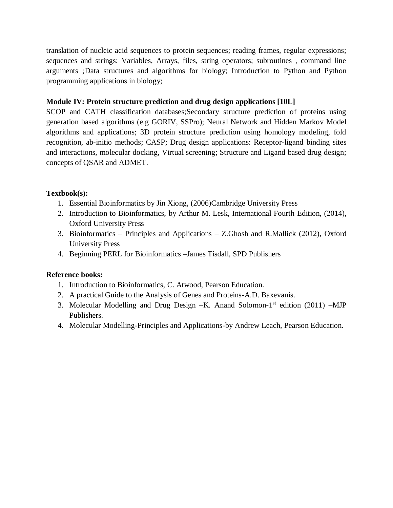translation of nucleic acid sequences to protein sequences; reading frames, regular expressions; sequences and strings: Variables, Arrays, files, string operators; subroutines , command line arguments *;*Data structures and algorithms for biology; Introduction to Python and Python programming applications in biology;

## **Module IV: Protein structure prediction and drug design applications [10L]**

SCOP and CATH classification databases;Secondary structure prediction of proteins using generation based algorithms (e.g GORIV, SSPro); Neural Network and Hidden Markov Model algorithms and applications; 3D protein structure prediction using homology modeling, fold recognition, ab-initio methods; CASP; Drug design applications: Receptor-ligand binding sites and interactions, molecular docking, Virtual screening; Structure and Ligand based drug design; concepts of QSAR and ADMET.

## **Textbook(s):**

- 1. Essential Bioinformatics by Jin Xiong, (2006)Cambridge University Press
- 2. Introduction to Bioinformatics, by Arthur M. Lesk, International Fourth Edition, (2014), Oxford University Press
- 3. Bioinformatics Principles and Applications Z.Ghosh and R.Mallick (2012), Oxford University Press
- 4. Beginning PERL for Bioinformatics –James Tisdall, SPD Publishers

## **Reference books:**

- 1. Introduction to Bioinformatics, C. Atwood, Pearson Education.
- 2. A practical Guide to the Analysis of Genes and Proteins-A.D. Baxevanis.
- 3. Molecular Modelling and Drug Design -K. Anand Solomon-1<sup>st</sup> edition (2011) -MJP Publishers.
- 4. Molecular Modelling-Principles and Applications-by Andrew Leach, Pearson Education.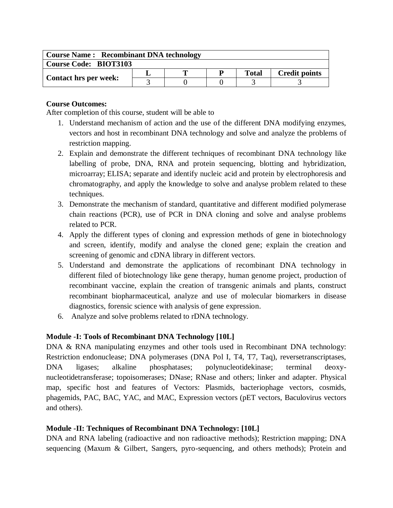| <b>Course Name: Recombinant DNA technology</b> |  |  |  |              |                      |  |  |  |
|------------------------------------------------|--|--|--|--------------|----------------------|--|--|--|
| <b>Course Code: BIOT3103</b>                   |  |  |  |              |                      |  |  |  |
|                                                |  |  |  | <b>Total</b> | <b>Credit points</b> |  |  |  |
| <b>Contact hrs per week:</b>                   |  |  |  |              |                      |  |  |  |

After completion of this course, student will be able to

- 1. Understand mechanism of action and the use of the different DNA modifying enzymes, vectors and host in recombinant DNA technology and solve and analyze the problems of restriction mapping.
- 2. Explain and demonstrate the different techniques of recombinant DNA technology like labelling of probe, DNA, RNA and protein sequencing, blotting and hybridization, microarray; ELISA; separate and identify nucleic acid and protein by electrophoresis and chromatography, and apply the knowledge to solve and analyse problem related to these techniques.
- 3. Demonstrate the mechanism of standard, quantitative and different modified polymerase chain reactions (PCR), use of PCR in DNA cloning and solve and analyse problems related to PCR.
- 4. Apply the different types of cloning and expression methods of gene in biotechnology and screen, identify, modify and analyse the cloned gene; explain the creation and screening of genomic and cDNA library in different vectors.
- 5. Understand and demonstrate the applications of recombinant DNA technology in different filed of biotechnology like gene therapy, human genome project, production of recombinant vaccine, explain the creation of transgenic animals and plants, construct recombinant biopharmaceutical, analyze and use of molecular biomarkers in disease diagnostics, forensic science with analysis of gene expression.
- 6. Analyze and solve problems related to rDNA technology.

## **Module -I: Tools of Recombinant DNA Technology [10L]**

DNA & RNA manipulating enzymes and other tools used in Recombinant DNA technology: Restriction endonuclease; DNA polymerases (DNA Pol I, T4, T7, Taq), reversetranscriptases, DNA ligases; alkaline phosphatases; polynucleotidekinase; terminal deoxynucleotidetransferase; topoisomerases; DNase; RNase and others; linker and adapter. Physical map, specific host and features of Vectors: Plasmids, bacteriophage vectors, cosmids, phagemids, PAC, BAC, YAC, and MAC, Expression vectors (pET vectors, Baculovirus vectors and others).

#### **Module -II: Techniques of Recombinant DNA Technology: [10L]**

DNA and RNA labeling (radioactive and non radioactive methods); Restriction mapping; DNA sequencing (Maxum & Gilbert, Sangers, pyro-sequencing, and others methods); Protein and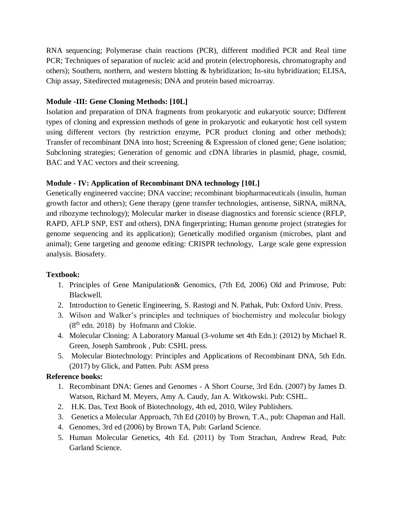RNA sequencing; Polymerase chain reactions (PCR), different modified PCR and Real time PCR; Techniques of separation of nucleic acid and protein (electrophoresis, chromatography and others); Southern, northern, and western blotting & hybridization; In-situ hybridization; ELISA, Chip assay, Sitedirected mutagenesis; DNA and protein based microarray.

## **Module -III: Gene Cloning Methods: [10L]**

Isolation and preparation of DNA fragments from prokaryotic and eukaryotic source; Different types of cloning and expression methods of gene in prokaryotic and eukaryotic host cell system using different vectors (by restriction enzyme, PCR product cloning and other methods); Transfer of recombinant DNA into host; Screening & Expression of cloned gene; Gene isolation; Subcloning strategies; Generation of genomic and cDNA libraries in plasmid, phage, cosmid, BAC and YAC vectors and their screening.

## **Module - IV: Application of Recombinant DNA technology [10L]**

Genetically engineered vaccine; DNA vaccine; recombinant biopharmaceuticals (insulin, human growth factor and others); Gene therapy (gene transfer technologies, antisense, SiRNA, miRNA, and ribozyme technology); Molecular marker in disease diagnostics and forensic science (RFLP, RAPD, AFLP SNP, EST and others), DNA fingerprinting; Human genome project (strategies for genome sequencing and its application); Genetically modified organism (microbes, plant and animal); Gene targeting and genome editing: CRISPR technology, Large scale gene expression analysis. Biosafety.

## **Textbook:**

- 1. Principles of Gene Manipulation& Genomics, (7th Ed, 2006) Old and Primrose, Pub: Blackwell.
- 2. Introduction to Genetic Engineering, S. Rastogi and N. Pathak, Pub: Oxford Univ. Press.
- 3. Wilson and Walker's principles and techniques of biochemistry and molecular biology  $(8<sup>th</sup>$  edn. 2018) by Hofmann and Clokie.
- 4. Molecular Cloning: A Laboratory Manual (3-volume set 4th Edn.): (2012) by Michael R. Green, Joseph Sambrook , Pub: CSHL press.
- 5. Molecular Biotechnology: Principles and Applications of Recombinant DNA, 5th Edn. (2017) by Glick, and Patten. Pub: ASM press

# **Reference books:**

- 1. Recombinant DNA: Genes and Genomes A Short Course, 3rd Edn. (2007) by James D. Watson, Richard M. Meyers, Amy A. Caudy, Jan A. Witkowski. Pub: CSHL.
- 2. H.K. Das, Text Book of Biotechnology, 4th ed, 2010, Wiley Publishers.
- 3. Genetics a Molecular Approach, 7th Ed (2010) by Brown, T.A., pub: Chapman and Hall.
- 4. Genomes, 3rd ed (2006) by Brown TA, Pub: Garland Science.
- 5. Human Molecular Genetics, 4th Ed. (2011) by Tom Strachan, Andrew Read, Pub: Garland Science.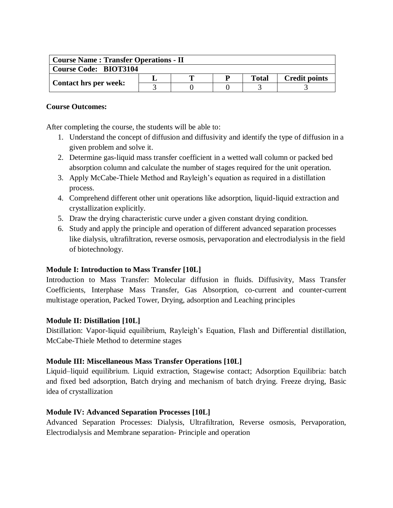| <b>Course Name: Transfer Operations - II</b> |  |  |  |              |                      |  |  |  |
|----------------------------------------------|--|--|--|--------------|----------------------|--|--|--|
| <b>Course Code: BIOT3104</b>                 |  |  |  |              |                      |  |  |  |
|                                              |  |  |  | <b>Total</b> | <b>Credit points</b> |  |  |  |
| <b>Contact hrs per week:</b>                 |  |  |  |              |                      |  |  |  |

After completing the course, the students will be able to:

- 1. Understand the concept of diffusion and diffusivity and identify the type of diffusion in a given problem and solve it.
- 2. Determine gas-liquid mass transfer coefficient in a wetted wall column or packed bed absorption column and calculate the number of stages required for the unit operation.
- 3. Apply McCabe-Thiele Method and Rayleigh's equation as required in a distillation process.
- 4. Comprehend different other unit operations like adsorption, liquid-liquid extraction and crystallization explicitly.
- 5. Draw the drying characteristic curve under a given constant drying condition.
- 6. Study and apply the principle and operation of different advanced separation processes like dialysis, ultrafiltration, reverse osmosis, pervaporation and electrodialysis in the field of biotechnology.

## **Module I: Introduction to Mass Transfer [10L]**

Introduction to Mass Transfer: Molecular diffusion in fluids. Diffusivity, Mass Transfer Coefficients, Interphase Mass Transfer, Gas Absorption, co-current and counter-current multistage operation, Packed Tower, Drying, adsorption and Leaching principles

## **Module II: Distillation [10L]**

Distillation: Vapor-liquid equilibrium, Rayleigh's Equation, Flash and Differential distillation, McCabe-Thiele Method to determine stages

## **Module III: Miscellaneous Mass Transfer Operations [10L]**

Liquid–liquid equilibrium. Liquid extraction, Stagewise contact; Adsorption Equilibria: batch and fixed bed adsorption, Batch drying and mechanism of batch drying. Freeze drying, Basic idea of crystallization

## **Module IV: Advanced Separation Processes [10L]**

Advanced Separation Processes: Dialysis, Ultrafiltration, Reverse osmosis, Pervaporation, Electrodialysis and Membrane separation- Principle and operation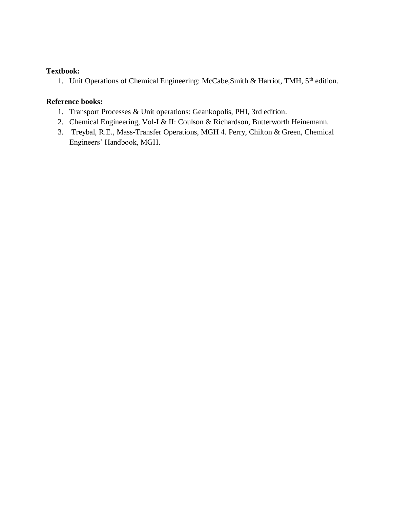## **Textbook:**

1. Unit Operations of Chemical Engineering: McCabe, Smith & Harriot, TMH, 5<sup>th</sup> edition.

## **Reference books:**

- 1. Transport Processes & Unit operations: Geankopolis, PHI, 3rd edition.
- 2. Chemical Engineering, Vol-I & II: Coulson & Richardson, Butterworth Heinemann.
- 3. Treybal, R.E., Mass-Transfer Operations, MGH 4. Perry, Chilton & Green, Chemical Engineers' Handbook, MGH.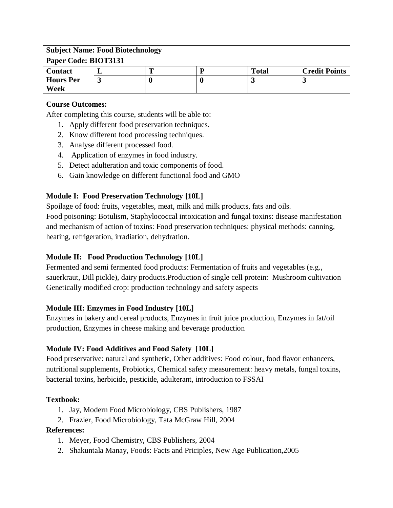| <b>Subject Name: Food Biotechnology</b> |  |  |  |              |                      |  |  |
|-----------------------------------------|--|--|--|--------------|----------------------|--|--|
| Paper Code: BIOT3131                    |  |  |  |              |                      |  |  |
| <b>Contact</b>                          |  |  |  | <b>Total</b> | <b>Credit Points</b> |  |  |
| <b>Hours Per</b>                        |  |  |  |              |                      |  |  |
| Week                                    |  |  |  |              |                      |  |  |

After completing this course, students will be able to:

- 1. Apply different food preservation techniques.
- 2. Know different food processing techniques.
- 3. Analyse different processed food.
- 4. Application of enzymes in food industry.
- 5. Detect adulteration and toxic components of food.
- 6. Gain knowledge on different functional food and GMO

## **Module I: Food Preservation Technology [10L]**

Spoilage of food: fruits, vegetables, meat, milk and milk products, fats and oils.

Food poisoning: Botulism, Staphylococcal intoxication and fungal toxins: disease manifestation and mechanism of action of toxins: Food preservation techniques: physical methods: canning, heating, refrigeration, irradiation, dehydration.

## **Module II: Food Production Technology [10L]**

Fermented and semi fermented food products: Fermentation of fruits and vegetables (e.g., sauerkraut, Dill pickle), dairy products.Production of single cell protein: Mushroom cultivation Genetically modified crop: production technology and safety aspects

## **Module III: Enzymes in Food Industry [10L]**

Enzymes in bakery and cereal products, Enzymes in fruit juice production, Enzymes in fat/oil production, Enzymes in cheese making and beverage production

# **Module IV: Food Additives and Food Safety [10L]**

Food preservative: natural and synthetic, Other additives: Food colour, food flavor enhancers, nutritional supplements, Probiotics, Chemical safety measurement: heavy metals, fungal toxins, bacterial toxins, herbicide, pesticide, adulterant, introduction to FSSAI

## **Textbook:**

- 1. Jay, Modern Food Microbiology, CBS Publishers, 1987
- 2. Frazier, Food Microbiology, Tata McGraw Hill, 2004

## **References:**

- 1. Meyer, Food Chemistry, CBS Publishers, 2004
- 2. Shakuntala Manay, Foods: Facts and Priciples, New Age Publication,2005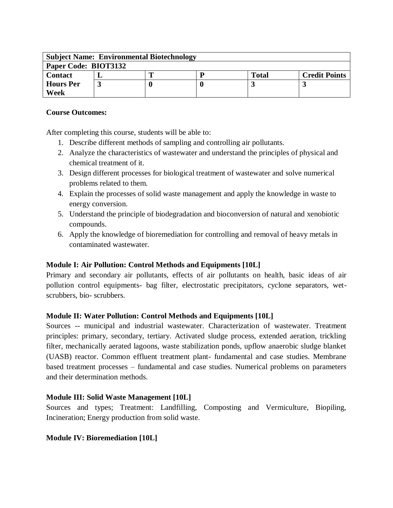| <b>Subject Name: Environmental Biotechnology</b> |  |  |  |              |                      |  |
|--------------------------------------------------|--|--|--|--------------|----------------------|--|
| Paper Code: BIOT3132                             |  |  |  |              |                      |  |
| <b>Contact</b>                                   |  |  |  | <b>Total</b> | <b>Credit Points</b> |  |
| <b>Hours Per</b>                                 |  |  |  |              |                      |  |
| Week                                             |  |  |  |              |                      |  |

After completing this course, students will be able to:

- 1. Describe different methods of sampling and controlling air pollutants.
- 2. Analyze the characteristics of wastewater and understand the principles of physical and chemical treatment of it.
- 3. Design different processes for biological treatment of wastewater and solve numerical problems related to them.
- 4. Explain the processes of solid waste management and apply the knowledge in waste to energy conversion.
- 5. Understand the principle of biodegradation and bioconversion of natural and xenobiotic compounds.
- 6. Apply the knowledge of bioremediation for controlling and removal of heavy metals in contaminated wastewater.

## **Module I: Air Pollution: Control Methods and Equipments [10L]**

Primary and secondary air pollutants, effects of air pollutants on health, basic ideas of air pollution control equipments- bag filter, electrostatic precipitators, cyclone separators, wetscrubbers, bio- scrubbers.

## **Module II: Water Pollution: Control Methods and Equipments [10L]**

Sources -- municipal and industrial wastewater. Characterization of wastewater. Treatment principles: primary, secondary, tertiary. Activated sludge process, extended aeration, trickling filter, mechanically aerated lagoons, waste stabilization ponds, upflow anaerobic sludge blanket (UASB) reactor. Common effluent treatment plant- fundamental and case studies. Membrane based treatment processes – fundamental and case studies. Numerical problems on parameters and their determination methods.

## **Module III: Solid Waste Management [10L]**

Sources and types; Treatment: Landfilling, Composting and Vermiculture, Biopiling, Incineration; Energy production from solid waste.

**Module IV: Bioremediation [10L]**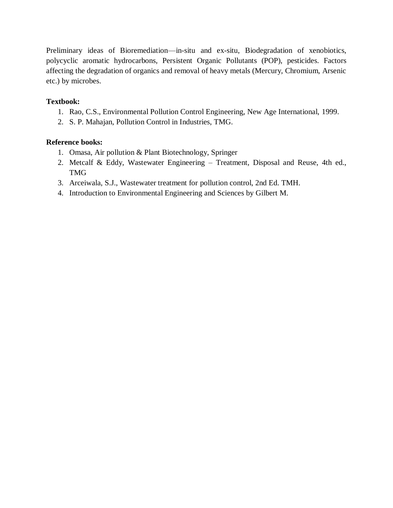Preliminary ideas of Bioremediation—in-situ and ex-situ, Biodegradation of xenobiotics, polycyclic aromatic hydrocarbons, Persistent Organic Pollutants (POP), pesticides. Factors affecting the degradation of organics and removal of heavy metals (Mercury, Chromium, Arsenic etc.) by microbes.

## **Textbook:**

- 1. Rao, C.S., Environmental Pollution Control Engineering, New Age International, 1999.
- 2. S. P. Mahajan, Pollution Control in Industries, TMG.

#### **Reference books:**

- 1. Omasa, Air pollution & Plant Biotechnology, Springer
- 2. Metcalf & Eddy, Wastewater Engineering Treatment, Disposal and Reuse, 4th ed., TMG
- 3. Arceiwala, S.J., Wastewater treatment for pollution control, 2nd Ed. TMH.
- 4. Introduction to Environmental Engineering and Sciences by Gilbert M.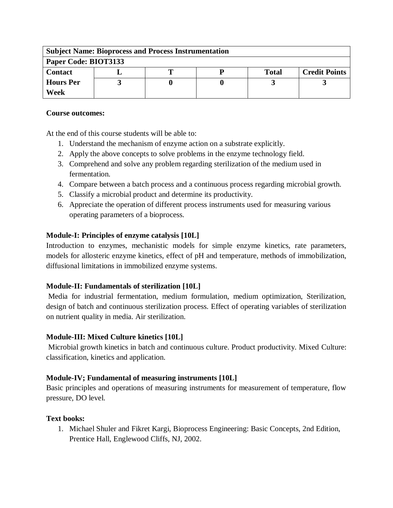| <b>Subject Name: Bioprocess and Process Instrumentation</b> |  |  |  |              |                      |  |  |
|-------------------------------------------------------------|--|--|--|--------------|----------------------|--|--|
| Paper Code: BIOT3133                                        |  |  |  |              |                      |  |  |
| <b>Contact</b>                                              |  |  |  | <b>Total</b> | <b>Credit Points</b> |  |  |
| <b>Hours</b> Per                                            |  |  |  |              |                      |  |  |
| Week                                                        |  |  |  |              |                      |  |  |

At the end of this course students will be able to:

- 1. Understand the mechanism of enzyme action on a substrate explicitly.
- 2. Apply the above concepts to solve problems in the enzyme technology field.
- 3. Comprehend and solve any problem regarding sterilization of the medium used in fermentation.
- 4. Compare between a batch process and a continuous process regarding microbial growth.
- 5. Classify a microbial product and determine its productivity.
- 6. Appreciate the operation of different process instruments used for measuring various operating parameters of a bioprocess.

## **Module-I: Principles of enzyme catalysis [10L]**

Introduction to enzymes, mechanistic models for simple enzyme kinetics, rate parameters, models for allosteric enzyme kinetics, effect of pH and temperature, methods of immobilization, diffusional limitations in immobilized enzyme systems.

## **Module-II: Fundamentals of sterilization [10L]**

Media for industrial fermentation, medium formulation, medium optimization, Sterilization, design of batch and continuous sterilization process. Effect of operating variables of sterilization on nutrient quality in media. Air sterilization.

## **Module-III: Mixed Culture kinetics [10L]**

Microbial growth kinetics in batch and continuous culture. Product productivity. Mixed Culture: classification, kinetics and application.

## **Module-IV; Fundamental of measuring instruments [10L]**

Basic principles and operations of measuring instruments for measurement of temperature, flow pressure, DO level.

## **Text books:**

1. Michael Shuler and Fikret Kargi, Bioprocess Engineering: Basic Concepts, 2nd Edition, Prentice Hall, Englewood Cliffs, NJ, 2002.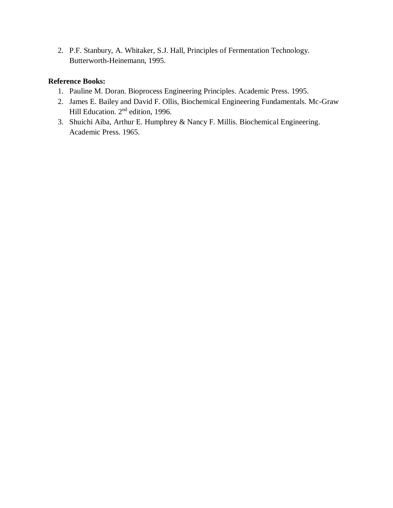2. P.F. Stanbury, A. Whitaker, S.J. Hall, Principles of Fermentation Technology. Butterworth-Heinemann, 1995.

## **Reference Books:**

- 1. Pauline M. Doran. Bioprocess Engineering Principles. Academic Press. 1995.
- 2. James E. Bailey and David F. Ollis, Biochemical Engineering Fundamentals. Mc-Graw Hill Education. 2nd edition, 1996.
- 3. Shuichi Aiba, Arthur E. Humphrey & Nancy F. Millis. Biochemical Engineering. Academic Press. 1965.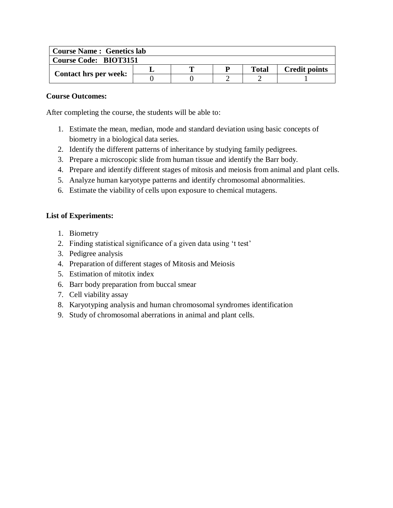| <b>Course Name: Genetics lab</b> |  |   |  |       |                      |  |  |
|----------------------------------|--|---|--|-------|----------------------|--|--|
| <b>Course Code: BIOT3151</b>     |  |   |  |       |                      |  |  |
| <b>Contact hrs per week:</b>     |  | m |  | Total | <b>Credit points</b> |  |  |
|                                  |  |   |  |       |                      |  |  |

After completing the course, the students will be able to:

- 1. Estimate the mean, median, mode and standard deviation using basic concepts of biometry in a biological data series.
- 2. Identify the different patterns of inheritance by studying family pedigrees.
- 3. Prepare a microscopic slide from human tissue and identify the Barr body.
- 4. Prepare and identify different stages of mitosis and meiosis from animal and plant cells.
- 5. Analyze human karyotype patterns and identify chromosomal abnormalities.
- 6. Estimate the viability of cells upon exposure to chemical mutagens.

- 1. Biometry
- 2. Finding statistical significance of a given data using 't test'
- 3. Pedigree analysis
- 4. Preparation of different stages of Mitosis and Meiosis
- 5. Estimation of mitotix index
- 6. Barr body preparation from buccal smear
- 7. Cell viability assay
- 8. Karyotyping analysis and human chromosomal syndromes identification
- 9. Study of chromosomal aberrations in animal and plant cells.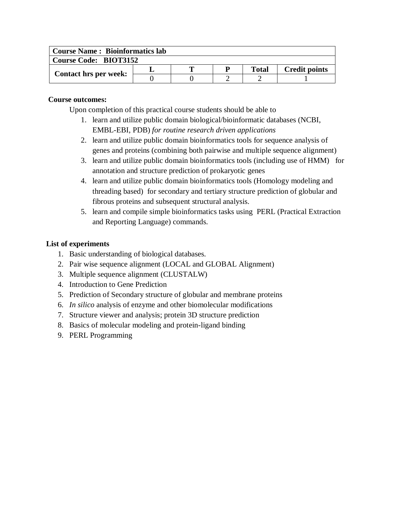| <b>Course Name: Bioinformatics lab</b> |  |   |  |       |                      |  |
|----------------------------------------|--|---|--|-------|----------------------|--|
| <b>Course Code: BIOT3152</b>           |  |   |  |       |                      |  |
| <b>Contact hrs per week:</b>           |  | m |  | Total | <b>Credit points</b> |  |
|                                        |  |   |  |       |                      |  |

Upon completion of this practical course students should be able to

- 1. learn and utilize public domain biological/bioinformatic databases (NCBI, EMBL-EBI, PDB) *for routine research driven applications*
- 2. learn and utilize public domain bioinformatics tools for sequence analysis of genes and proteins (combining both pairwise and multiple sequence alignment)
- 3. learn and utilize public domain bioinformatics tools (including use of HMM) for annotation and structure prediction of prokaryotic genes
- 4. learn and utilize public domain bioinformatics tools (Homology modeling and threading based) for secondary and tertiary structure prediction of globular and fibrous proteins and subsequent structural analysis.
- 5. learn and compile simple bioinformatics tasks using PERL (Practical Extraction and Reporting Language) commands.

- 1. Basic understanding of biological databases.
- 2. Pair wise sequence alignment (LOCAL and GLOBAL Alignment)
- 3. Multiple sequence alignment (CLUSTALW)
- 4. Introduction to Gene Prediction
- 5. Prediction of Secondary structure of globular and membrane proteins
- 6. *In silico* analysis of enzyme and other biomolecular modifications
- 7. Structure viewer and analysis; protein 3D structure prediction
- 8. Basics of molecular modeling and protein-ligand binding
- 9. PERL Programming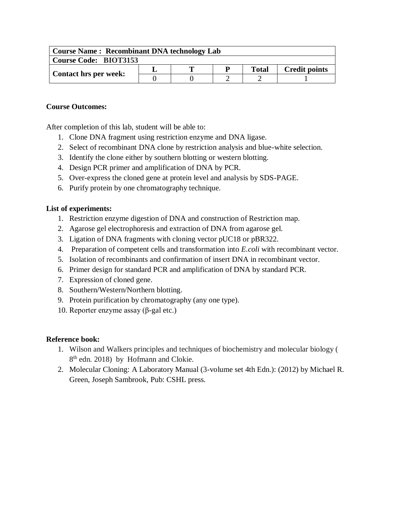| <b>Course Name: Recombinant DNA technology Lab</b> |  |  |  |              |                      |  |
|----------------------------------------------------|--|--|--|--------------|----------------------|--|
| <b>Course Code: BIOT3153</b>                       |  |  |  |              |                      |  |
| <b>Contact hrs per week:</b>                       |  |  |  | <b>Total</b> | <b>Credit points</b> |  |
|                                                    |  |  |  |              |                      |  |

After completion of this lab, student will be able to:

- 1. Clone DNA fragment using restriction enzyme and DNA ligase.
- 2. Select of recombinant DNA clone by restriction analysis and blue-white selection.
- 3. Identify the clone either by southern blotting or western blotting.
- 4. Design PCR primer and amplification of DNA by PCR.
- 5. Over-express the cloned gene at protein level and analysis by SDS-PAGE.
- 6. Purify protein by one chromatography technique.

## **List of experiments:**

- 1. Restriction enzyme digestion of DNA and construction of Restriction map.
- 2. Agarose gel electrophoresis and extraction of DNA from agarose gel.
- 3. Ligation of DNA fragments with cloning vector pUC18 or pBR322.
- 4. Preparation of competent cells and transformation into *E.coli* with recombinant vector.
- 5. Isolation of recombinants and confirmation of insert DNA in recombinant vector.
- 6. Primer design for standard PCR and amplification of DNA by standard PCR.
- 7. Expression of cloned gene.
- 8. Southern/Western/Northern blotting.
- 9. Protein purification by chromatography (any one type).
- 10. Reporter enzyme assay (β-gal etc.)

## **Reference book:**

- 1. Wilson and Walkers principles and techniques of biochemistry and molecular biology ( 8<sup>th</sup> edn. 2018) by Hofmann and Clokie.
- 2. Molecular Cloning: A Laboratory Manual (3-volume set 4th Edn.): (2012) by Michael R. Green, Joseph Sambrook, Pub: CSHL press.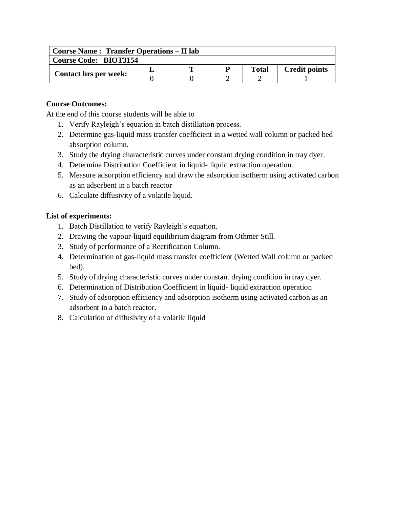| <b>Course Name: Transfer Operations – II lab</b> |  |   |   |              |                      |  |  |
|--------------------------------------------------|--|---|---|--------------|----------------------|--|--|
| <b>Course Code: BIOT3154</b>                     |  |   |   |              |                      |  |  |
| Contact hrs per week:                            |  | m | D | <b>Total</b> | <b>Credit points</b> |  |  |
|                                                  |  |   |   |              |                      |  |  |

At the end of this course students will be able to

- 1. Verify Rayleigh's equation in batch distillation process.
- 2. Determine gas-liquid mass transfer coefficient in a wetted wall column or packed bed absorption column.
- 3. Study the drying characteristic curves under constant drying condition in tray dyer.
- 4. Determine Distribution Coefficient in liquid- liquid extraction operation.
- 5. Measure adsorption efficiency and draw the adsorption isotherm using activated carbon as an adsorbent in a batch reactor
- 6. Calculate diffusivity of a volatile liquid.

- 1. Batch Distillation to verify Rayleigh's equation.
- 2. Drawing the vapour-liquid equilibrium diagram from Othmer Still.
- 3. Study of performance of a Rectification Column.
- 4. Determination of gas-liquid mass transfer coefficient (Wetted Wall column or packed bed).
- 5. Study of drying characteristic curves under constant drying condition in tray dyer.
- 6. Determination of Distribution Coefficient in liquid- liquid extraction operation
- 7. Study of adsorption efficiency and adsorption isotherm using activated carbon as an adsorbent in a batch reactor.
- 8. Calculation of diffusivity of a volatile liquid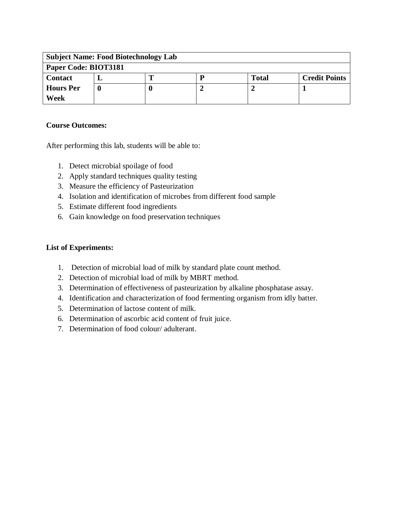| <b>Subject Name: Food Biotechnology Lab</b> |  |  |   |              |                      |  |
|---------------------------------------------|--|--|---|--------------|----------------------|--|
| Paper Code: BIOT3181                        |  |  |   |              |                      |  |
| <b>Contact</b>                              |  |  | P | <b>Total</b> | <b>Credit Points</b> |  |
| <b>Hours</b> Per                            |  |  |   |              |                      |  |
| Week                                        |  |  |   |              |                      |  |

After performing this lab, students will be able to:

- 1. Detect microbial spoilage of food
- 2. Apply standard techniques quality testing
- 3. Measure the efficiency of Pasteurization
- 4. Isolation and identification of microbes from different food sample
- 5. Estimate different food ingredients
- 6. Gain knowledge on food preservation techniques

- 1. Detection of microbial load of milk by standard plate count method.
- 2. Detection of microbial load of milk by MBRT method.
- 3. Determination of effectiveness of pasteurization by alkaline phosphatase assay.
- 4. Identification and characterization of food fermenting organism from idly batter.
- 5. Determination of lactose content of milk.
- 6. Determination of ascorbic acid content of fruit juice.
- 7. Determination of food colour/ adulterant.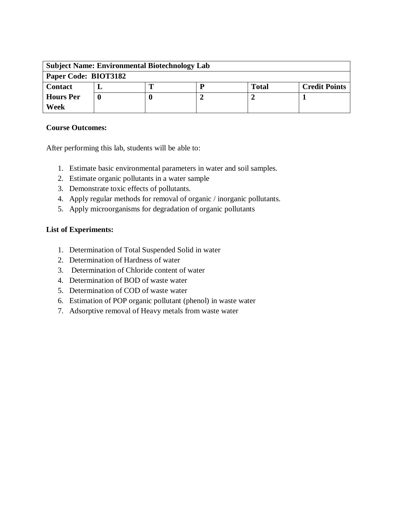| <b>Subject Name: Environmental Biotechnology Lab</b> |  |  |  |              |                      |  |  |
|------------------------------------------------------|--|--|--|--------------|----------------------|--|--|
| Paper Code: BIOT3182                                 |  |  |  |              |                      |  |  |
| <b>Contact</b>                                       |  |  |  | <b>Total</b> | <b>Credit Points</b> |  |  |
| <b>Hours</b> Per                                     |  |  |  |              |                      |  |  |
| Week                                                 |  |  |  |              |                      |  |  |

After performing this lab, students will be able to:

- 1. Estimate basic environmental parameters in water and soil samples.
- 2. Estimate organic pollutants in a water sample
- 3. Demonstrate toxic effects of pollutants.
- 4. Apply regular methods for removal of organic / inorganic pollutants.
- 5. Apply microorganisms for degradation of organic pollutants

- 1. Determination of Total Suspended Solid in water
- 2. Determination of Hardness of water
- 3. Determination of Chloride content of water
- 4. Determination of BOD of waste water
- 5. Determination of COD of waste water
- 6. Estimation of POP organic pollutant (phenol) in waste water
- 7. Adsorptive removal of Heavy metals from waste water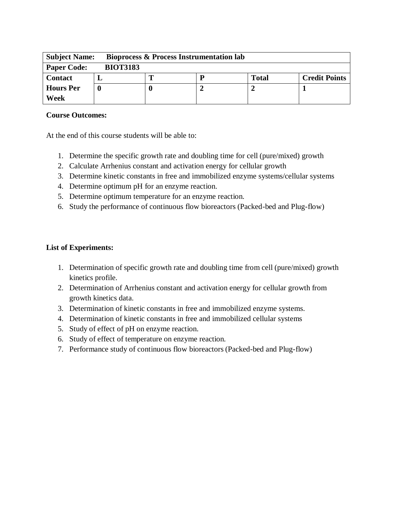| <b>Subject Name:</b> | <b>Bioprocess &amp; Process Instrumentation lab</b> |  |  |              |                      |  |  |
|----------------------|-----------------------------------------------------|--|--|--------------|----------------------|--|--|
| <b>Paper Code:</b>   | <b>BIOT3183</b>                                     |  |  |              |                      |  |  |
| <b>Contact</b>       |                                                     |  |  | <b>Total</b> | <b>Credit Points</b> |  |  |
| <b>Hours Per</b>     |                                                     |  |  |              |                      |  |  |
| Week                 |                                                     |  |  |              |                      |  |  |

At the end of this course students will be able to:

- 1. Determine the specific growth rate and doubling time for cell (pure/mixed) growth
- 2. Calculate Arrhenius constant and activation energy for cellular growth
- 3. Determine kinetic constants in free and immobilized enzyme systems/cellular systems
- 4. Determine optimum pH for an enzyme reaction.
- 5. Determine optimum temperature for an enzyme reaction.
- 6. Study the performance of continuous flow bioreactors (Packed-bed and Plug-flow)

- 1. Determination of specific growth rate and doubling time from cell (pure/mixed) growth kinetics profile.
- 2. Determination of Arrhenius constant and activation energy for cellular growth from growth kinetics data.
- 3. Determination of kinetic constants in free and immobilized enzyme systems.
- 4. Determination of kinetic constants in free and immobilized cellular systems
- 5. Study of effect of pH on enzyme reaction.
- 6. Study of effect of temperature on enzyme reaction.
- 7. Performance study of continuous flow bioreactors (Packed-bed and Plug-flow)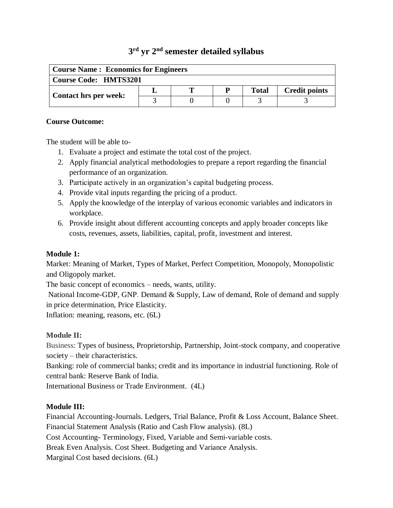# **3 rd yr 2 nd semester detailed syllabus**

| <b>Course Name: Economics for Engineers</b> |  |  |   |              |                      |  |
|---------------------------------------------|--|--|---|--------------|----------------------|--|
| <b>Course Code: HMTS3201</b>                |  |  |   |              |                      |  |
| <b>Contact hrs per week:</b>                |  |  | D | <b>Total</b> | <b>Credit points</b> |  |
|                                             |  |  |   |              |                      |  |

#### **Course Outcome:**

The student will be able to-

- 1. Evaluate a project and estimate the total cost of the project.
- 2. Apply financial analytical methodologies to prepare a report regarding the financial performance of an organization.
- 3. Participate actively in an organization's capital budgeting process.
- 4. Provide vital inputs regarding the pricing of a product.
- 5. Apply the knowledge of the interplay of various economic variables and indicators in workplace.
- 6. Provide insight about different accounting concepts and apply broader concepts like costs, revenues, assets, liabilities, capital, profit, investment and interest.

## **Module 1:**

Market: Meaning of Market, Types of Market, Perfect Competition, Monopoly, Monopolistic and Oligopoly market.

The basic concept of economics – needs, wants, utility.

National Income-GDP, GNP. Demand & Supply, Law of demand, Role of demand and supply in price determination, Price Elasticity.

Inflation: meaning, reasons, etc. (6L)

# **Module II:**

Business: Types of business, Proprietorship, Partnership, Joint-stock company, and cooperative society – their characteristics.

Banking: role of commercial banks; credit and its importance in industrial functioning. Role of central bank: Reserve Bank of India.

International Business or Trade Environment. (4L)

# **Module III:**

Financial Accounting-Journals. Ledgers, Trial Balance, Profit & Loss Account, Balance Sheet. Financial Statement Analysis (Ratio and Cash Flow analysis). (8L) Cost Accounting- Terminology, Fixed, Variable and Semi-variable costs.

Break Even Analysis. Cost Sheet. Budgeting and Variance Analysis.

Marginal Cost based decisions. (6L)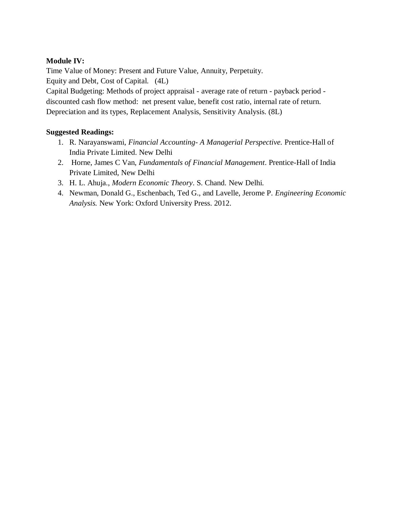## **Module IV:**

Time Value of Money: Present and Future Value, Annuity, Perpetuity. Equity and Debt, Cost of Capital. (4L)

Capital Budgeting: Methods of project appraisal - average rate of return - payback period discounted cash flow method: net present value, benefit cost ratio, internal rate of return. Depreciation and its types, Replacement Analysis, Sensitivity Analysis. (8L)

## **Suggested Readings:**

- 1. R. Narayanswami, *Financial Accounting- A Managerial Perspective.* Prentice-Hall of India Private Limited. New Delhi
- 2. Horne, James C Van, *Fundamentals of Financial Management*. Prentice-Hall of India Private Limited, New Delhi
- 3. H. L. Ahuja., *Modern Economic Theory*. S. Chand. New Delhi.
- 4. Newman, Donald G., Eschenbach, Ted G., and Lavelle, Jerome P. *Engineering Economic Analysis.* New York: Oxford University Press. 2012.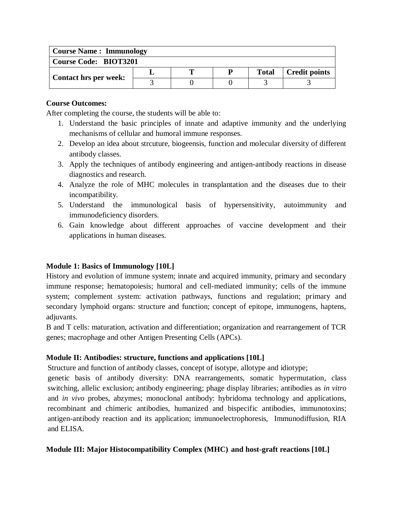| <b>Course Name: Immunology</b> |  |
|--------------------------------|--|
|--------------------------------|--|

| Course Code: BIOT3201        |  |  |  |              |                      |  |  |  |
|------------------------------|--|--|--|--------------|----------------------|--|--|--|
| <b>Contact hrs per week:</b> |  |  |  | <b>Total</b> | <b>Credit points</b> |  |  |  |
|                              |  |  |  |              |                      |  |  |  |

After completing the course, the students will be able to:

- 1. Understand the basic principles of innate and adaptive immunity and the underlying mechanisms of cellular and humoral immune responses.
- 2. Develop an idea about strcuture, biogeensis, function and molecular diversity of different antibody classes.
- 3. Apply the techniques of antibody engineering and antigen-antibody reactions in disease diagnostics and research.
- 4. Analyze the role of MHC molecules in transplantation and the diseases due to their incompatibility.
- 5. Understand the immunological basis of hypersensitivity, autoimmunity and immunodeficiency disorders.
- 6. Gain knowledge about different approaches of vaccine development and their applications in human diseases.

## **Module 1: Basics of Immunology [10L]**

History and evolution of immune system; innate and acquired immunity, primary and secondary immune response; hematopoiesis; humoral and cell-mediated immunity; cells of the immune system; complement system: activation pathways, functions and regulation; primary and secondary lymphoid organs: structure and function; concept of epitope, immunogens, haptens, adjuvants.

B and T cells: maturation, activation and differentiation; organization and rearrangement of TCR genes; macrophage and other Antigen Presenting Cells (APCs).

## **Module II: Antibodies: structure, functions and applications [10L]**

Structure and function of antibody classes, concept of isotype, allotype and idiotype;

genetic basis of antibody diversity: DNA rearrangements, somatic hypermutation, class switching, allelic exclusion; antibody engineering; phage display libraries; antibodies as *in vitro* and *in vivo* probes, abzymes; monoclonal antibody: hybridoma technology and applications, recombinant and chimeric antibodies, humanized and bispecific antibodies, immunotoxins; antigen-antibody reaction and its application; immunoelectrophoresis, Immunodiffusion, RIA and ELISA.

## **Module III: Major Histocompatibility Complex (MHC) and host-graft reactions [10L]**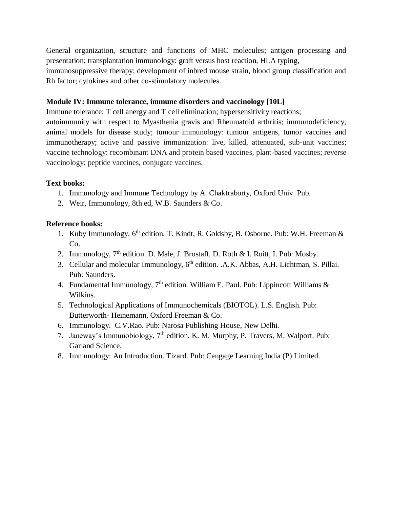General organization, structure and functions of MHC molecules; antigen processing and presentation; transplantation immunology: graft versus host reaction, HLA typing, immunosuppressive therapy; development of inbred mouse strain, blood group classification and Rh factor; cytokines and other co-stimulatory molecules.

#### **Module IV: Immune tolerance, immune disorders and vaccinology [10L]**

Immune tolerance: T cell anergy and T cell elimination; hypersensitivity reactions;

autoimmunity with respect to Myasthenia gravis and Rheumatoid arthritis; immunodeficiency, animal models for disease study; tumour immunology: tumour antigens, tumor vaccines and immunotherapy; active and passive immunization: live, killed, attenuated, sub-unit vaccines; vaccine technology: recombinant DNA and protein based vaccines, plant-based vaccines; reverse vaccinology; peptide vaccines, conjugate vaccines.

#### **Text books:**

- 1. Immunology and Immune Technology by A. Chaktraborty, Oxford Univ. Pub.
- 2. Weir, Immunology, 8th ed, W.B. Saunders & Co.

#### **Reference books:**

- 1. Kuby Immunology, 6<sup>th</sup> edition. T. Kindt, R. Goldsby, B. Osborne. Pub: W.H. Freeman & C<sub>o</sub>.
- 2. Immunology,  $7<sup>th</sup>$  edition. D. Male, J. Brostaff, D. Roth & I. Roitt, I. Pub: Mosby.
- 3. Cellular and molecular Immunology, 6<sup>th</sup> edition. .A.K. Abbas, A.H. Lichtman, S. Pillai. Pub: Saunders.
- 4. Fundamental Immunology,  $7<sup>th</sup>$  edition. William E. Paul. Pub: Lippincott Williams & Wilkins.
- 5. Technological Applications of Immunochemicals (BIOTOL). L.S. English. Pub: Butterworth- Heinemann, Oxford Freeman & Co.
- 6. Immunology. C.V.Rao. Pub: Narosa Publishing House, New Delhi.
- 7. Janeway's Immunobiology, 7th edition. [K. M. Murphy,](http://www.amazon.com/s/ref=dp_byline_sr_book_1?ie=UTF8&text=Kenneth+M.+Murphy&search-alias=books&field-author=Kenneth+M.+Murphy&sort=relevancerank) [P. Travers,](http://www.amazon.com/Paul-Travers/e/B001KHYSL4/ref=dp_byline_cont_book_2) [M. Walport.](http://www.amazon.com/Mark-Walport/e/B001H6QAG4/ref=dp_byline_cont_book_3) Pub: Garland Science.
- 8. Immunology: An Introduction. Tizard. Pub: Cengage Learning India (P) Limited.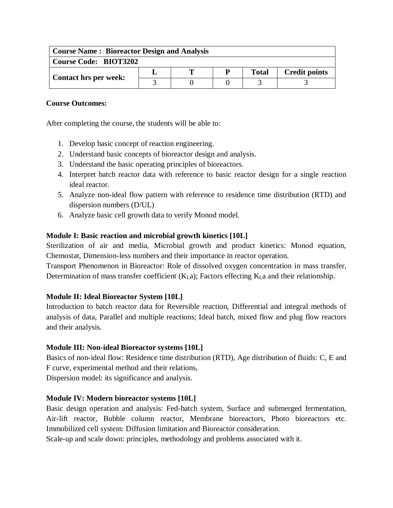| <b>Course Name: Bioreactor Design and Analysis</b> |  |   |   |              |                      |  |  |  |  |
|----------------------------------------------------|--|---|---|--------------|----------------------|--|--|--|--|
| <b>Course Code: BIOT3202</b>                       |  |   |   |              |                      |  |  |  |  |
| <b>Contact hrs per week:</b>                       |  | m | P | <b>Total</b> | <b>Credit points</b> |  |  |  |  |
|                                                    |  |   |   |              |                      |  |  |  |  |

After completing the course, the students will be able to:

- 1. Develop basic concept of reaction engineering.
- 2. Understand basic concepts of bioreactor design and analysis.
- 3. Understand the basic operating principles of bioreactors.
- 4. Interpret batch reactor data with reference to basic reactor design for a single reaction ideal reactor.
- 5. Analyze non-ideal flow pattern with reference to residence time distribution (RTD) and dispersion numbers (D/UL)
- 6. Analyze basic cell growth data to verify Monod model.

## **Module I: Basic reaction and microbial growth kinetics [10L]**

Sterilization of air and media, Microbial growth and product kinetics: Monod equation, Chemostat, Dimension-less numbers and their importance in reactor operation.

Transport Phenomenon in Bioreactor: Role of dissolved oxygen concentration in mass transfer, Determination of mass transfer coefficient (K<sub>La</sub>); Factors effecting K<sub>La</sub> and their relationship.

## **Module II: Ideal Bioreactor System [10L]**

Introduction to batch reactor data for Reversible reaction, Differential and integral methods of analysis of data, Parallel and multiple reactions; Ideal batch, mixed flow and plug flow reactors and their analysis.

## **Module III: Non-ideal Bioreactor systems [10L]**

Basics of non-ideal flow: Residence time distribution (RTD), Age distribution of fluids: C, E and F curve, experimental method and their relations,

Dispersion model: its significance and analysis.

## **Module IV: Modern bioreactor systems [10L]**

Basic design operation and analysis: Fed-batch system, Surface and submerged fermentation, Air-lift reactor, Bubble column reactor, Membrane bioreactors, Photo bioreactors etc. Immobilized cell system: Diffusion limitation and Bioreactor consideration.

Scale-up and scale down: principles, methodology and problems associated with it.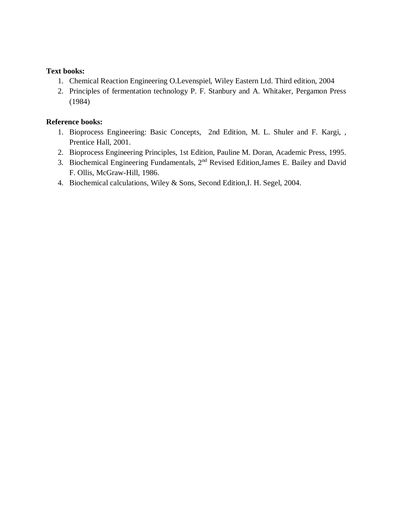## **Text books:**

- 1. Chemical Reaction Engineering O.Levenspiel, Wiley Eastern Ltd. Third edition, 2004
- 2. Principles of fermentation technology P. F. Stanbury and A. Whitaker, Pergamon Press (1984)

## **Reference books:**

- 1. Bioprocess Engineering: Basic Concepts, 2nd Edition, M. L. Shuler and F. Kargi, , Prentice Hall, 2001.
- 2. Bioprocess Engineering Principles, 1st Edition, Pauline M. Doran, Academic Press, 1995.
- 3. Biochemical Engineering Fundamentals, 2nd Revised Edition,James E. Bailey and David F. Ollis, McGraw-Hill, 1986.
- 4. Biochemical calculations, Wiley & Sons, Second Edition,I. H. Segel, 2004.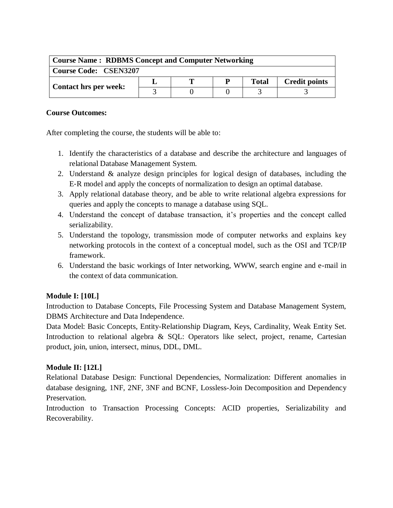| <b>Course Name: RDBMS Concept and Computer Networking</b> |  |  |  |              |                      |  |  |  |
|-----------------------------------------------------------|--|--|--|--------------|----------------------|--|--|--|
| <b>Course Code: CSEN3207</b>                              |  |  |  |              |                      |  |  |  |
| <b>Contact hrs per week:</b>                              |  |  |  | <b>Total</b> | <b>Credit points</b> |  |  |  |
|                                                           |  |  |  |              |                      |  |  |  |

After completing the course, the students will be able to:

- 1. Identify the characteristics of a database and describe the architecture and languages of relational Database Management System.
- 2. Understand & analyze design principles for logical design of databases, including the E-R model and apply the concepts of normalization to design an optimal database.
- 3. Apply relational database theory, and be able to write relational algebra expressions for queries and apply the concepts to manage a database using SQL.
- 4. Understand the concept of database transaction, it's properties and the concept called serializability.
- 5. Understand the topology, transmission mode of computer networks and explains key networking protocols in the context of a conceptual model, such as the OSI and TCP/IP framework.
- 6. Understand the basic workings of Inter networking, WWW, search engine and e-mail in the context of data communication.

# **Module I: [10L]**

Introduction to Database Concepts, File Processing System and Database Management System, DBMS Architecture and Data Independence.

Data Model: Basic Concepts, Entity-Relationship Diagram, Keys, Cardinality, Weak Entity Set. Introduction to relational algebra & SQL: Operators like select, project, rename, Cartesian product, join, union, intersect, minus, DDL, DML.

# **Module II: [12L]**

Relational Database Design: Functional Dependencies, Normalization: Different anomalies in database designing, 1NF, 2NF, 3NF and BCNF, Lossless-Join Decomposition and Dependency Preservation.

Introduction to Transaction Processing Concepts: ACID properties, Serializability and Recoverability.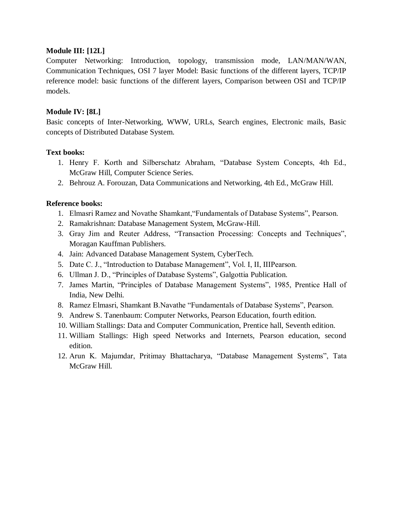## **Module III: [12L]**

Computer Networking: Introduction, topology, transmission mode, LAN/MAN/WAN, Communication Techniques, OSI 7 layer Model: Basic functions of the different layers, TCP/IP reference model: basic functions of the different layers, Comparison between OSI and TCP/IP models.

## **Module IV: [8L]**

Basic concepts of Inter-Networking, WWW, URLs, Search engines, Electronic mails, Basic concepts of Distributed Database System.

## **Text books:**

- 1. Henry F. Korth and Silberschatz Abraham, "Database System Concepts, 4th Ed., McGraw Hill, Computer Science Series.
- 2. Behrouz A. Forouzan, Data Communications and Networking, 4th Ed., McGraw Hill.

## **Reference books:**

- 1. Elmasri Ramez and Novathe Shamkant,"Fundamentals of Database Systems", Pearson.
- 2. Ramakrishnan: Database Management System, McGraw-Hill.
- 3. Gray Jim and Reuter Address, "Transaction Processing: Concepts and Techniques", Moragan Kauffman Publishers.
- 4. Jain: Advanced Database Management System, CyberTech.
- 5. Date C. J., "Introduction to Database Management", Vol. I, II, IIIPearson.
- 6. Ullman J. D., "Principles of Database Systems", Galgottia Publication.
- 7. James Martin, "Principles of Database Management Systems", 1985, Prentice Hall of India, New Delhi.
- 8. Ramez Elmasri, Shamkant B.Navathe "Fundamentals of Database Systems", Pearson.
- 9. Andrew S. Tanenbaum: Computer Networks, Pearson Education, fourth edition.
- 10. William Stallings: Data and Computer Communication, Prentice hall, Seventh edition.
- 11. William Stallings: High speed Networks and Internets, Pearson education, second edition.
- 12. Arun K. Majumdar, Pritimay Bhattacharya, "Database Management Systems", Tata McGraw Hill.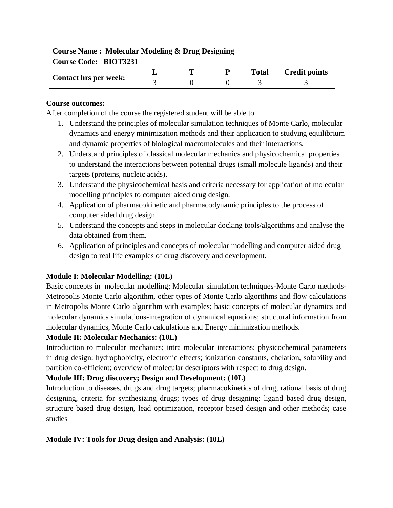| <b>Course Name: Molecular Modeling &amp; Drug Designing</b> |  |   |   |              |                      |  |  |  |  |
|-------------------------------------------------------------|--|---|---|--------------|----------------------|--|--|--|--|
| <b>Course Code: BIOT3231</b>                                |  |   |   |              |                      |  |  |  |  |
| <b>Contact hrs per week:</b>                                |  | Т | P | <b>Total</b> | <b>Credit points</b> |  |  |  |  |
|                                                             |  |   |   |              |                      |  |  |  |  |

After completion of the course the registered student will be able to

- 1. Understand the principles of molecular simulation techniques of Monte Carlo, molecular dynamics and energy minimization methods and their application to studying equilibrium and dynamic properties of biological macromolecules and their interactions.
- 2. Understand principles of classical molecular mechanics and physicochemical properties to understand the interactions between potential drugs (small molecule ligands) and their targets (proteins, nucleic acids).
- 3. Understand the physicochemical basis and criteria necessary for application of molecular modelling principles to computer aided drug design.
- 4. Application of pharmacokinetic and pharmacodynamic principles to the process of computer aided drug design.
- 5. Understand the concepts and steps in molecular docking tools/algorithms and analyse the data obtained from them.
- 6. Application of principles and concepts of molecular modelling and computer aided drug design to real life examples of drug discovery and development.

# **Module I: Molecular Modelling: (10L)**

Basic concepts in molecular modelling; Molecular simulation techniques-Monte Carlo methods-Metropolis Monte Carlo algorithm, other types of Monte Carlo algorithms and flow calculations in Metropolis Monte Carlo algorithm with examples; basic concepts of molecular dynamics and molecular dynamics simulations-integration of dynamical equations; structural information from molecular dynamics, Monte Carlo calculations and Energy minimization methods.

# **Module II: Molecular Mechanics: (10L)**

Introduction to molecular mechanics; intra molecular interactions; physicochemical parameters in drug design: hydrophobicity, electronic effects; ionization constants, chelation, solubility and partition co-efficient; overview of molecular descriptors with respect to drug design.

# **Module III: Drug discovery; Design and Development: (10L)**

Introduction to diseases, drugs and drug targets; pharmacokinetics of drug, rational basis of drug designing, criteria for synthesizing drugs; types of drug designing: ligand based drug design, structure based drug design, lead optimization, receptor based design and other methods; case studies

# **Module IV: Tools for Drug design and Analysis: (10L)**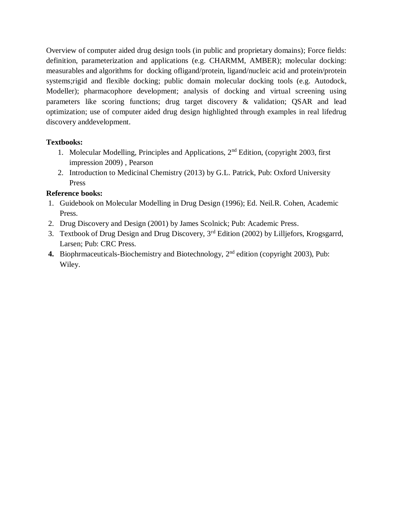Overview of computer aided drug design tools (in public and proprietary domains); Force fields: definition, parameterization and applications (e.g. CHARMM, AMBER); molecular docking: measurables and algorithms for docking ofligand/protein, ligand/nucleic acid and protein/protein systems;rigid and flexible docking; public domain molecular docking tools (e.g. Autodock, Modeller); pharmacophore development; analysis of docking and virtual screening using parameters like scoring functions; drug target discovery & validation; QSAR and lead optimization; use of computer aided drug design highlighted through examples in real lifedrug discovery anddevelopment.

# **Textbooks:**

- 1. Molecular Modelling, Principles and Applications, 2nd Edition, (copyright 2003, first impression 2009) , Pearson
- 2. Introduction to Medicinal Chemistry (2013) by G.L. Patrick, Pub: Oxford University Press

# **Reference books:**

- 1. Guidebook on Molecular Modelling in Drug Design (1996); Ed. Neil.R. Cohen, Academic Press.
- 2. Drug Discovery and Design (2001) by James Scolnick; Pub: Academic Press.
- 3. Textbook of Drug Design and Drug Discovery, 3<sup>rd</sup> Edition (2002) by Lilliefors, Krogsgarrd, Larsen; Pub: CRC Press.
- 4. Biophrmaceuticals-Biochemistry and Biotechnology, 2<sup>nd</sup> edition (copyright 2003), Pub: Wiley.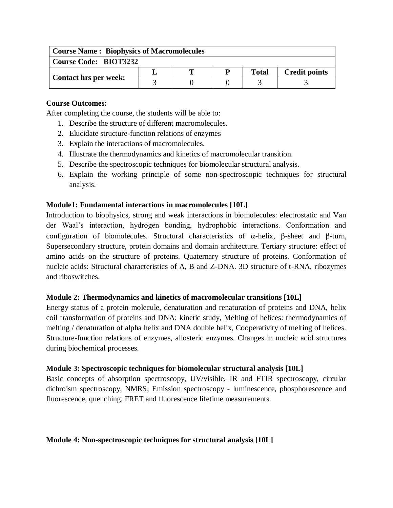| <b>Course Name: Biophysics of Macromolecules</b> |  |   |   |              |                      |  |  |  |  |
|--------------------------------------------------|--|---|---|--------------|----------------------|--|--|--|--|
| <b>Course Code: BIOT3232</b>                     |  |   |   |              |                      |  |  |  |  |
| <b>Contact hrs per week:</b>                     |  | m | D | <b>Total</b> | <b>Credit points</b> |  |  |  |  |
|                                                  |  |   |   |              |                      |  |  |  |  |

After completing the course, the students will be able to:

- 1. Describe the structure of different macromolecules.
- 2. Elucidate structure-function relations of enzymes
- 3. Explain the interactions of macromolecules.
- 4. Illustrate the thermodynamics and kinetics of macromolecular transition.
- 5. Describe the spectroscopic techniques for biomolecular structural analysis.
- 6. Explain the working principle of some non-spectroscopic techniques for structural analysis.

## **Module1: Fundamental interactions in macromolecules [10L]**

Introduction to biophysics, strong and weak interactions in biomolecules: electrostatic and Van der Waal's interaction, hydrogen bonding, hydrophobic interactions. Conformation and configuration of biomolecules. Structural characteristics of  $\alpha$ -helix,  $\beta$ -sheet and  $\beta$ -turn, Supersecondary structure, protein domains and domain architecture. Tertiary structure: effect of amino acids on the structure of proteins. Quaternary structure of proteins. Conformation of nucleic acids: Structural characteristics of A, B and Z-DNA. 3D structure of t-RNA, ribozymes and riboswitches.

#### **Module 2: Thermodynamics and kinetics of macromolecular transitions [10L]**

Energy status of a protein molecule, denaturation and renaturation of proteins and DNA, helix coil transformation of proteins and DNA: kinetic study, Melting of helices: thermodynamics of melting / denaturation of alpha helix and DNA double helix, Cooperativity of melting of helices. Structure-function relations of enzymes, allosteric enzymes. Changes in nucleic acid structures during biochemical processes.

#### **Module 3: Spectroscopic techniques for biomolecular structural analysis [10L]**

Basic concepts of absorption spectroscopy, UV/visible, IR and FTIR spectroscopy, circular dichroism spectroscopy, NMRS; Emission spectroscopy - luminescence, phosphorescence and fluorescence, quenching, FRET and fluorescence lifetime measurements.

#### **Module 4: Non-spectroscopic techniques for structural analysis [10L]**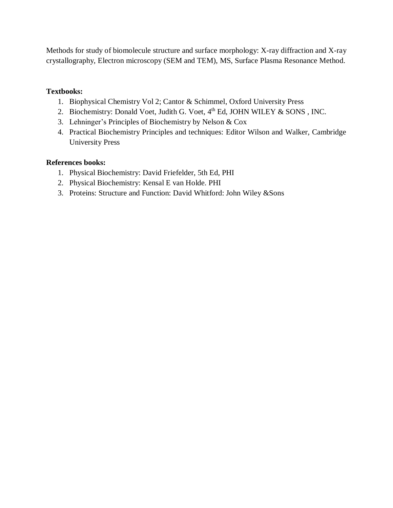Methods for study of biomolecule structure and surface morphology: X-ray diffraction and X-ray crystallography, Electron microscopy (SEM and TEM), MS, Surface Plasma Resonance Method.

# **Textbooks:**

- 1. Biophysical Chemistry Vol 2; Cantor & Schimmel, Oxford University Press
- 2. Biochemistry: [Donald Voet,](http://as.wiley.com/WileyCDA/Section/id-302477.html?query=Donald+Voet) [Judith G. Voet,](http://as.wiley.com/WileyCDA/Section/id-302477.html?query=Judith+G.+Voet)  $4<sup>th</sup>$  Ed, JOHN WILEY & SONS, INC.
- 3. Lehninger's Principles of Biochemistry by Nelson & Cox
- 4. Practical Biochemistry Principles and techniques: Editor Wilson and Walker, Cambridge University Press

# **References books:**

- 1. Physical Biochemistry: David Friefelder, 5th Ed, PHI
- 2. Physical Biochemistry: Kensal E van Holde. PHI
- 3. Proteins: Structure and Function: David Whitford: John Wiley &Sons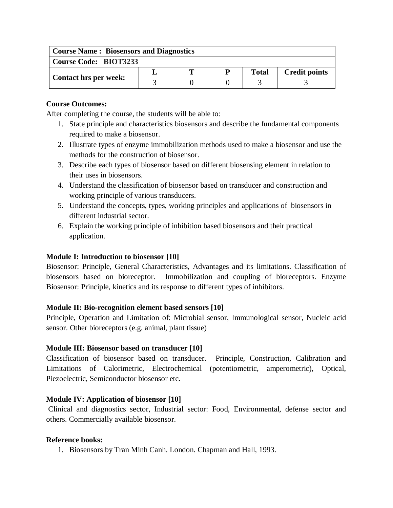| <b>Course Name: Biosensors and Diagnostics</b> |  |  |   |              |                      |  |  |  |  |
|------------------------------------------------|--|--|---|--------------|----------------------|--|--|--|--|
| <b>Course Code: BIOT3233</b>                   |  |  |   |              |                      |  |  |  |  |
| <b>Contact hrs per week:</b>                   |  |  | P | <b>Total</b> | <b>Credit points</b> |  |  |  |  |
|                                                |  |  |   |              |                      |  |  |  |  |

After completing the course, the students will be able to:

- 1. State principle and characteristics biosensors and describe the fundamental components required to make a biosensor.
- 2. Illustrate types of enzyme immobilization methods used to make a biosensor and use the methods for the construction of biosensor.
- 3. Describe each types of biosensor based on different biosensing element in relation to their uses in biosensors.
- 4. Understand the classification of biosensor based on transducer and construction and working principle of various transducers.
- 5. Understand the concepts, types, working principles and applications of biosensors in different industrial sector.
- 6. Explain the working principle of inhibition based biosensors and their practical application.

## **Module I: Introduction to biosensor [10]**

Biosensor: Principle, General Characteristics, Advantages and its limitations. Classification of biosensors based on bioreceptor. Immobilization and coupling of bioreceptors. Enzyme Biosensor: Principle, kinetics and its response to different types of inhibitors.

# **Module II: Bio-recognition element based sensors [10]**

Principle, Operation and Limitation of: Microbial sensor, Immunological sensor, Nucleic acid sensor. Other bioreceptors (e.g. animal, plant tissue)

# **Module III: Biosensor based on transducer [10]**

Classification of biosensor based on transducer. Principle, Construction, Calibration and Limitations of Calorimetric, Electrochemical (potentiometric, amperometric), Optical, Piezoelectric, Semiconductor biosensor etc.

# **Module IV: Application of biosensor [10]**

Clinical and diagnostics sector, Industrial sector: Food, Environmental, defense sector and others. Commercially available biosensor.

#### **Reference books:**

1. Biosensors by Tran Minh Canh. London. Chapman and Hall, 1993.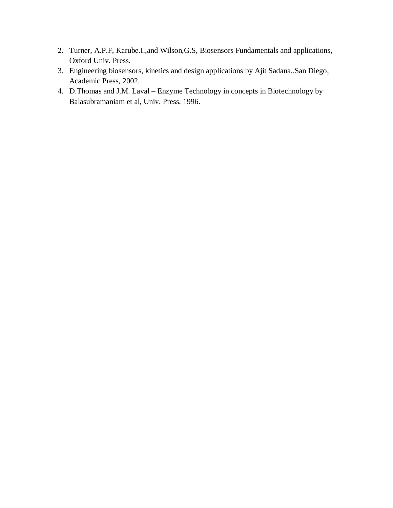- 2. Turner, A.P.F, Karube.I.,and Wilson,G.S, Biosensors Fundamentals and applications, Oxford Univ. Press.
- 3. Engineering biosensors, kinetics and design applications by Ajit Sadana..San Diego, Academic Press, 2002.
- 4. D.Thomas and J.M. Laval Enzyme Technology in concepts in Biotechnology by Balasubramaniam et al, Univ. Press, 1996.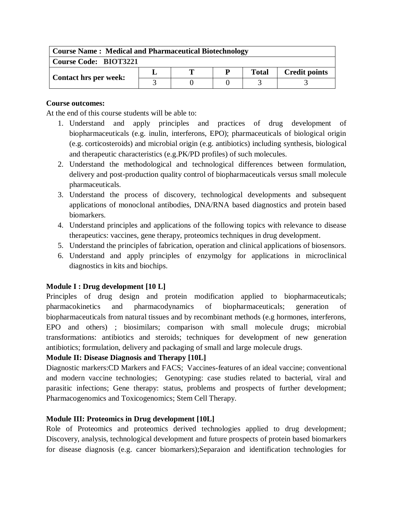| <b>Course Name: Medical and Pharmaceutical Biotechnology</b> |  |  |  |              |                      |  |  |  |  |
|--------------------------------------------------------------|--|--|--|--------------|----------------------|--|--|--|--|
| <b>Course Code: BIOT3221</b>                                 |  |  |  |              |                      |  |  |  |  |
| <b>Contact hrs per week:</b>                                 |  |  |  | <b>Total</b> | <b>Credit points</b> |  |  |  |  |
|                                                              |  |  |  |              |                      |  |  |  |  |

At the end of this course students will be able to:

- 1. Understand and apply principles and practices of drug development of biopharmaceuticals (e.g. inulin, interferons, EPO); pharmaceuticals of biological origin (e.g. corticosteroids) and microbial origin (e.g. antibiotics) including synthesis, biological and therapeutic characteristics (e.g.PK/PD profiles) of such molecules.
- 2. Understand the methodological and technological differences between formulation, delivery and post-production quality control of biopharmaceuticals versus small molecule pharmaceuticals.
- 3. Understand the process of discovery, technological developments and subsequent applications of monoclonal antibodies, DNA/RNA based diagnostics and protein based biomarkers.
- 4. Understand principles and applications of the following topics with relevance to disease therapeutics: vaccines, gene therapy, proteomics techniques in drug development.
- 5. Understand the principles of fabrication, operation and clinical applications of biosensors.
- 6. Understand and apply principles of enzymolgy for applications in microclinical diagnostics in kits and biochips.

# **Module I : Drug development [10 L]**

Principles of drug design and protein modification applied to biopharmaceuticals; pharmacokinetics and pharmacodynamics of biopharmaceuticals; generation of biopharmaceuticals from natural tissues and by recombinant methods (e.g hormones, interferons, EPO and others) ; biosimilars; comparison with small molecule drugs; microbial transformations: antibiotics and steroids; techniques for development of new generation antibiotics; formulation, delivery and packaging of small and large molecule drugs.

# **Module II: Disease Diagnosis and Therapy [10L]**

Diagnostic markers:CD Markers and FACS; Vaccines-features of an ideal vaccine; conventional and modern vaccine technologies; Genotyping: case studies related to bacterial, viral and parasitic infections; Gene therapy: status, problems and prospects of further development; Pharmacogenomics and Toxicogenomics; Stem Cell Therapy.

# **Module III: Proteomics in Drug development [10L]**

Role of Proteomics and proteomics derived technologies applied to drug development; Discovery, analysis, technological development and future prospects of protein based biomarkers for disease diagnosis (e.g. cancer biomarkers);Separaion and identification technologies for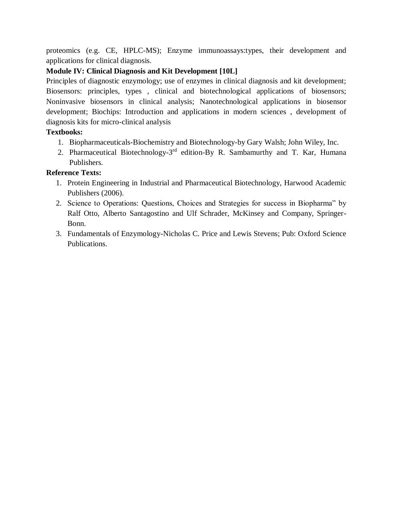proteomics (e.g. CE, HPLC-MS); Enzyme immunoassays:types, their development and applications for clinical diagnosis.

# **Module IV: Clinical Diagnosis and Kit Development [10L]**

Principles of diagnostic enzymology; use of enzymes in clinical diagnosis and kit development; Biosensors: principles, types , clinical and biotechnological applications of biosensors; Noninvasive biosensors in clinical analysis; Nanotechnological applications in biosensor development; Biochips: Introduction and applications in modern sciences , development of diagnosis kits for micro-clinical analysis

# **Textbooks:**

- 1. Biopharmaceuticals-Biochemistry and Biotechnology-by Gary Walsh; John Wiley, Inc.
- 2. Pharmaceutical Biotechnology-3<sup>rd</sup> edition-By R. Sambamurthy and T. Kar, Humana Publishers.

# **Reference Texts:**

- 1. Protein Engineering in Industrial and Pharmaceutical Biotechnology, Harwood Academic Publishers (2006).
- 2. Science to Operations: Questions, Choices and Strategies for success in Biopharma" by Ralf Otto, Alberto Santagostino and Ulf Schrader, McKinsey and Company, Springer-Bonn.
- 3. Fundamentals of Enzymology-Nicholas C. Price and Lewis Stevens; Pub: Oxford Science Publications.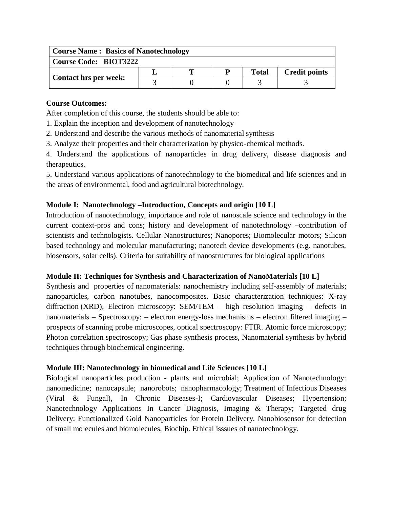| <b>Course Name: Basics of Nanotechnology</b> |  |  |  |              |                      |  |  |  |  |
|----------------------------------------------|--|--|--|--------------|----------------------|--|--|--|--|
| <b>Course Code: BIOT3222</b>                 |  |  |  |              |                      |  |  |  |  |
| <b>Contact hrs per week:</b>                 |  |  |  | <b>Total</b> | <b>Credit points</b> |  |  |  |  |
|                                              |  |  |  |              |                      |  |  |  |  |

After completion of this course, the students should be able to:

- 1. Explain the inception and development of nanotechnology
- 2. Understand and describe the various methods of nanomaterial synthesis
- 3. Analyze their properties and their characterization by physico-chemical methods.

4. Understand the applications of nanoparticles in drug delivery, disease diagnosis and therapeutics.

5. Understand various applications of nanotechnology to the biomedical and life sciences and in the areas of environmental, food and agricultural biotechnology.

# **Module I: Nanotechnology –Introduction, Concepts and origin [10 L]**

Introduction of nanotechnology, importance and role of nanoscale science and technology in the current context-pros and cons; history and development of nanotechnology –contribution of scientists and technologists. Cellular Nanostructures; Nanopores; Biomolecular motors; Silicon based technology and molecular manufacturing; nanotech device developments (e.g. nanotubes, biosensors, solar cells). Criteria for suitability of nanostructures for biological applications

# **Module II: Techniques for Synthesis and Characterization of NanoMaterials [10 L]**

Synthesis and properties of nanomaterials: nanochemistry including self-assembly of materials; nanoparticles, carbon nanotubes, nanocomposites. Basic characterization techniques: X-ray diffraction (XRD), Electron microscopy: SEM/TEM – high resolution imaging – defects in nanomaterials – Spectroscopy: – electron energy-loss mechanisms – electron filtered imaging – prospects of scanning probe microscopes, optical spectroscopy: FTIR. Atomic force microscopy; Photon correlation spectroscopy; Gas phase synthesis process, Nanomaterial synthesis by hybrid techniques through biochemical engineering.

# **Module III: Nanotechnology in biomedical and Life Sciences [10 L]**

Biological nanoparticles production - plants and microbial; Application of Nanotechnology: nanomedicine; nanocapsule; nanorobots; nanopharmacology; Treatment of Infectious Diseases (Viral & Fungal), In Chronic Diseases-I; Cardiovascular Diseases; Hypertension; Nanotechnology Applications In Cancer Diagnosis, Imaging & Therapy; Targeted drug Delivery; Functionalized Gold Nanoparticles for Protein Delivery. Nanobiosensor for detection of small molecules and biomolecules, Biochip. Ethical isssues of nanotechnology.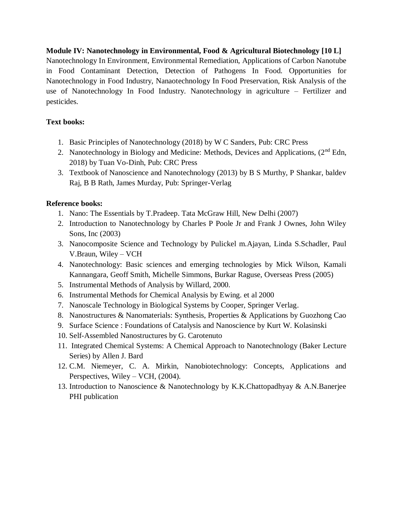# **Module IV: Nanotechnology in Environmental, Food & Agricultural Biotechnology [10 L]**  Nanotechnology In Environment, Environmental Remediation, Applications of Carbon Nanotube in Food Contaminant Detection, Detection of Pathogens In Food. Opportunities for Nanotechnology in Food Industry, Nanaotechnology In Food Preservation, Risk Analysis of the use of Nanotechnology In Food Industry. Nanotechnology in agriculture – Fertilizer and pesticides.

# **Text books:**

- 1. Basic Principles of Nanotechnology (2018) by W C Sanders, Pub: CRC Press
- 2. Nanotechnology in Biology and Medicine: Methods, Devices and Applications, (2<sup>nd</sup> Edn, 2018) by Tuan Vo-Dinh, Pub: CRC Press
- 3. Textbook of Nanoscience and Nanotechnology (2013) by B S Murthy, P Shankar, baldev Raj, B B Rath, James Murday, Pub: Springer-Verlag

# **Reference books:**

- 1. Nano: The Essentials by T.Pradeep. Tata McGraw Hill, New Delhi (2007)
- 2. Introduction to Nanotechnology by Charles P Poole Jr and Frank J Ownes, John Wiley Sons, Inc (2003)
- 3. Nanocomposite Science and Technology by Pulickel m.Ajayan, Linda S.Schadler, Paul V.Braun, Wiley – VCH
- 4. Nanotechnology: Basic sciences and emerging technologies by Mick Wilson, Kamali Kannangara, Geoff Smith, Michelle Simmons, Burkar Raguse, Overseas Press (2005)
- 5. Instrumental Methods of Analysis by Willard, 2000.
- 6. Instrumental Methods for Chemical Analysis by Ewing. et al 2000
- 7. Nanoscale Technology in Biological Systems by Cooper, Springer Verlag.
- 8. Nanostructures & Nanomaterials: Synthesis, Properties & Applications by Guozhong Cao
- 9. Surface Science : Foundations of Catalysis and Nanoscience by Kurt W. Kolasinski
- 10. Self-Assembled Nanostructures by G. Carotenuto
- 11. Integrated Chemical Systems: A Chemical Approach to Nanotechnology (Baker Lecture Series) by Allen J. Bard
- 12. C.M. Niemeyer, C. A. Mirkin, Nanobiotechnology: Concepts, Applications and Perspectives, Wiley – VCH, (2004).
- 13. Introduction to Nanoscience & Nanotechnology by K.K.Chattopadhyay & A.N.Banerjee PHI publication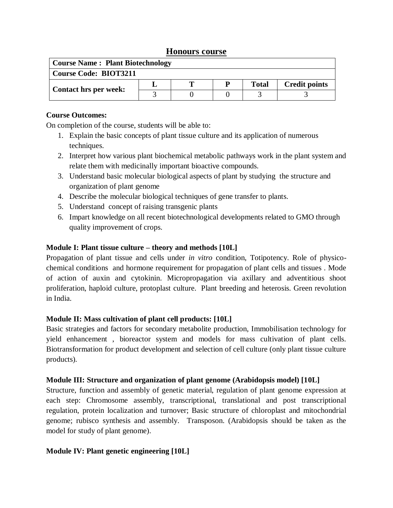# **Honours course**

| <b>Course Name: Plant Biotechnology</b> |  |  |  |              |                      |  |  |  |  |
|-----------------------------------------|--|--|--|--------------|----------------------|--|--|--|--|
| <b>Course Code: BIOT3211</b>            |  |  |  |              |                      |  |  |  |  |
| Contact hrs per week:                   |  |  |  | <b>Total</b> | <b>Credit points</b> |  |  |  |  |
|                                         |  |  |  |              |                      |  |  |  |  |

# **Course Outcomes:**

On completion of the course, students will be able to:

- 1. Explain the basic concepts of plant tissue culture and its application of numerous techniques.
- 2. Interpret how various plant biochemical metabolic pathways work in the plant system and relate them with medicinally important bioactive compounds.
- 3. Understand basic molecular biological aspects of plant by studying the structure and organization of plant genome
- 4. Describe the molecular biological techniques of gene transfer to plants.
- 5. Understand concept of raising transgenic plants
- 6. Impart knowledge on all recent biotechnological developments related to GMO through quality improvement of crops.

# **Module I: Plant tissue culture – theory and methods [10L]**

Propagation of plant tissue and cells under *in vitro* condition, Totipotency. Role of physicochemical conditions and hormone requirement for propagation of plant cells and tissues . Mode of action of auxin and cytokinin. Micropropagation via axillary and adventitious shoot proliferation, haploid culture, protoplast culture. Plant breeding and heterosis. Green revolution in India.

# **Module II: Mass cultivation of plant cell products: [10L]**

Basic strategies and factors for secondary metabolite production, Immobilisation technology for yield enhancement , bioreactor system and models for mass cultivation of plant cells. Biotransformation for product development and selection of cell culture (only plant tissue culture products).

# **Module III: Structure and organization of plant genome (Arabidopsis model) [10L]**

Structure, function and assembly of genetic material, regulation of plant genome expression at each step: Chromosome assembly, transcriptional, translational and post transcriptional regulation, protein localization and turnover; Basic structure of chloroplast and mitochondrial genome; rubisco synthesis and assembly. Transposon. (Arabidopsis should be taken as the model for study of plant genome).

# **Module IV: Plant genetic engineering [10L]**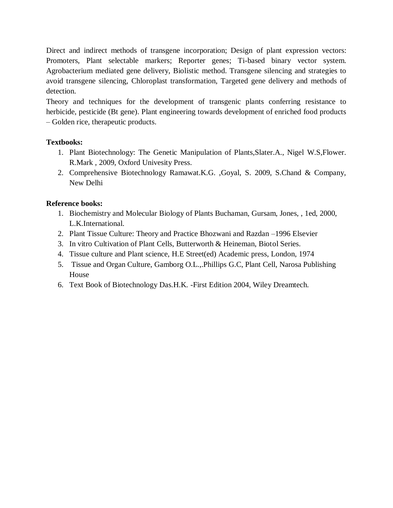Direct and indirect methods of transgene incorporation; Design of plant expression vectors: Promoters, Plant selectable markers; Reporter genes; Ti-based binary vector system. Agrobacterium mediated gene delivery, Biolistic method. Transgene silencing and strategies to avoid transgene silencing, Chloroplast transformation, Targeted gene delivery and methods of detection.

Theory and techniques for the development of transgenic plants conferring resistance to herbicide, pesticide (Bt gene). Plant engineering towards development of enriched food products – Golden rice, therapeutic products.

# **Textbooks:**

- 1. Plant Biotechnology: The Genetic Manipulation of Plants,Slater.A., Nigel W.S,Flower. R.Mark , 2009, Oxford Univesity Press.
- 2. Comprehensive Biotechnology Ramawat.K.G. ,Goyal, S. 2009, S.Chand & Company, New Delhi

# **Reference books:**

- 1. Biochemistry and Molecular Biology of Plants Buchaman, Gursam, Jones, , 1ed, 2000, L.K.International.
- 2. Plant Tissue Culture: Theory and Practice Bhozwani and Razdan –1996 Elsevier
- 3. In vitro Cultivation of Plant Cells, Butterworth & Heineman, Biotol Series.
- 4. Tissue culture and Plant science, H.E Street(ed) Academic press, London, 1974
- 5. Tissue and Organ Culture, Gamborg O.L.,.Phillips G.C, Plant Cell, Narosa Publishing House
- 6. Text Book of Biotechnology Das.H.K. -First Edition 2004, Wiley Dreamtech.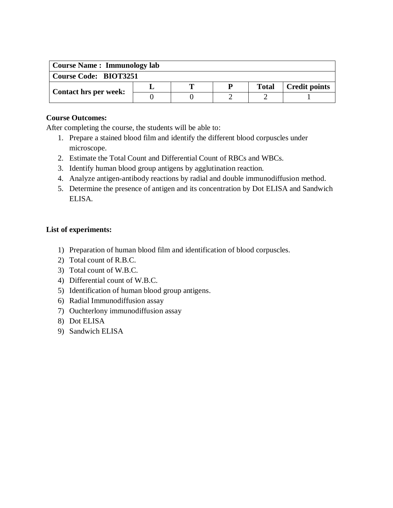| <b>Course Name: Immunology lab</b> |  |   |   |              |                      |  |  |  |  |
|------------------------------------|--|---|---|--------------|----------------------|--|--|--|--|
| <b>Course Code: BIOT3251</b>       |  |   |   |              |                      |  |  |  |  |
| <b>Contact hrs per week:</b>       |  | m | P | <b>Total</b> | <b>Credit points</b> |  |  |  |  |
|                                    |  |   |   |              |                      |  |  |  |  |

After completing the course, the students will be able to:

- 1. Prepare a stained blood film and identify the different blood corpuscles under microscope.
- 2. Estimate the Total Count and Differential Count of RBCs and WBCs.
- 3. Identify human blood group antigens by agglutination reaction.
- 4. Analyze antigen-antibody reactions by radial and double immunodiffusion method.
- 5. Determine the presence of antigen and its concentration by Dot ELISA and Sandwich ELISA.

# **List of experiments:**

- 1) Preparation of human blood film and identification of blood corpuscles.
- 2) Total count of R.B.C.
- 3) Total count of W.B.C.
- 4) Differential count of W.B.C.
- 5) Identification of human blood group antigens.
- 6) Radial Immunodiffusion assay
- 7) Ouchterlony immunodiffusion assay
- 8) Dot ELISA
- 9) Sandwich ELISA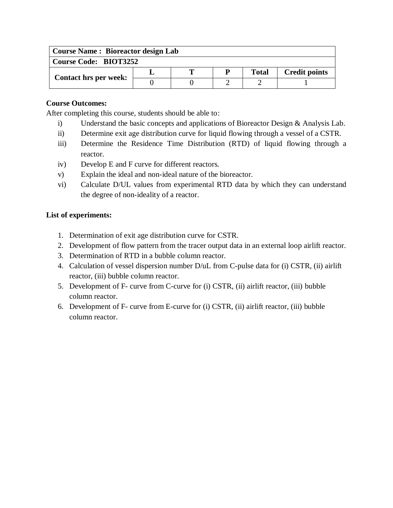| <b>Course Name: Bioreactor design Lab</b> |  |  |  |              |                      |  |  |  |  |
|-------------------------------------------|--|--|--|--------------|----------------------|--|--|--|--|
| <b>Course Code: BIOT3252</b>              |  |  |  |              |                      |  |  |  |  |
| <b>Contact hrs per week:</b>              |  |  |  | <b>Total</b> | <b>Credit points</b> |  |  |  |  |
|                                           |  |  |  |              |                      |  |  |  |  |

After completing this course, students should be able to:

- i) Understand the basic concepts and applications of Bioreactor Design & Analysis Lab.
- ii) Determine exit age distribution curve for liquid flowing through a vessel of a CSTR.
- iii) Determine the Residence Time Distribution (RTD) of liquid flowing through a reactor.
- iv) Develop E and F curve for different reactors.
- v) Explain the ideal and non-ideal nature of the bioreactor.
- vi) Calculate D/UL values from experimental RTD data by which they can understand the degree of non-ideality of a reactor.

#### **List of experiments:**

- 1. Determination of exit age distribution curve for CSTR.
- 2. Development of flow pattern from the tracer output data in an external loop airlift reactor.
- 3. Determination of RTD in a bubble column reactor.
- 4. Calculation of vessel dispersion number D/uL from C-pulse data for (i) CSTR, (ii) airlift reactor, (iii) bubble column reactor.
- 5. Development of F- curve from C-curve for (i) CSTR, (ii) airlift reactor, (iii) bubble column reactor.
- 6. Development of F- curve from E-curve for (i) CSTR, (ii) airlift reactor, (iii) bubble column reactor.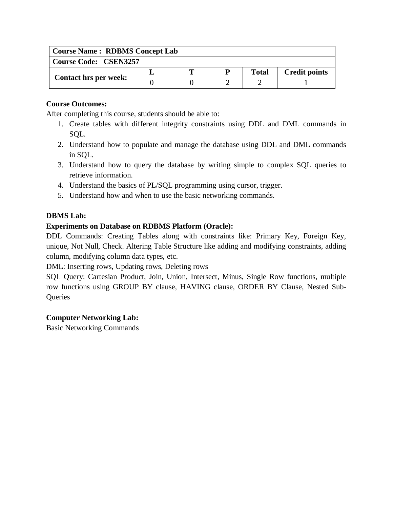| <b>Course Name: RDBMS Concept Lab</b> |  |   |  |              |                      |  |  |  |  |
|---------------------------------------|--|---|--|--------------|----------------------|--|--|--|--|
| <b>Course Code: CSEN3257</b>          |  |   |  |              |                      |  |  |  |  |
|                                       |  | m |  | <b>Total</b> | <b>Credit points</b> |  |  |  |  |
| <b>Contact hrs per week:</b>          |  |   |  |              |                      |  |  |  |  |

After completing this course, students should be able to:

- 1. Create tables with different integrity constraints using DDL and DML commands in SQL.
- 2. Understand how to populate and manage the database using DDL and DML commands in SQL.
- 3. Understand how to query the database by writing simple to complex SQL queries to retrieve information.
- 4. Understand the basics of PL/SQL programming using cursor, trigger.
- 5. Understand how and when to use the basic networking commands.

# **DBMS Lab:**

# **Experiments on Database on RDBMS Platform (Oracle):**

DDL Commands: Creating Tables along with constraints like: Primary Key, Foreign Key, unique, Not Null, Check. Altering Table Structure like adding and modifying constraints, adding column, modifying column data types, etc.

DML: Inserting rows, Updating rows, Deleting rows

SQL Query: Cartesian Product, Join, Union, Intersect, Minus, Single Row functions, multiple row functions using GROUP BY clause, HAVING clause, ORDER BY Clause, Nested Sub-**Queries** 

# **Computer Networking Lab:**

Basic Networking Commands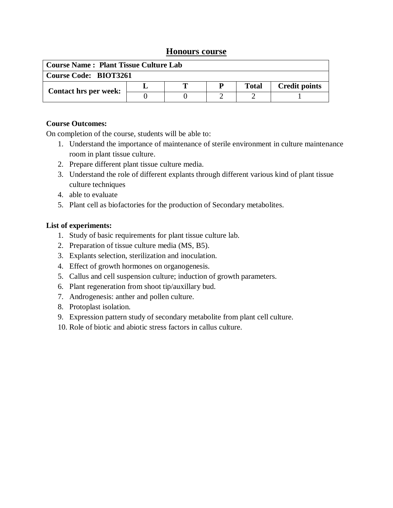# **Honours course**

| <b>Course Name: Plant Tissue Culture Lab</b> |  |  |  |              |                      |  |  |  |  |
|----------------------------------------------|--|--|--|--------------|----------------------|--|--|--|--|
| <b>Course Code: BIOT3261</b>                 |  |  |  |              |                      |  |  |  |  |
| <b>Contact hrs per week:</b>                 |  |  |  | <b>Total</b> | <b>Credit points</b> |  |  |  |  |
|                                              |  |  |  |              |                      |  |  |  |  |

## **Course Outcomes:**

On completion of the course, students will be able to:

- 1. Understand the importance of maintenance of sterile environment in culture maintenance room in plant tissue culture.
- 2. Prepare different plant tissue culture media.
- 3. Understand the role of different explants through different various kind of plant tissue culture techniques
- 4. able to evaluate
- 5. Plant cell as biofactories for the production of Secondary metabolites.

## **List of experiments:**

- 1. Study of basic requirements for plant tissue culture lab.
- 2. Preparation of tissue culture media (MS, B5).
- 3. Explants selection, sterilization and inoculation.
- 4. Effect of growth hormones on organogenesis.
- 5. Callus and cell suspension culture; induction of growth parameters.
- 6. Plant regeneration from shoot tip/auxillary bud.
- 7. Androgenesis: anther and pollen culture.
- 8. Protoplast isolation.
- 9. Expression pattern study of secondary metabolite from plant cell culture.
- 10. Role of biotic and abiotic stress factors in callus culture.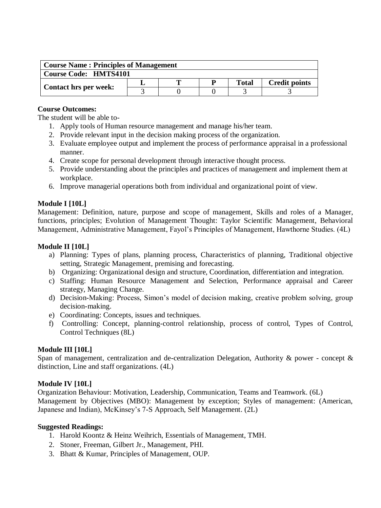| <b>Course Name: Principles of Management</b> |  |  |  |       |                      |  |  |  |
|----------------------------------------------|--|--|--|-------|----------------------|--|--|--|
| <b>Course Code: HMTS4101</b>                 |  |  |  |       |                      |  |  |  |
|                                              |  |  |  | Total | <b>Credit points</b> |  |  |  |
| <b>Contact hrs per week:</b>                 |  |  |  |       |                      |  |  |  |

The student will be able to-

- 1. Apply tools of Human resource management and manage his/her team.
- 2. Provide relevant input in the decision making process of the organization.
- 3. Evaluate employee output and implement the process of performance appraisal in a professional manner.
- 4. Create scope for personal development through interactive thought process.
- 5. Provide understanding about the principles and practices of management and implement them at workplace.
- 6. Improve managerial operations both from individual and organizational point of view.

# **Module I [10L]**

Management: Definition, nature, purpose and scope of management, Skills and roles of a Manager, functions, principles; Evolution of Management Thought: Taylor Scientific Management, Behavioral Management, Administrative Management, Fayol's Principles of Management, Hawthorne Studies. (4L)

## **Module II [10L]**

- a) Planning: Types of plans, planning process, Characteristics of planning, Traditional objective setting, Strategic Management, premising and forecasting.
- b) Organizing: Organizational design and structure, Coordination, differentiation and integration.
- c) Staffing: Human Resource Management and Selection, Performance appraisal and Career strategy, Managing Change.
- d) Decision-Making: Process, Simon's model of decision making, creative problem solving, group decision-making.
- e) Coordinating: Concepts, issues and techniques.
- f) Controlling: Concept, planning-control relationship, process of control, Types of Control, Control Techniques (8L)

# **Module III [10L]**

Span of management, centralization and de-centralization Delegation, Authority & power - concept  $\&$ distinction, Line and staff organizations. (4L)

## **Module IV [10L]**

Organization Behaviour: Motivation, Leadership, Communication, Teams and Teamwork. (6L) Management by Objectives (MBO): Management by exception; Styles of management: (American, Japanese and Indian), McKinsey's 7-S Approach, Self Management. (2L)

## **Suggested Readings:**

- 1. Harold Koontz & Heinz Weihrich, Essentials of Management, TMH.
- 2. Stoner, Freeman, Gilbert Jr., Management, PHI.
- 3. Bhatt & Kumar, Principles of Management, OUP.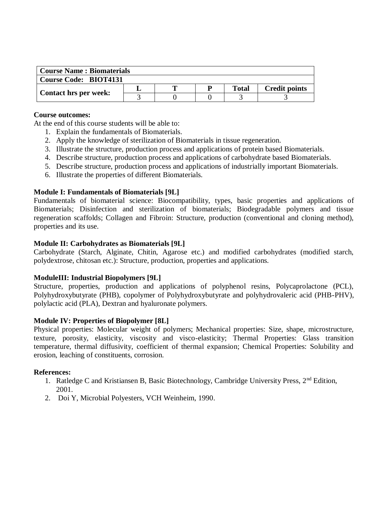| <b>Course Name: Biomaterials</b> |  |  |  |       |                      |  |  |  |
|----------------------------------|--|--|--|-------|----------------------|--|--|--|
| Course Code: BIOT4131            |  |  |  |       |                      |  |  |  |
| <b>Contact hrs per week:</b>     |  |  |  | Total | <b>Credit points</b> |  |  |  |
|                                  |  |  |  |       |                      |  |  |  |

At the end of this course students will be able to:

- 1. Explain the fundamentals of Biomaterials.
- 2. Apply the knowledge of sterilization of Biomaterials in tissue regeneration.
- 3. Illustrate the structure, production process and applications of protein based Biomaterials.
- 4. Describe structure, production process and applications of carbohydrate based Biomaterials.
- 5. Describe structure, production process and applications of industrially important Biomaterials.
- 6. Illustrate the properties of different Biomaterials.

#### **Module I: Fundamentals of Biomaterials [9L]**

Fundamentals of biomaterial science: Biocompatibility, types, basic properties and applications of Biomaterials; Disinfection and sterilization of biomaterials; Biodegradable polymers and tissue regeneration scaffolds; Collagen and Fibroin: Structure, production (conventional and cloning method), properties and its use.

#### **Module II: Carbohydrates as Biomaterials [9L]**

Carbohydrate (Starch, Alginate, Chitin, Agarose etc.) and modified carbohydrates (modified starch, polydextrose, chitosan etc.): Structure, production, properties and applications.

## **ModuleIII: Industrial Biopolymers [9L]**

Structure, properties, production and applications of polyphenol resins, Polycaprolactone (PCL), Polyhydroxybutyrate (PHB), copolymer of Polyhydroxybutyrate and polyhydrovaleric acid (PHB-PHV), polylactic acid (PLA), Dextran and hyaluronate polymers.

## **Module IV: Properties of Biopolymer [8L]**

Physical properties: Molecular weight of polymers; Mechanical properties: Size, shape, microstructure, texture, porosity, elasticity, viscosity and visco-elasticity; Thermal Properties: Glass transition temperature, thermal diffusivity, coefficient of thermal expansion; Chemical Properties: Solubility and erosion, leaching of constituents, corrosion.

#### **References:**

- 1. Ratledge C and Kristiansen B, Basic Biotechnology, Cambridge University Press, 2<sup>nd</sup> Edition, 2001.
- 2. Doi Y, Microbial Polyesters, VCH Weinheim, 1990.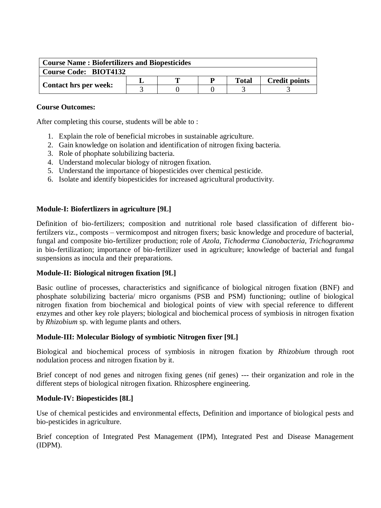| <b>Course Name: Biofertilizers and Biopesticides</b> |  |  |  |              |                      |  |  |  |
|------------------------------------------------------|--|--|--|--------------|----------------------|--|--|--|
| <b>Course Code: BIOT4132</b>                         |  |  |  |              |                      |  |  |  |
| <b>Contact hrs per week:</b>                         |  |  |  | <b>Total</b> | <b>Credit points</b> |  |  |  |
|                                                      |  |  |  |              |                      |  |  |  |

After completing this course, students will be able to :

- 1. Explain the role of beneficial microbes in sustainable agriculture.
- 2. Gain knowledge on isolation and identification of nitrogen fixing bacteria.
- 3. Role of phophate solubilizing bacteria.
- 4. Understand molecular biology of nitrogen fixation.
- 5. Understand the importance of biopesticides over chemical pesticide.
- 6. Isolate and identify biopesticides for increased agricultural productivity.

#### **Module-I: Biofertlizers in agriculture [9L]**

Definition of bio-fertilizers; composition and nutritional role based classification of different biofertilzers viz., composts – vermicompost and nitrogen fixers; basic knowledge and procedure of bacterial, fungal and composite bio-fertilizer production; role of *Azola, Tichoderma Cianobacteria, Trichogramma*  in bio-fertilization; importance of bio-fertilizer used in agriculture; knowledge of bacterial and fungal suspensions as inocula and their preparations.

#### **Module-II: Biological nitrogen fixation [9L]**

Basic outline of processes, characteristics and significance of biological nitrogen fixation (BNF) and phosphate solubilizing bacteria/ micro organisms (PSB and PSM) functioning; outline of biological nitrogen fixation from biochemical and biological points of view with special reference to different enzymes and other key role players; biological and biochemical process of symbiosis in nitrogen fixation by *Rhizobium* sp. with legume plants and others.

## **Module-III: Molecular Biology of symbiotic Nitrogen fixer [9L]**

Biological and biochemical process of symbiosis in nitrogen fixation by *Rhizobium* through root nodulation process and nitrogen fixation by it.

Brief concept of nod genes and nitrogen fixing genes (nif genes) --- their organization and role in the different steps of biological nitrogen fixation. Rhizosphere engineering.

#### **Module-IV: Biopesticides [8L]**

Use of chemical pesticides and environmental effects, Definition and importance of biological pests and bio-pesticides in agriculture.

Brief conception of Integrated Pest Management (IPM), Integrated Pest and Disease Management (IDPM).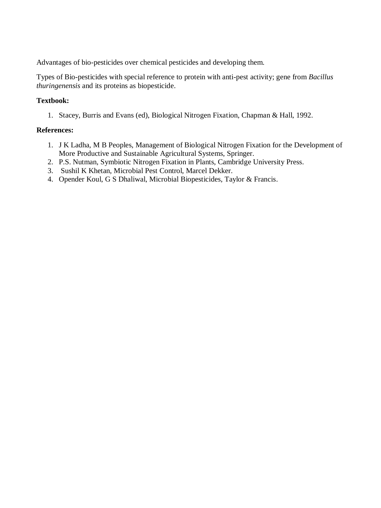Advantages of bio-pesticides over chemical pesticides and developing them.

Types of Bio-pesticides with special reference to protein with anti-pest activity; gene from *Bacillus thuringenensis* and its proteins as biopesticide.

# **Textbook:**

1. Stacey, Burris and Evans (ed), Biological Nitrogen Fixation, Chapman & Hall, 1992.

## **References:**

- 1. J K Ladha, M B Peoples, Management of Biological Nitrogen Fixation for the Development of More Productive and Sustainable Agricultural Systems, Springer.
- 2. P.S. Nutman, Symbiotic Nitrogen Fixation in Plants, Cambridge University Press.
- 3. Sushil K Khetan, Microbial Pest Control, Marcel Dekker.
- 4. Opender Koul, G S Dhaliwal, Microbial Biopesticides, Taylor & Francis.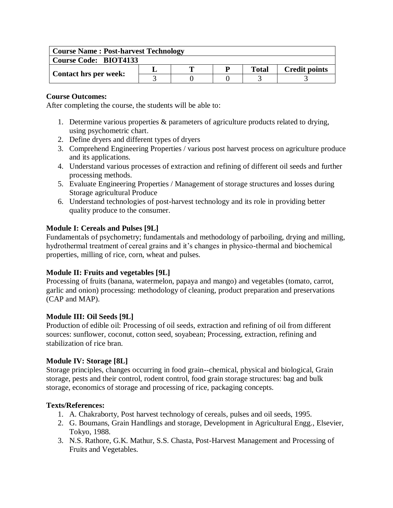| <b>Course Name: Post-harvest Technology</b> |  |  |   |       |                      |  |  |  |
|---------------------------------------------|--|--|---|-------|----------------------|--|--|--|
| <b>Course Code: BIOT4133</b>                |  |  |   |       |                      |  |  |  |
|                                             |  |  | D | Total | <b>Credit points</b> |  |  |  |
| <b>Contact hrs per week:</b>                |  |  |   |       |                      |  |  |  |

After completing the course, the students will be able to:

- 1. Determine various properties & parameters of agriculture products related to drying, using psychometric chart.
- 2. Define dryers and different types of dryers
- 3. Comprehend Engineering Properties / various post harvest process on agriculture produce and its applications.
- 4. Understand various processes of extraction and refining of different oil seeds and further processing methods.
- 5. Evaluate Engineering Properties / Management of storage structures and losses during Storage agricultural Produce
- 6. Understand technologies of post-harvest technology and its role in providing better quality produce to the consumer.

# **Module I: Cereals and Pulses [9L]**

Fundamentals of psychometry; fundamentals and methodology of parboiling, drying and milling, hydrothermal treatment of cereal grains and it's changes in physico-thermal and biochemical properties, milling of rice, corn, wheat and pulses.

# **Module II: Fruits and vegetables [9L]**

Processing of fruits (banana, watermelon, papaya and mango) and vegetables (tomato, carrot, garlic and onion) processing: methodology of cleaning, product preparation and preservations (CAP and MAP).

#### **Module III: Oil Seeds [9L]**

Production of edible oil: Processing of oil seeds, extraction and refining of oil from different sources: sunflower, coconut, cotton seed, soyabean; Processing, extraction, refining and stabilization of rice bran.

# **Module IV: Storage [8L]**

Storage principles, changes occurring in food grain--chemical, physical and biological, Grain storage, pests and their control, rodent control, food grain storage structures: bag and bulk storage, economics of storage and processing of rice, packaging concepts.

#### **Texts/References:**

- 1. A. Chakraborty, Post harvest technology of cereals, pulses and oil seeds, 1995.
- 2. G. Boumans, Grain Handlings and storage, Development in Agricultural Engg., Elsevier, Tokyo, 1988.
- 3. N.S. Rathore, G.K. Mathur, S.S. Chasta, Post-Harvest Management and Processing of Fruits and Vegetables.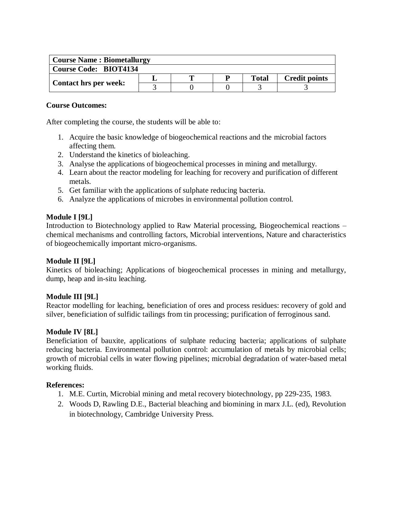| <b>Course Name: Biometallurgy</b> |  |  |  |              |                      |  |  |
|-----------------------------------|--|--|--|--------------|----------------------|--|--|
| <b>Course Code: BIOT4134</b>      |  |  |  |              |                      |  |  |
| <b>Contact hrs per week:</b>      |  |  |  | <b>Total</b> | <b>Credit points</b> |  |  |
|                                   |  |  |  |              |                      |  |  |

After completing the course, the students will be able to:

- 1. Acquire the basic knowledge of biogeochemical reactions and the microbial factors affecting them.
- 2. Understand the kinetics of bioleaching.
- 3. Analyse the applications of biogeochemical processes in mining and metallurgy.
- 4. Learn about the reactor modeling for leaching for recovery and purification of different metals.
- 5. Get familiar with the applications of sulphate reducing bacteria.
- 6. Analyze the applications of microbes in environmental pollution control.

## **Module I [9L]**

Introduction to Biotechnology applied to Raw Material processing, Biogeochemical reactions – chemical mechanisms and controlling factors, Microbial interventions, Nature and characteristics of biogeochemically important micro-organisms.

# **Module II [9L]**

Kinetics of bioleaching; Applications of biogeochemical processes in mining and metallurgy, dump, heap and in-situ leaching.

#### **Module III [9L]**

Reactor modelling for leaching, beneficiation of ores and process residues: recovery of gold and silver, beneficiation of sulfidic tailings from tin processing; purification of ferroginous sand.

#### **Module IV [8L]**

Beneficiation of bauxite, applications of sulphate reducing bacteria; applications of sulphate reducing bacteria. Environmental pollution control: accumulation of metals by microbial cells; growth of microbial cells in water flowing pipelines; microbial degradation of water-based metal working fluids.

#### **References:**

- 1. M.E. Curtin, Microbial mining and metal recovery biotechnology, pp 229-235, 1983.
- 2. Woods D, Rawling D.E., Bacterial bleaching and biomining in marx J.L. (ed), Revolution in biotechnology, Cambridge University Press.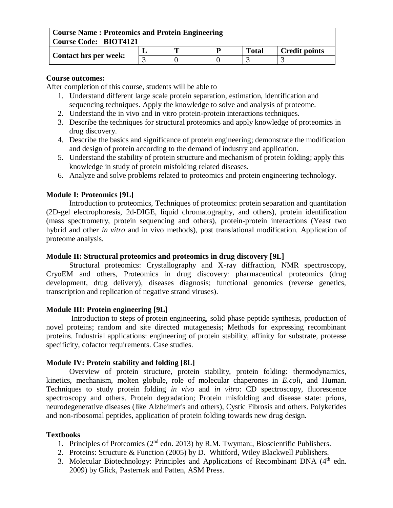| <b>Course Name: Proteomics and Protein Engineering</b> |  |  |  |              |                      |  |  |  |
|--------------------------------------------------------|--|--|--|--------------|----------------------|--|--|--|
| <b>Course Code: BIOT4121</b>                           |  |  |  |              |                      |  |  |  |
| <b>Contact hrs per week:</b>                           |  |  |  | <b>Total</b> | <b>Credit points</b> |  |  |  |
|                                                        |  |  |  |              |                      |  |  |  |

After completion of this course, students will be able to

- 1. Understand different large scale protein separation, estimation, identification and sequencing techniques. Apply the knowledge to solve and analysis of proteome.
- 2. Understand the in vivo and in vitro protein-protein interactions techniques.
- 3. Describe the techniques for structural proteomics and apply knowledge of proteomics in drug discovery.
- 4. Describe the basics and significance of protein engineering; demonstrate the modification and design of protein according to the demand of industry and application.
- 5. Understand the stability of protein structure and mechanism of protein folding; apply this knowledge in study of protein misfolding related diseases.
- 6. Analyze and solve problems related to proteomics and protein engineering technology.

## **Module I: Proteomics [9L]**

Introduction to proteomics, Techniques of proteomics: protein separation and quantitation (2D-gel electrophoresis, 2d-DIGE, liquid chromatography, and others), protein identification (mass spectrometry, protein sequencing and others), protein-protein interactions (Yeast two hybrid and other *in vitro* and in vivo methods), post translational modification. Application of proteome analysis.

#### **Module II: Structural proteomics and proteomics in drug discovery [9L]**

Structural proteomics: Crystallography and X-ray diffraction, NMR spectroscopy, CryoEM and others, Proteomics in drug discovery: pharmaceutical proteomics (drug development, drug delivery), diseases diagnosis; functional genomics (reverse genetics, transcription and replication of negative strand viruses).

#### **Module III: Protein engineering [9L]**

Introduction to steps of protein engineering, solid phase peptide synthesis, production of novel proteins; random and site directed mutagenesis; Methods for expressing recombinant proteins. Industrial applications: engineering of protein stability, affinity for substrate, protease specificity, cofactor requirements. Case studies.

#### **Module IV: Protein stability and folding [8L]**

Overview of protein structure, protein stability, protein folding: thermodynamics, kinetics, mechanism, molten globule, role of molecular chaperones in *E.coli*, and Human. Techniques to study protein folding *in vivo* and *in vitro*: CD spectroscopy, fluorescence spectroscopy and others. Protein degradation; Protein misfolding and disease state: prions, neurodegenerative diseases (like Alzheimer's and others), Cystic Fibrosis and others. Polyketides and non-ribosomal peptides, application of protein folding towards new drug design.

#### **Textbooks**

- 1. Principles of Proteomics ( $2<sup>nd</sup>$  edn. 2013) by R.M. Twyman:, Bioscientific Publishers.
- 2. Proteins: Structure & Function (2005) by D. Whitford, Wiley Blackwell Publishers.
- 3. Molecular Biotechnology: Principles and Applications of Recombinant DNA  $(4<sup>th</sup>$  edn. 2009) by Glick, Pasternak and Patten, ASM Press.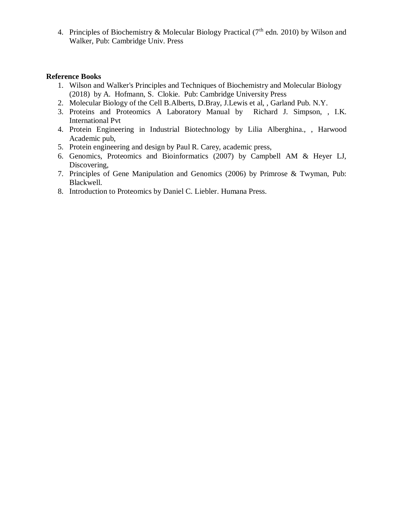4. Principles of Biochemistry & Molecular Biology Practical ( $7<sup>th</sup>$  edn. 2010) by Wilson and Walker, Pub: Cambridge Univ. Press

#### **Reference Books**

- 1. Wilson and Walker's Principles and Techniques of Biochemistry and Molecular Biology (2018) by A. Hofmann, S. Clokie. Pub: Cambridge University Press
- 2. Molecular Biology of the Cell B.Alberts, D.Bray, J.Lewis et al, , Garland Pub. N.Y.
- 3. Proteins and Proteomics A Laboratory Manual by Richard J. Simpson, , I.K. International Pvt
- 4. Protein Engineering in Industrial Biotechnology by Lilia Alberghina., , Harwood Academic pub,
- 5. Protein engineering and design by Paul R. Carey, academic press,
- 6. Genomics, Proteomics and Bioinformatics (2007) by Campbell AM & Heyer LJ, Discovering,
- 7. Principles of Gene Manipulation and Genomics (2006) by Primrose & Twyman, Pub: Blackwell.
- 8. Introduction to Proteomics by Daniel C. Liebler. Humana Press.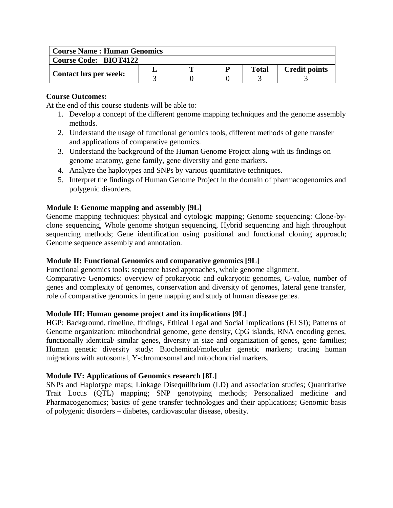| <b>Course Name: Human Genomics</b> |  |  |  |              |                      |  |  |  |
|------------------------------------|--|--|--|--------------|----------------------|--|--|--|
| <b>Course Code: BIOT4122</b>       |  |  |  |              |                      |  |  |  |
| Contact hrs per week:              |  |  |  | <b>Total</b> | <b>Credit points</b> |  |  |  |
|                                    |  |  |  |              |                      |  |  |  |

At the end of this course students will be able to:

- 1. Develop a concept of the different genome mapping techniques and the genome assembly methods.
- 2. Understand the usage of functional genomics tools, different methods of gene transfer and applications of comparative genomics.
- 3. Understand the background of the Human Genome Project along with its findings on genome anatomy, gene family, gene diversity and gene markers.
- 4. Analyze the haplotypes and SNPs by various quantitative techniques.
- 5. Interpret the findings of Human Genome Project in the domain of pharmacogenomics and polygenic disorders.

# **Module I: Genome mapping and assembly [9L]**

Genome mapping techniques: physical and cytologic mapping; Genome sequencing: Clone-byclone sequencing, Whole genome shotgun sequencing, Hybrid sequencing and high throughput sequencing methods; Gene identification using positional and functional cloning approach; Genome sequence assembly and annotation.

# **Module II: Functional Genomics and comparative genomics [9L]**

Functional genomics tools: sequence based approaches, whole genome alignment.

Comparative Genomics: overview of prokaryotic and eukaryotic genomes, C-value, number of genes and complexity of genomes, conservation and diversity of genomes, lateral gene transfer, role of comparative genomics in gene mapping and study of human disease genes.

#### **Module III: Human genome project and its implications [9L]**

HGP: Background, timeline, findings, Ethical Legal and Social Implications (ELSI); Patterns of Genome organization: mitochondrial genome, gene density, CpG islands, RNA encoding genes, functionally identical/ similar genes, diversity in size and organization of genes, gene families; Human genetic diversity study: Biochemical/molecular genetic markers; tracing human migrations with autosomal, Y-chromosomal and mitochondrial markers.

# **Module IV: Applications of Genomics research [8L]**

SNPs and Haplotype maps; Linkage Disequilibrium (LD) and association studies; Quantitative Trait Locus (QTL) mapping; SNP genotyping methods; Personalized medicine and Pharmacogenomics; basics of gene transfer technologies and their applications; Genomic basis of polygenic disorders – diabetes, cardiovascular disease, obesity.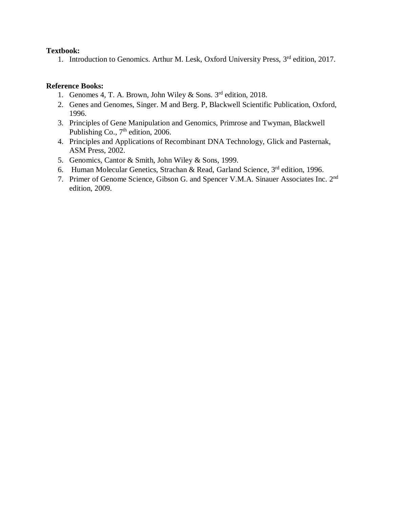### **Textbook:**

1. Introduction to Genomics. Arthur M. Lesk, Oxford University Press, 3<sup>rd</sup> edition, 2017.

## **Reference Books:**

- 1. Genomes 4, T. A. Brown, John Wiley & Sons. 3<sup>rd</sup> edition, 2018.
- 2. Genes and Genomes, Singer. M and Berg. P, Blackwell Scientific Publication, Oxford, 1996.
- 3. Principles of Gene Manipulation and Genomics, Primrose and Twyman, Blackwell Publishing Co.,  $7<sup>th</sup>$  edition, 2006.
- 4. Principles and Applications of Recombinant DNA Technology, Glick and Pasternak, ASM Press, 2002.
- 5. Genomics, Cantor & Smith, John Wiley & Sons, 1999.
- 6. Human Molecular Genetics, Strachan & Read, Garland Science, 3rd edition, 1996.
- 7. Primer of Genome Science, Gibson G. and Spencer V.M.A. Sinauer Associates Inc. 2<sup>nd</sup> edition, 2009.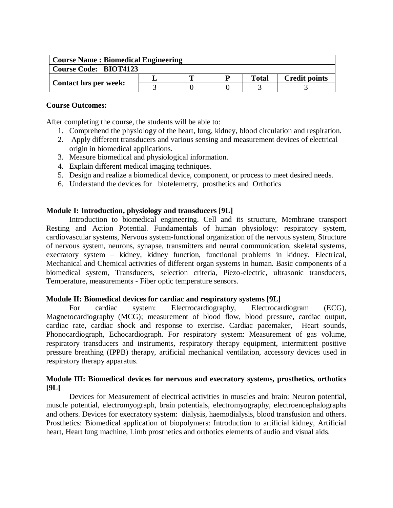| <b>Course Name: Biomedical Engineering</b> |  |  |  |              |                      |  |  |  |
|--------------------------------------------|--|--|--|--------------|----------------------|--|--|--|
| <b>Course Code: BIOT4123</b>               |  |  |  |              |                      |  |  |  |
|                                            |  |  |  | <b>Total</b> | <b>Credit points</b> |  |  |  |
| <b>Contact hrs per week:</b>               |  |  |  |              |                      |  |  |  |

After completing the course, the students will be able to:

- 1. Comprehend the physiology of the heart, lung, kidney, blood circulation and respiration.
- 2. Apply different transducers and various sensing and measurement devices of electrical origin in biomedical applications.
- 3. Measure biomedical and physiological information.
- 4. Explain different medical imaging techniques.
- 5. Design and realize a biomedical device, component, or process to meet desired needs.
- 6. Understand the devices for biotelemetry, prosthetics and Orthotics

#### **Module I: Introduction, physiology and transducers [9L]**

Introduction to biomedical engineering. Cell and its structure, Membrane transport Resting and Action Potential. Fundamentals of human physiology: respiratory system, cardiovascular systems, Nervous system-functional organization of the nervous system, Structure of nervous system, neurons, synapse, transmitters and neural communication, skeletal systems, execratory system – kidney, kidney function, functional problems in kidney. Electrical, Mechanical and Chemical activities of different organ systems in human. Basic components of a biomedical system, Transducers, selection criteria, Piezo-electric, ultrasonic transducers, Temperature, measurements - Fiber optic temperature sensors.

#### **Module II: Biomedical devices for cardiac and respiratory systems [9L]**

For cardiac system: Electrocardiography, Electrocardiogram (ECG), Magnetocardiography (MCG); measurement of blood flow, blood pressure, cardiac output, cardiac rate, cardiac shock and response to exercise. Cardiac pacemaker, Heart sounds, Phonocardiograph, Echocardiograph. For respiratory system: Measurement of gas volume, respiratory transducers and instruments, respiratory therapy equipment, intermittent positive pressure breathing (IPPB) therapy, artificial mechanical ventilation, accessory devices used in respiratory therapy apparatus.

#### **Module III: Biomedical devices for nervous and execratory systems, prosthetics, orthotics [9L]**

Devices for Measurement of electrical activities in muscles and brain: Neuron potential, muscle potential, electromyograph, brain potentials, electromyography, electroencephalographs and others. Devices for execratory system: dialysis, haemodialysis, blood transfusion and others. Prosthetics: Biomedical application of biopolymers: Introduction to artificial kidney, Artificial heart, Heart lung machine, Limb prosthetics and orthotics elements of audio and visual aids.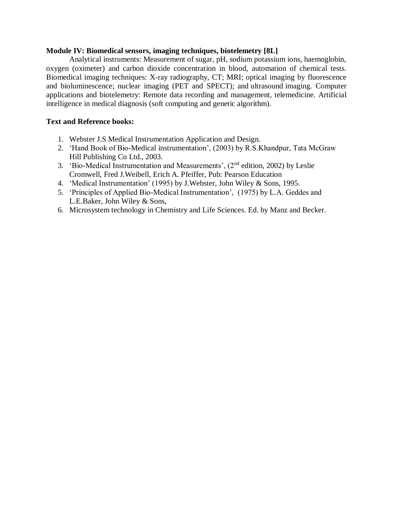#### **Module IV: Biomedical sensors, imaging techniques, biotelemetry [8L]**

Analytical instruments: Measurement of sugar, pH, sodium potassium ions, haemoglobin, oxygen (oximeter) and carbon dioxide concentration in blood, automation of chemical tests. Biomedical imaging techniques: X-ray radiography, CT; MRI; optical imaging by fluorescence and bioluminescence; nuclear imaging (PET and SPECT); and ultrasound imaging. Computer applications and biotelemetry: Remote data recording and management, telemedicine. Artificial intelligence in medical diagnosis (soft computing and genetic algorithm).

#### **Text and Reference books:**

- 1. Webster J.S Medical Instrumentation Application and Design.
- 2. 'Hand Book of Bio-Medical instrumentation', (2003) by R.S.Khandpur, Tata McGraw Hill Publishing Co Ltd., 2003.
- 3. 'Bio-Medical Instrumentation and Measurements', (2nd edition, 2002) by Leslie Cromwell, Fred J.Weibell, Erich A. Pfeiffer, Pub: Pearson Education
- 4. 'Medical Instrumentation' (1995) by J.Webster, John Wiley & Sons, 1995.
- 5. 'Principles of Applied Bio-Medical Instrumentation', (1975) by L.A. Geddes and L.E.Baker, John Wiley & Sons,
- 6. Microsystem technology in Chemistry and Life Sciences. Ed. by Manz and Becker.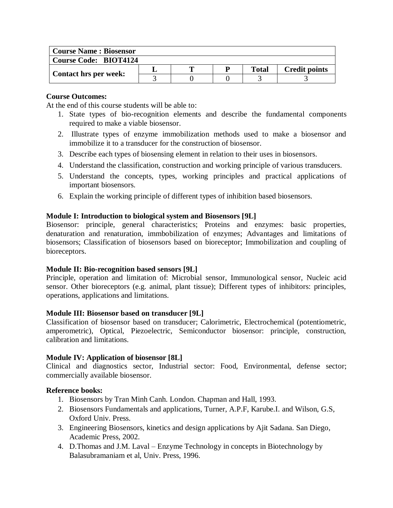| <b>Course Name: Biosensor</b> |  |   |  |       |                      |  |  |
|-------------------------------|--|---|--|-------|----------------------|--|--|
| <b>Course Code: BIOT4124</b>  |  |   |  |       |                      |  |  |
|                               |  | m |  | Total | <b>Credit points</b> |  |  |
| <b>Contact hrs per week:</b>  |  |   |  |       |                      |  |  |

At the end of this course students will be able to:

- 1. State types of bio-recognition elements and describe the fundamental components required to make a viable biosensor.
- 2. Illustrate types of enzyme immobilization methods used to make a biosensor and immobilize it to a transducer for the construction of biosensor.
- 3. Describe each types of biosensing element in relation to their uses in biosensors.
- 4. Understand the classification, construction and working principle of various transducers.
- 5. Understand the concepts, types, working principles and practical applications of important biosensors.
- 6. Explain the working principle of different types of inhibition based biosensors.

# **Module I: Introduction to biological system and Biosensors [9L]**

Biosensor: principle, general characteristics; Proteins and enzymes: basic properties, denaturation and renaturation, immbobilization of enzymes; Advantages and limitations of biosensors; Classification of biosensors based on bioreceptor; Immobilization and coupling of bioreceptors.

# **Module II: Bio-recognition based sensors [9L]**

Principle, operation and limitation of: Microbial sensor, Immunological sensor, Nucleic acid sensor. Other bioreceptors (e.g. animal, plant tissue); Different types of inhibitors: principles, operations, applications and limitations.

# **Module III: Biosensor based on transducer [9L]**

Classification of biosensor based on transducer; Calorimetric, Electrochemical (potentiometric, amperometric), Optical, Piezoelectric, Semiconductor biosensor: principle, construction, calibration and limitations.

# **Module IV: Application of biosensor [8L]**

Clinical and diagnostics sector, Industrial sector: Food, Environmental, defense sector; commercially available biosensor.

# **Reference books:**

- 1. Biosensors by Tran Minh Canh. London. Chapman and Hall, 1993.
- 2. Biosensors Fundamentals and applications, Turner, A.P.F, Karube.I. and Wilson, G.S, Oxford Univ. Press.
- 3. Engineering Biosensors, kinetics and design applications by Ajit Sadana. San Diego, Academic Press, 2002.
- 4. D.Thomas and J.M. Laval Enzyme Technology in concepts in Biotechnology by Balasubramaniam et al, Univ. Press, 1996.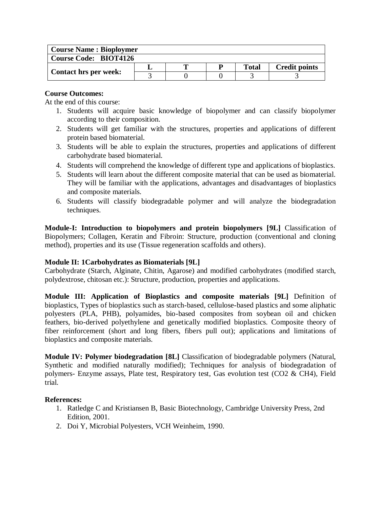| <b>Course Name: Bioploymer</b> |  |   |  |              |                      |  |  |
|--------------------------------|--|---|--|--------------|----------------------|--|--|
| <b>Course Code: BIOT4126</b>   |  |   |  |              |                      |  |  |
| <b>Contact hrs per week:</b>   |  | m |  | <b>Total</b> | <b>Credit points</b> |  |  |
|                                |  |   |  |              |                      |  |  |

At the end of this course:

- 1. Students will acquire basic knowledge of biopolymer and can classify biopolymer according to their composition.
- 2. Students will get familiar with the structures, properties and applications of different protein based biomaterial.
- 3. Students will be able to explain the structures, properties and applications of different carbohydrate based biomaterial.
- 4. Students will comprehend the knowledge of different type and applications of bioplastics.
- 5. Students will learn about the different composite material that can be used as biomaterial. They will be familiar with the applications, advantages and disadvantages of bioplastics and composite materials.
- 6. Students will classify biodegradable polymer and will analyze the biodegradation techniques.

**Module-I: Introduction to biopolymers and protein biopolymers [9L]** Classification of Biopolymers; Collagen, Keratin and Fibroin: Structure, production (conventional and cloning method), properties and its use (Tissue regeneration scaffolds and others).

## **Module II: 1Carbohydrates as Biomaterials [9L]**

Carbohydrate (Starch, Alginate, Chitin, Agarose) and modified carbohydrates (modified starch, polydextrose, chitosan etc.): Structure, production, properties and applications.

**Module III: Application of Bioplastics and composite materials [9L]** Definition of bioplastics, Types of bioplastics such as starch-based, cellulose-based plastics and some aliphatic polyesters (PLA, PHB), polyamides, bio-based composites from soybean oil and chicken feathers, bio-derived polyethylene and genetically modified bioplastics. Composite theory of fiber reinforcement (short and long fibers, fibers pull out); applications and limitations of bioplastics and composite materials.

**Module IV: Polymer biodegradation [8L]** Classification of biodegradable polymers (Natural, Synthetic and modified naturally modified); Techniques for analysis of biodegradation of polymers- Enzyme assays, Plate test, Respiratory test, Gas evolution test (CO2 & CH4), Field trial.

## **References:**

- 1. Ratledge C and Kristiansen B, Basic Biotechnology, Cambridge University Press, 2nd Edition, 2001.
- 2. Doi Y, Microbial Polyesters, VCH Weinheim, 1990.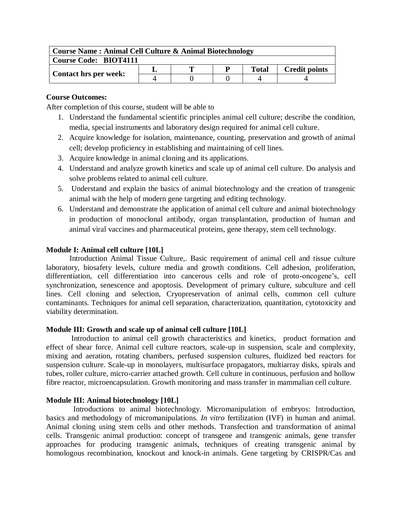| Course Name: Animal Cell Culture & Animal Biotechnology |  |   |   |              |                      |  |  |  |
|---------------------------------------------------------|--|---|---|--------------|----------------------|--|--|--|
| Course Code: BIOT4111                                   |  |   |   |              |                      |  |  |  |
|                                                         |  | m | D | <b>Total</b> | <b>Credit points</b> |  |  |  |
| <b>Contact hrs per week:</b>                            |  |   |   |              |                      |  |  |  |

After completion of this course, student will be able to

- 1. Understand the fundamental scientific principles animal cell culture; describe the condition, media, special instruments and laboratory design required for animal cell culture.
- 2. Acquire knowledge for isolation, maintenance, counting, preservation and growth of animal cell; develop proficiency in establishing and maintaining of cell lines.
- 3. Acquire knowledge in animal cloning and its applications.
- 4. Understand and analyze growth kinetics and scale up of animal cell culture. Do analysis and solve problems related to animal cell culture.
- 5. Understand and explain the basics of animal biotechnology and the creation of transgenic animal with the help of modern gene targeting and editing technology.
- 6. Understand and demonstrate the application of animal cell culture and animal biotechnology in production of monoclonal antibody, organ transplantation, production of human and animal viral vaccines and pharmaceutical proteins, gene therapy, stem cell technology.

## **Module I: Animal cell culture [10L]**

 Introduction Animal Tissue Culture,. Basic requirement of animal cell and tissue culture laboratory, biosafety levels, culture media and growth conditions. Cell adhesion, proliferation, differentiation, cell differentiation into cancerous cells and role of proto-oncogene's, cell synchronization, senescence and apoptosis. Development of primary culture, subculture and cell lines. Cell cloning and selection, Cryopreservation of animal cells, common cell culture contaminants. Techniques for animal cell separation, characterization, quantitation, cytotoxicity and viability determination.

# **Module III: Growth and scale up of animal cell culture [10L]**

 Introduction to animal cell growth characteristics and kinetics, product formation and effect of shear force. Animal cell culture reactors, scale-up in suspension, scale and complexity, mixing and aeration, rotating chambers, perfused suspension cultures, fluidized bed reactors for suspension culture. Scale-up in monolayers, multisurface propagators, multiarray disks, spirals and tubes, roller culture, micro-carrier attached growth. Cell culture in continuous, perfusion and hollow fibre reactor, microencapsulation. Growth monitoring and mass transfer in mammalian cell culture.

# **Module III: Animal biotechnology [10L]**

 Introductions to animal biotechnology. Micromanipulation of embryos: Introduction, basics and methodology of micromanipulations. *In vitro* fertilization (IVF) in human and animal. Animal cloning using stem cells and other methods. Transfection and transformation of animal cells. Transgenic animal production: concept of transgene and transgenic animals, gene transfer approaches for producing transgenic animals, techniques of creating transgenic animal by homologous recombination, knockout and knock-in animals. Gene targeting by CRISPR/Cas and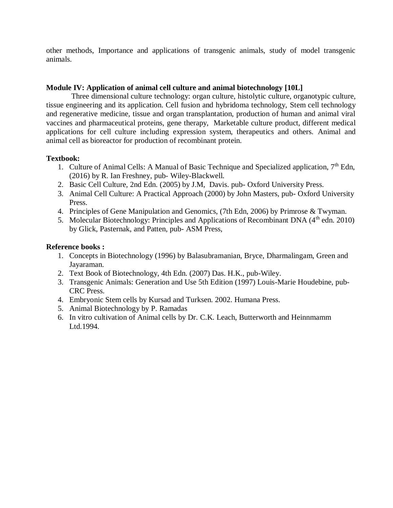other methods, Importance and applications of transgenic animals, study of model transgenic animals.

## **Module IV: Application of animal cell culture and animal biotechnology [10L]**

 Three dimensional culture technology: organ culture, histolytic culture, organotypic culture, tissue engineering and its application. Cell fusion and hybridoma technology, Stem cell technology and regenerative medicine, tissue and organ transplantation, production of human and animal viral vaccines and pharmaceutical proteins, gene therapy, Marketable culture product, different medical applications for cell culture including expression system, therapeutics and others. Animal and animal cell as bioreactor for production of recombinant protein.

## **Textbook:**

- 1. Culture of Animal Cells: A Manual of Basic Technique and Specialized application,  $7<sup>th</sup>$  Edn, (2016) by R. Ian Freshney, pub- Wiley-Blackwell.
- 2. Basic Cell Culture, 2nd Edn. (2005) by J.M, Davis. pub- Oxford University Press.
- 3. Animal Cell Culture: A Practical Approach (2000) by John Masters, pub- Oxford University Press.
- 4. Principles of Gene Manipulation and Genomics, (7th Edn, 2006) by Primrose & Twyman.
- 5. Molecular Biotechnology: Principles and Applications of Recombinant DNA (4<sup>th</sup> edn. 2010) by Glick, Pasternak, and Patten, pub- ASM Press,

## **Reference books :**

- 1. Concepts in Biotechnology (1996) by Balasubramanian, Bryce, Dharmalingam, Green and Jayaraman.
- 2. Text Book of Biotechnology, 4th Edn. (2007) Das. H.K., pub-Wiley.
- 3. Transgenic Animals: Generation and Use 5th Edition (1997) Louis-Marie Houdebine, pub-CRC Press.
- 4. Embryonic Stem cells by Kursad and Turksen. 2002. Humana Press.
- 5. Animal Biotechnology by P. Ramadas
- 6. In vitro cultivation of Animal cells by Dr. C.K. Leach, Butterworth and Heinnmamm Ltd.1994.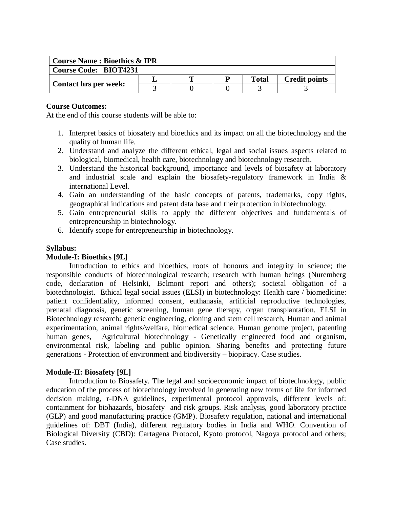| <b>Course Name: Bioethics &amp; IPR</b> |  |  |  |              |                      |  |  |
|-----------------------------------------|--|--|--|--------------|----------------------|--|--|
| <b>Course Code: BIOT4231</b>            |  |  |  |              |                      |  |  |
|                                         |  |  |  | <b>Total</b> | <b>Credit points</b> |  |  |
| Contact hrs per week:                   |  |  |  |              |                      |  |  |

At the end of this course students will be able to:

- 1. Interpret basics of biosafety and bioethics and its impact on all the biotechnology and the quality of human life.
- 2. Understand and analyze the different ethical, legal and social issues aspects related to biological, biomedical, health care, biotechnology and biotechnology research.
- 3. Understand the historical background, importance and levels of biosafety at laboratory and industrial scale and explain the biosafety-regulatory framework in India & international Level.
- 4. Gain an understanding of the basic concepts of patents, trademarks, copy rights, geographical indications and patent data base and their protection in biotechnology.
- 5. Gain entrepreneurial skills to apply the different objectives and fundamentals of entrepreneurship in biotechnology.
- 6. Identify scope for entrepreneurship in biotechnology.

#### **Syllabus:**

#### **Module-I: Bioethics [9L]**

Introduction to ethics and bioethics, roots of honours and integrity in science; the responsible conducts of biotechnological research; research with human beings (Nuremberg code, declaration of Helsinki, Belmont report and others); societal obligation of a biotechnologist. Ethical legal social issues (ELSI) in biotechnology: Health care / biomedicine: patient confidentiality, informed consent, euthanasia, artificial reproductive technologies, prenatal diagnosis, genetic screening, human gene therapy, organ transplantation. ELSI in Biotechnology research: genetic engineering, cloning and stem cell research, Human and animal experimentation, animal rights/welfare, biomedical science, Human genome project, patenting human genes, Agricultural biotechnology - Genetically engineered food and organism, environmental risk, labeling and public opinion. Sharing benefits and protecting future generations - Protection of environment and biodiversity – biopiracy. Case studies.

#### **Module-II: Biosafety [9L]**

Introduction to Biosafety. The legal and socioeconomic impact of biotechnology, public education of the process of biotechnology involved in generating new forms of life for informed decision making, r-DNA guidelines, experimental protocol approvals, different levels of: containment for biohazards, biosafety and risk groups. Risk analysis, good laboratory practice (GLP) and good manufacturing practice (GMP). Biosafety regulation, national and international guidelines of: DBT (India), different regulatory bodies in India and WHO. Convention of Biological Diversity (CBD): Cartagena Protocol, Kyoto protocol, Nagoya protocol and others; Case studies.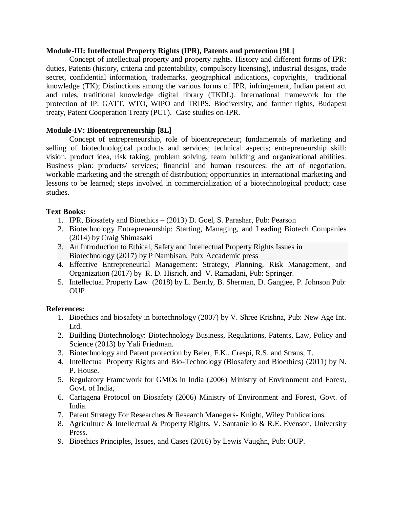### **Module-III: Intellectual Property Rights (IPR), Patents and protection [9L]**

Concept of intellectual property and property rights. History and different forms of IPR: duties, Patents (history, criteria and patentability, compulsory licensing), industrial designs, trade secret, confidential information, trademarks, geographical indications, copyrights, traditional knowledge (TK); Distinctions among the various forms of IPR, infringement, Indian patent act and rules, traditional knowledge digital library (TKDL). International framework for the protection of IP: GATT, WTO, WIPO and TRIPS, Biodiversity, and farmer rights, Budapest treaty, Patent Cooperation Treaty (PCT). Case studies on-IPR.

# **Module-IV: Bioentrepreneurship [8L]**

Concept of entrepreneurship, role of bioentrepreneur; fundamentals of marketing and selling of biotechnological products and services; technical aspects; entrepreneurship skill: vision, product idea, risk taking, problem solving, team building and organizational abilities. Business plan: products/ services; financial and human resources: the art of negotiation, workable marketing and the strength of distribution; opportunities in international marketing and lessons to be learned; steps involved in commercialization of a biotechnological product; case studies.

# **Text Books:**

- 1. IPR, Biosafety and Bioethics (2013) D. Goel, S. Parashar, Pub: Pearson
- 2. Biotechnology Entrepreneurship: Starting, Managing, and Leading Biotech Companies (2014) by Craig Shimasaki
- 3. An Introduction to Ethical, Safety and Intellectual Property Rights Issues in Biotechnology (2017) by P Nambisan, Pub: Accademic press
- 4. Effective Entrepreneurial Management: Strategy, Planning, Risk Management, and Organization (2017) by R. D. Hisrich, and V. Ramadani, Pub: Springer.
- 5. Intellectual Property Law (2018) by L. Bently, B. Sherman, D. Gangjee, P. Johnson Pub: **OUP**

# **References:**

- 1. Bioethics and biosafety in biotechnology (2007) by V. Shree Krishna, Pub: New Age Int. Ltd.
- 2. Building Biotechnology: Biotechnology Business, Regulations, Patents, Law, Policy and Science (2013) by Yali Friedman.
- 3. Biotechnology and Patent protection by Beier, F.K., Crespi, R.S. and Straus, T.
- 4. Intellectual Property Rights and Bio-Technology (Biosafety and Bioethics) (2011) by N. P. House.
- 5. Regulatory Framework for GMOs in India (2006) Ministry of Environment and Forest, Govt. of India,
- 6. Cartagena Protocol on Biosafety (2006) Ministry of Environment and Forest, Govt. of India.
- 7. Patent Strategy For Researches & Research Manegers- Knight, Wiley Publications.
- 8. Agriculture & Intellectual & Property Rights, V. Santaniello & R.E. Evenson, University Press.
- 9. Bioethics Principles, Issues, and Cases (2016) by Lewis Vaughn, Pub: OUP.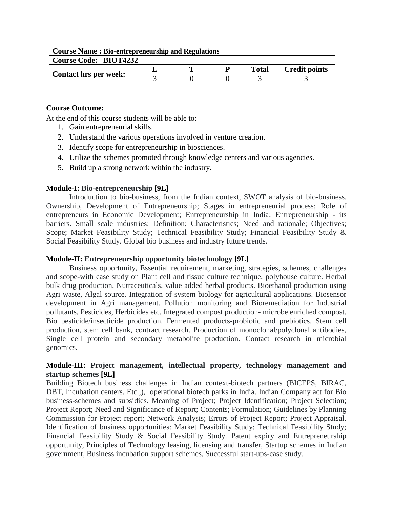| <b>Course Name: Bio-entrepreneurship and Regulations</b> |  |  |  |              |                      |  |  |
|----------------------------------------------------------|--|--|--|--------------|----------------------|--|--|
| <b>Course Code: BIOT4232</b>                             |  |  |  |              |                      |  |  |
|                                                          |  |  |  | <b>Total</b> | <b>Credit points</b> |  |  |
| <b>Contact hrs per week:</b>                             |  |  |  |              |                      |  |  |

At the end of this course students will be able to:

- 1. Gain entrepreneurial skills.
- 2. Understand the various operations involved in venture creation.
- 3. Identify scope for entrepreneurship in biosciences.
- 4. Utilize the schemes promoted through knowledge centers and various agencies.
- 5. Build up a strong network within the industry.

# **Module-I: Bio-entrepreneurship [9L]**

Introduction to bio-business, from the Indian context, SWOT analysis of bio-business. Ownership, Development of Entrepreneurship; Stages in entrepreneurial process; Role of entrepreneurs in Economic Development; Entrepreneurship in India; Entrepreneurship - its barriers. Small scale industries: Definition; Characteristics; Need and rationale; Objectives; Scope; Market Feasibility Study; Technical Feasibility Study; Financial Feasibility Study & Social Feasibility Study. Global bio business and industry future trends.

# **Module-II: Entrepreneurship opportunity biotechnology [9L]**

Business opportunity, Essential requirement, marketing, strategies, schemes, challenges and scope-with case study on Plant cell and tissue culture technique, polyhouse culture. Herbal bulk drug production, Nutraceuticals, value added herbal products. Bioethanol production using Agri waste, Algal source. Integration of system biology for agricultural applications. Biosensor development in Agri management. Pollution monitoring and Bioremediation for Industrial pollutants, Pesticides, Herbicides etc. Integrated compost production- microbe enriched compost. Bio pesticide/insecticide production. Fermented products-probiotic and prebiotics. Stem cell production, stem cell bank, contract research. Production of monoclonal/polyclonal antibodies, Single cell protein and secondary metabolite production. Contact research in microbial genomics.

# **Module-III: Project management, intellectual property, technology management and startup schemes [9L]**

Building Biotech business challenges in Indian context-biotech partners (BICEPS, BIRAC, DBT, Incubation centers. Etc.,), operational biotech parks in India. Indian Company act for Bio business-schemes and subsidies. Meaning of Project; Project Identification; Project Selection; Project Report; Need and Significance of Report; Contents; Formulation; Guidelines by Planning Commission for Project report; Network Analysis; Errors of Project Report; Project Appraisal. Identification of business opportunities: Market Feasibility Study; Technical Feasibility Study; Financial Feasibility Study & Social Feasibility Study. Patent expiry and Entrepreneurship opportunity, Principles of Technology leasing, licensing and transfer, Startup schemes in Indian government, Business incubation support schemes, Successful start-ups-case study.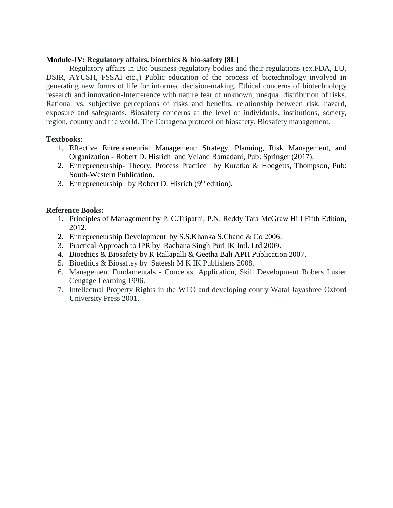### **Module-IV: Regulatory affairs, bioethics & bio-safety [8L]**

Regulatory affairs in Bio business-regulatory bodies and their regulations (ex.FDA, EU, DSIR, AYUSH, FSSAI etc.,) Public education of the process of biotechnology involved in generating new forms of life for informed decision-making. Ethical concerns of biotechnology research and innovation-Interference with nature fear of unknown, unequal distribution of risks. Rational vs. subjective perceptions of risks and benefits, relationship between risk, hazard, exposure and safeguards. Biosafety concerns at the level of individuals, institutions, society, region, country and the world. The Cartagena protocol on biosafety. Biosafety management.

# **Textbooks:**

- 1. Effective Entrepreneurial Management: Strategy, Planning, Risk Management, and Organization - Robert D. Hisrich and Veland Ramadani, Pub: Springer (2017).
- 2. Entrepreneurship- Theory, Process Practice –by Kuratko & Hodgetts, Thompson, Pub: South-Western Publication.
- 3. Entrepreneurship  $-$ by Robert D. Hisrich (9<sup>th</sup> edition).

# **Reference Books:**

- 1. Principles of Management by P. C.Tripathi, P.N. Reddy Tata McGraw Hill Fifth Edition, 2012.
- 2. Entrepreneurship Development by S.S.Khanka S.Chand & Co 2006.
- 3. Practical Approach to IPR by Rachana Singh Puri IK Intl. Ltd 2009.
- 4. Bioethics & Biosafety by R Rallapalli & Geetha Bali APH Publication 2007.
- 5. Bioethics & Biosaftey by Sateesh M K IK Publishers 2008.
- 6. Management Fundamentals Concepts, Application, Skill Development Robers Lusier Cengage Learning 1996.
- 7. Intellectual Property Rights in the WTO and developing contry Watal Jayashree Oxford University Press 2001.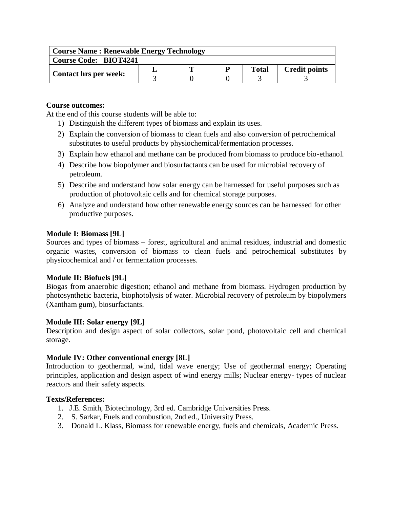| <b>Course Name: Renewable Energy Technology</b> |  |   |   |              |                      |  |  |
|-------------------------------------------------|--|---|---|--------------|----------------------|--|--|
| <b>Course Code: BIOT4241</b>                    |  |   |   |              |                      |  |  |
|                                                 |  | m | D | <b>Total</b> | <b>Credit points</b> |  |  |
| <b>Contact hrs per week:</b>                    |  |   |   |              |                      |  |  |

At the end of this course students will be able to:

- 1) Distinguish the different types of biomass and explain its uses.
- 2) Explain the conversion of biomass to clean fuels and also conversion of petrochemical substitutes to useful products by physiochemical/fermentation processes.
- 3) Explain how ethanol and methane can be produced from biomass to produce bio-ethanol.
- 4) Describe how biopolymer and biosurfactants can be used for microbial recovery of petroleum.
- 5) Describe and understand how solar energy can be harnessed for useful purposes such as production of photovoltaic cells and for chemical storage purposes.
- 6) Analyze and understand how other renewable energy sources can be harnessed for other productive purposes.

# **Module I: Biomass [9L]**

Sources and types of biomass – forest, agricultural and animal residues, industrial and domestic organic wastes, conversion of biomass to clean fuels and petrochemical substitutes by physicochemical and / or fermentation processes.

# **Module II: Biofuels [9L]**

Biogas from anaerobic digestion; ethanol and methane from biomass. Hydrogen production by photosynthetic bacteria, biophotolysis of water. Microbial recovery of petroleum by biopolymers (Xantham gum), biosurfactants.

# **Module III: Solar energy [9L]**

Description and design aspect of solar collectors, solar pond, photovoltaic cell and chemical storage.

# **Module IV: Other conventional energy [8L]**

Introduction to geothermal, wind, tidal wave energy; Use of geothermal energy; Operating principles, application and design aspect of wind energy mills; Nuclear energy- types of nuclear reactors and their safety aspects.

# **Texts/References:**

- 1. J.E. Smith, Biotechnology, 3rd ed. Cambridge Universities Press.
- 2. S. Sarkar, Fuels and combustion, 2nd ed., University Press.
- 3. Donald L. Klass, Biomass for renewable energy, fuels and chemicals, Academic Press.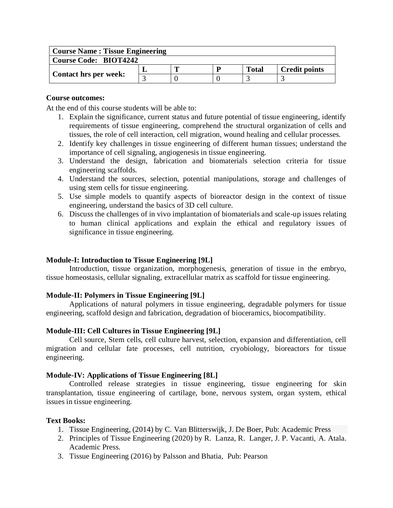| <b>Course Name: Tissue Engineering</b> |  |  |  |              |                      |  |
|----------------------------------------|--|--|--|--------------|----------------------|--|
| <b>Course Code: BIOT4242</b>           |  |  |  |              |                      |  |
| <b>Contact hrs per week:</b>           |  |  |  | <b>Total</b> | <b>Credit points</b> |  |
|                                        |  |  |  |              |                      |  |

At the end of this course students will be able to:

- 1. Explain the significance, current status and future potential of tissue engineering, identify requirements of tissue engineering, comprehend the structural organization of cells and tissues, the role of cell interaction, cell migration, wound healing and cellular processes.
- 2. Identify key challenges in tissue engineering of different human tissues; understand the importance of cell signaling, angiogenesis in tissue engineering.
- 3. Understand the design, fabrication and biomaterials selection criteria for tissue engineering scaffolds.
- 4. Understand the sources, selection, potential manipulations, storage and challenges of using stem cells for tissue engineering.
- 5. Use simple models to quantify aspects of bioreactor design in the context of tissue engineering, understand the basics of 3D cell culture.
- 6. Discuss the challenges of in vivo implantation of biomaterials and scale-up issues relating to human clinical applications and explain the ethical and regulatory issues of significance in tissue engineering.

# **Module-I: Introduction to Tissue Engineering [9L]**

Introduction, tissue organization, morphogenesis, generation of tissue in the embryo, tissue homeostasis, cellular signaling, extracellular matrix as scaffold for tissue engineering.

# **Module-II: Polymers in Tissue Engineering [9L]**

Applications of natural polymers in tissue engineering, degradable polymers for tissue engineering, scaffold design and fabrication, degradation of bioceramics, biocompatibility.

# **Module-III: Cell Cultures in Tissue Engineering [9L]**

Cell source, Stem cells, cell culture harvest, selection, expansion and differentiation, cell migration and cellular fate processes, cell nutrition, cryobiology, bioreactors for tissue engineering.

# **Module-IV: Applications of Tissue Engineering [8L]**

Controlled release strategies in tissue engineering, tissue engineering for skin transplantation, tissue engineering of cartilage, bone, nervous system, organ system, ethical issues in tissue engineering.

# **Text Books:**

- 1. Tissue Engineering, (2014) by C. Van Blitterswijk, J. De Boer, Pub: Academic Press
- 2. Principles of Tissue Engineering (2020) by R. Lanza, R. Langer, J. P. Vacanti, A. Atala. Academic Press.
- 3. Tissue Engineering (2016) by Palsson and Bhatia, Pub: Pearson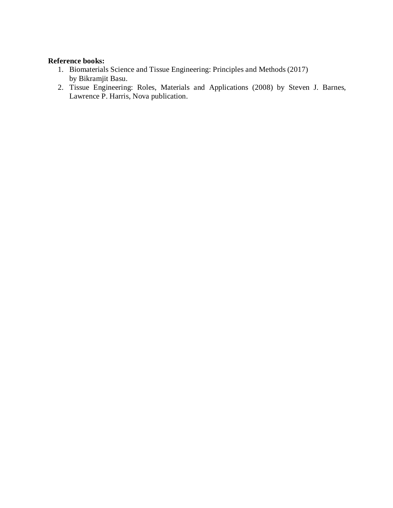# **Reference books:**

- 1. Biomaterials Science and Tissue Engineering: Principles and Methods (2017) by Bikramjit Basu.
- 2. Tissue Engineering: Roles, Materials and Applications (2008) by Steven J. Barnes, Lawrence P. Harris, Nova publication.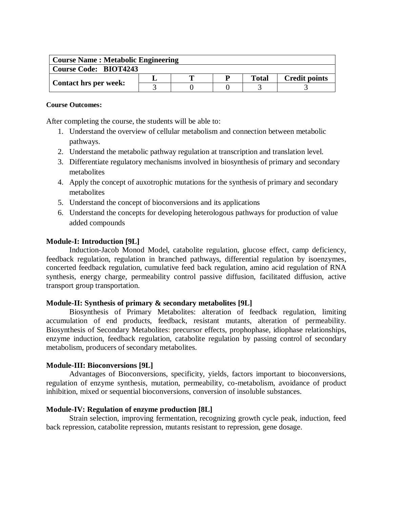| <b>Course Name: Metabolic Engineering</b> |  |  |  |              |                      |  |  |
|-------------------------------------------|--|--|--|--------------|----------------------|--|--|
| <b>Course Code: BIOT4243</b>              |  |  |  |              |                      |  |  |
|                                           |  |  |  | <b>Total</b> | <b>Credit points</b> |  |  |
| <b>Contact hrs per week:</b>              |  |  |  |              |                      |  |  |

After completing the course, the students will be able to:

- 1. Understand the overview of cellular metabolism and connection between metabolic pathways.
- 2. Understand the metabolic pathway regulation at transcription and translation level.
- 3. Differentiate regulatory mechanisms involved in biosynthesis of primary and secondary metabolites
- 4. Apply the concept of auxotrophic mutations for the synthesis of primary and secondary metabolites
- 5. Understand the concept of bioconversions and its applications
- 6. Understand the concepts for developing heterologous pathways for production of value added compounds

# **Module-I: Introduction [9L]**

Induction-Jacob Monod Model, catabolite regulation, glucose effect, camp deficiency, feedback regulation, regulation in branched pathways, differential regulation by isoenzymes, concerted feedback regulation, cumulative feed back regulation, amino acid regulation of RNA synthesis, energy charge, permeability control passive diffusion, facilitated diffusion, active transport group transportation.

# **Module-II: Synthesis of primary & secondary metabolites [9L]**

Biosynthesis of Primary Metabolites: alteration of feedback regulation, limiting accumulation of end products, feedback, resistant mutants, alteration of permeability. Biosynthesis of Secondary Metabolites: precursor effects, prophophase, idiophase relationships, enzyme induction, feedback regulation, catabolite regulation by passing control of secondary metabolism, producers of secondary metabolites.

# **Module-III: Bioconversions [9L]**

Advantages of Bioconversions, specificity, yields, factors important to bioconversions, regulation of enzyme synthesis, mutation, permeability, co-metabolism, avoidance of product inhibition, mixed or sequential bioconversions, conversion of insoluble substances.

# **Module-IV: Regulation of enzyme production [8L]**

Strain selection, improving fermentation, recognizing growth cycle peak, induction, feed back repression, catabolite repression, mutants resistant to repression, gene dosage.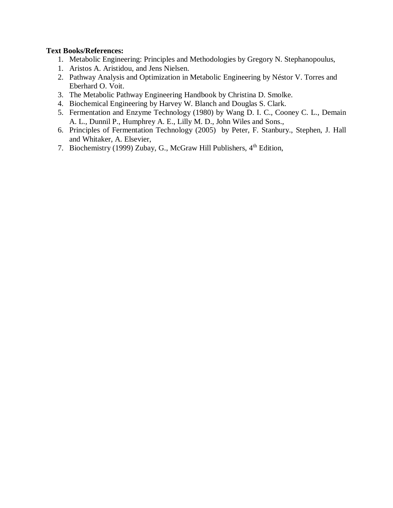# **Text Books/References:**

- 1. Metabolic Engineering: Principles and Methodologies by Gregory N. Stephanopoulus,
- 1. Aristos A. Aristidou, and Jens Nielsen.
- 2. Pathway Analysis and Optimization in Metabolic Engineering by Néstor V. Torres and Eberhard O. Voit.
- 3. The Metabolic Pathway Engineering Handbook by Christina D. Smolke.
- 4. Biochemical Engineering by Harvey W. Blanch and Douglas S. Clark.
- 5. Fermentation and Enzyme Technology (1980) by Wang D. I. C., Cooney C. L., Demain A. L., Dunnil P., Humphrey A. E., Lilly M. D., John Wiles and Sons.,
- 6. Principles of Fermentation Technology (2005) by Peter, F. Stanbury., Stephen, J. Hall and Whitaker, A. Elsevier,
- 7. Biochemistry (1999) Zubay, G., McGraw Hill Publishers, 4<sup>th</sup> Edition,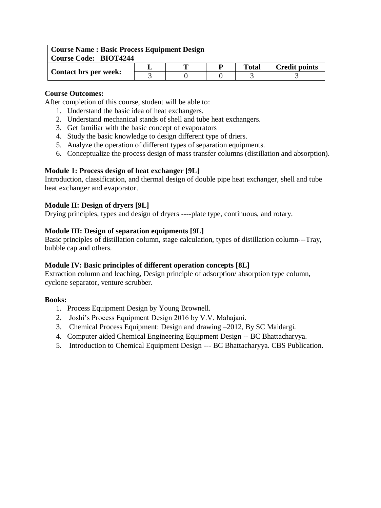| <b>Course Name: Basic Process Equipment Design</b> |  |  |   |              |                      |  |  |
|----------------------------------------------------|--|--|---|--------------|----------------------|--|--|
| <b>Course Code: BIOT4244</b>                       |  |  |   |              |                      |  |  |
|                                                    |  |  | D | <b>Total</b> | <b>Credit points</b> |  |  |
| <b>Contact hrs per week:</b>                       |  |  |   |              |                      |  |  |

After completion of this course, student will be able to:

- 1. Understand the basic idea of heat exchangers.
- 2. Understand mechanical stands of shell and tube heat exchangers.
- 3. Get familiar with the basic concept of evaporators
- 4. Study the basic knowledge to design different type of driers.
- 5. Analyze the operation of different types of separation equipments.
- 6. Conceptualize the process design of mass transfer columns (distillation and absorption).

# **Module 1: Process design of heat exchanger [9L]**

Introduction, classification, and thermal design of double pipe heat exchanger, shell and tube heat exchanger and evaporator.

# **Module II: Design of dryers [9L]**

Drying principles, types and design of dryers ----plate type, continuous, and rotary.

# **Module III: Design of separation equipments [9L]**

Basic principles of distillation column, stage calculation, types of distillation column---Tray, bubble cap and others.

#### **Module IV: Basic principles of different operation concepts [8L]**

Extraction column and leaching, Design principle of adsorption/ absorption type column, cyclone separator, venture scrubber.

#### **Books:**

- 1. Process Equipment Design by Young Brownell.
- 2. Joshi's Process Equipment Design 2016 by V.V. Mahajani.
- 3. Chemical Process Equipment: Design and drawing –2012, By SC Maidargi.
- 4. Computer aided Chemical Engineering Equipment Design -- BC Bhattacharyya.
- 5. Introduction to Chemical Equipment Design --- BC Bhattacharyya. CBS Publication.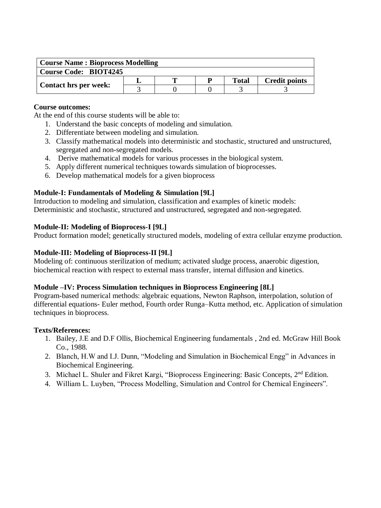| <b>Course Name: Bioprocess Modelling</b> |  |  |  |       |                      |  |  |
|------------------------------------------|--|--|--|-------|----------------------|--|--|
| <b>Course Code: BIOT4245</b>             |  |  |  |       |                      |  |  |
|                                          |  |  |  | Total | <b>Credit points</b> |  |  |
| <b>Contact hrs per week:</b>             |  |  |  |       |                      |  |  |

At the end of this course students will be able to:

- 1. Understand the basic concepts of modeling and simulation.
- 2. Differentiate between modeling and simulation.
- 3. Classify mathematical models into deterministic and stochastic, structured and unstructured, segregated and non-segregated models.
- 4. Derive mathematical models for various processes in the biological system.
- 5. Apply different numerical techniques towards simulation of bioprocesses.
- 6. Develop mathematical models for a given bioprocess

# **Module-I: Fundamentals of Modeling & Simulation [9L]**

Introduction to modeling and simulation, classification and examples of kinetic models: Deterministic and stochastic, structured and unstructured, segregated and non-segregated.

#### **Module-II: Modeling of Bioprocess-I [9L]**

Product formation model; genetically structured models, modeling of extra cellular enzyme production.

# **Module-III: Modeling of Bioprocess-II [9L]**

Modeling of: continuous sterilization of medium; activated sludge process, anaerobic digestion, biochemical reaction with respect to external mass transfer, internal diffusion and kinetics.

#### **Module –IV: Process Simulation techniques in Bioprocess Engineering [8L]**

Program-based numerical methods: algebraic equations, Newton Raphson, interpolation, solution of differential equations- Euler method, Fourth order Runga–Kutta method, etc. Application of simulation techniques in bioprocess.

#### **Texts/References:**

- 1. Bailey, J.E and D.F Ollis, Biochemical Engineering fundamentals , 2nd ed. McGraw Hill Book Co., 1988.
- 2. Blanch, H.W and I.J. Dunn, "Modeling and Simulation in Biochemical Engg" in Advances in Biochemical Engineering.
- 3. Michael L. Shuler and Fikret Kargi, "Bioprocess Engineering: Basic Concepts, 2<sup>nd</sup> Edition.
- 4. William L. Luyben, "Process Modelling, Simulation and Control for Chemical Engineers".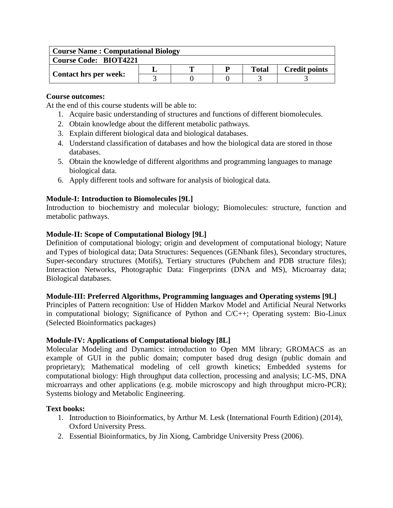| <b>Course Name: Computational Biology</b> |  |   |  |       |                      |  |  |
|-------------------------------------------|--|---|--|-------|----------------------|--|--|
| <b>Course Code: BIOT4221</b>              |  |   |  |       |                      |  |  |
|                                           |  | m |  | Total | <b>Credit points</b> |  |  |
| <b>Contact hrs per week:</b>              |  |   |  |       |                      |  |  |

At the end of this course students will be able to:

- 1. Acquire basic understanding of structures and functions of different biomolecules.
- 2. Obtain knowledge about the different metabolic pathways.
- 3. Explain different biological data and biological databases.
- 4. Understand classification of databases and how the biological data are stored in those databases.
- 5. Obtain the knowledge of different algorithms and programming languages to manage biological data.
- 6. Apply different tools and software for analysis of biological data.

# **Module-I: Introduction to Biomolecules [9L]**

Introduction to biochemistry and molecular biology; Biomolecules: structure, function and metabolic pathways.

# **Module-II: Scope of Computational Biology [9L]**

Definition of computational biology; origin and development of computational biology; Nature and Types of biological data; Data Structures: Sequences (GENbank files), Secondary structures, Super-secondary structures (Motifs), Tertiary structures (Pubchem and PDB structure files); Interaction Networks, Photographic Data: Fingerprints (DNA and MS), Microarray data; Biological databases.

# **Module-III: Preferred Algorithms, Programming languages and Operating systems [9L]**

Principles of Pattern recognition: Use of Hidden Markov Model and Artificial Neural Networks in computational biology; Significance of Python and C/C++; Operating system: Bio-Linux (Selected Bioinformatics packages)

# **Module-IV: Applications of Computational biology [8L]**

Molecular Modeling and Dynamics: introduction to Open MM library; GROMACS as an example of GUI in the public domain; computer based drug design (public domain and proprietary); Mathematical modeling of cell growth kinetics; Embedded systems for computational biology: High throughput data collection, processing and analysis; LC-MS, DNA microarrays and other applications (e.g. mobile microscopy and high throughput micro-PCR); Systems biology and Metabolic Engineering.

# **Text books:**

- 1. Introduction to Bioinformatics, by Arthur M. Lesk (International Fourth Edition) (2014), Oxford University Press.
- 2. Essential Bioinformatics, by Jin Xiong, Cambridge University Press (2006).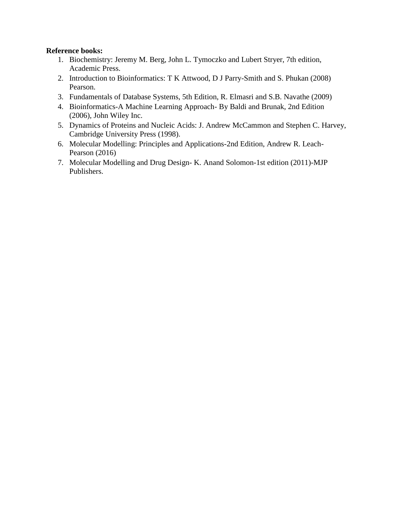# **Reference books:**

- 1. Biochemistry: Jeremy M. Berg, John L. Tymoczko and Lubert Stryer, 7th edition, Academic Press.
- 2. Introduction to Bioinformatics: T K Attwood, D J Parry-Smith and S. Phukan (2008) Pearson.
- 3. Fundamentals of Database Systems, 5th Edition, R. Elmasri and S.B. Navathe (2009)
- 4. Bioinformatics-A Machine Learning Approach- By Baldi and Brunak, 2nd Edition (2006), John Wiley Inc.
- 5. Dynamics of Proteins and Nucleic Acids: J. Andrew McCammon and Stephen C. Harvey, Cambridge University Press (1998).
- 6. Molecular Modelling: Principles and Applications-2nd Edition, Andrew R. Leach-Pearson (2016)
- 7. Molecular Modelling and Drug Design- K. Anand Solomon-1st edition (2011)-MJP Publishers.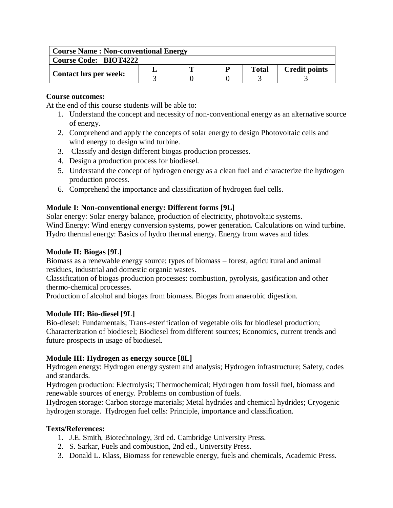| <b>Course Name: Non-conventional Energy</b> |  |  |  |              |                      |  |  |
|---------------------------------------------|--|--|--|--------------|----------------------|--|--|
| <b>Course Code: BIOT4222</b>                |  |  |  |              |                      |  |  |
|                                             |  |  |  | <b>Total</b> | <b>Credit points</b> |  |  |
| Contact hrs per week:                       |  |  |  |              |                      |  |  |

At the end of this course students will be able to:

- 1. Understand the concept and necessity of non-conventional energy as an alternative source of energy.
- 2. Comprehend and apply the concepts of solar energy to design Photovoltaic cells and wind energy to design wind turbine.
- 3. Classify and design different biogas production processes.
- 4. Design a production process for biodiesel.
- 5. Understand the concept of hydrogen energy as a clean fuel and characterize the hydrogen production process.
- 6. Comprehend the importance and classification of hydrogen fuel cells.

# **Module I: Non-conventional energy: Different forms [9L]**

Solar energy: Solar energy balance, production of electricity, photovoltaic systems. Wind Energy: Wind energy conversion systems, power generation. Calculations on wind turbine. Hydro thermal energy: Basics of hydro thermal energy. Energy from waves and tides.

# **Module II: Biogas [9L]**

Biomass as a renewable energy source; types of biomass – forest, agricultural and animal residues, industrial and domestic organic wastes.

Classification of biogas production processes: combustion, pyrolysis, gasification and other thermo-chemical processes.

Production of alcohol and biogas from biomass. Biogas from anaerobic digestion.

# **Module III: Bio-diesel [9L]**

Bio-diesel: Fundamentals; Trans-esterification of vegetable oils for biodiesel production; Characterization of biodiesel; Biodiesel from different sources; Economics, current trends and future prospects in usage of biodiesel.

# **Module III: Hydrogen as energy source [8L]**

Hydrogen energy: Hydrogen energy system and analysis; Hydrogen infrastructure; Safety, codes and standards.

Hydrogen production: Electrolysis; Thermochemical; Hydrogen from fossil fuel, biomass and renewable sources of energy. Problems on combustion of fuels.

Hydrogen storage: Carbon storage materials; Metal hydrides and chemical hydrides; Cryogenic hydrogen storage. Hydrogen fuel cells: Principle, importance and classification.

# **Texts/References:**

- 1. J.E. Smith, Biotechnology, 3rd ed. Cambridge University Press.
- 2. S. Sarkar, Fuels and combustion, 2nd ed., University Press.
- 3. Donald L. Klass, Biomass for renewable energy, fuels and chemicals, Academic Press.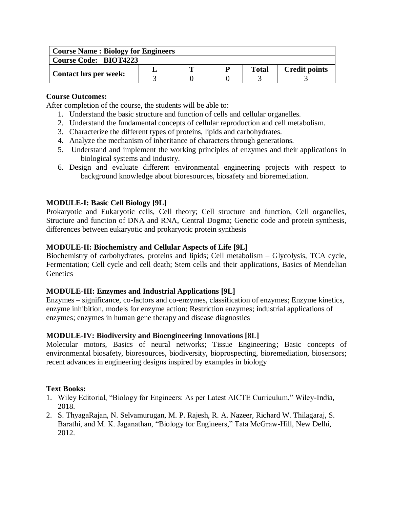| <b>Course Name: Biology for Engineers</b> |  |   |  |              |                      |  |  |
|-------------------------------------------|--|---|--|--------------|----------------------|--|--|
| <b>Course Code: BIOT4223</b>              |  |   |  |              |                      |  |  |
|                                           |  | m |  | <b>Total</b> | <b>Credit points</b> |  |  |
| <b>Contact hrs per week:</b>              |  |   |  |              |                      |  |  |

After completion of the course, the students will be able to:

- 1. Understand the basic structure and function of cells and cellular organelles.
- 2. Understand the fundamental concepts of cellular reproduction and cell metabolism.
- 3. Characterize the different types of proteins, lipids and carbohydrates.
- 4. Analyze the mechanism of inheritance of characters through generations.
- 5. Understand and implement the working principles of enzymes and their applications in biological systems and industry.
- 6. Design and evaluate different environmental engineering projects with respect to background knowledge about bioresources, biosafety and bioremediation.

# **MODULE-I: Basic Cell Biology [9L]**

Prokaryotic and Eukaryotic cells, Cell theory; Cell structure and function, Cell organelles, Structure and function of DNA and RNA, Central Dogma; Genetic code and protein synthesis, differences between eukaryotic and prokaryotic protein synthesis

# **MODULE-II: Biochemistry and Cellular Aspects of Life [9L]**

Biochemistry of carbohydrates, proteins and lipids; Cell metabolism – Glycolysis, TCA cycle, Fermentation; Cell cycle and cell death; Stem cells and their applications, Basics of Mendelian **Genetics** 

# **MODULE-III: Enzymes and Industrial Applications [9L]**

Enzymes – significance, co-factors and co-enzymes, classification of enzymes; Enzyme kinetics, enzyme inhibition, models for enzyme action; Restriction enzymes; industrial applications of enzymes; enzymes in human gene therapy and disease diagnostics

# **MODULE-IV: Biodiversity and Bioengineering Innovations [8L]**

Molecular motors, Basics of neural networks; Tissue Engineering; Basic concepts of environmental biosafety, bioresources, biodiversity, bioprospecting, bioremediation, biosensors; recent advances in engineering designs inspired by examples in biology

# **Text Books:**

- 1. Wiley Editorial, "Biology for Engineers: As per Latest AICTE Curriculum," Wiley-India, 2018.
- 2. S. ThyagaRajan, N. Selvamurugan, M. P. Rajesh, R. A. Nazeer, Richard W. Thilagaraj, S. Barathi, and M. K. Jaganathan, "Biology for Engineers," Tata McGraw-Hill, New Delhi, 2012.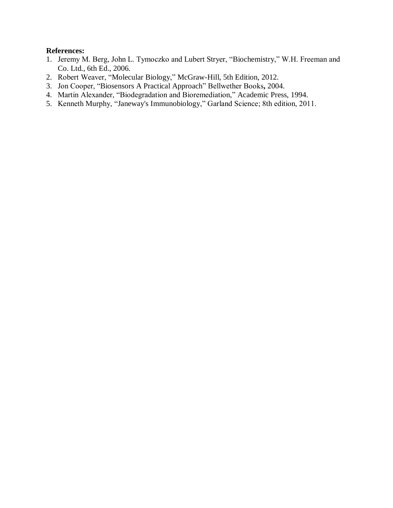### **References:**

- 1. Jeremy M. Berg, John L. Tymoczko and Lubert Stryer, "Biochemistry," W.H. Freeman and Co. Ltd., 6th Ed., 2006.
- 2. Robert Weaver, "Molecular Biology," McGraw-Hill, 5th Edition, 2012.
- 3. Jon Cooper, "Biosensors A Practical Approach" Bellwether Books**,** 2004.
- 4. Martin Alexander, "Biodegradation and Bioremediation," Academic Press, 1994.
- 5. Kenneth Murphy, "Janeway's Immunobiology," Garland Science; 8th edition, 2011.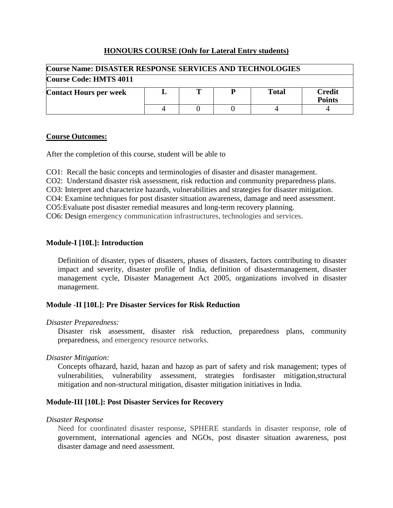# **HONOURS COURSE (Only for Lateral Entry students)**

| <b>Course Name: DISASTER RESPONSE SERVICES AND TECHNOLOGIES</b>          |  |  |  |  |  |  |  |
|--------------------------------------------------------------------------|--|--|--|--|--|--|--|
| Course Code: HMTS 4011                                                   |  |  |  |  |  |  |  |
| <b>Credit</b><br>Total<br><b>Contact Hours per week</b><br><b>Points</b> |  |  |  |  |  |  |  |
|                                                                          |  |  |  |  |  |  |  |

# **Course Outcomes:**

After the completion of this course, student will be able to

CO1: Recall the basic concepts and terminologies of disaster and disaster management.

CO2: Understand disaster risk assessment, risk reduction and community preparedness plans.

CO3: Interpret and characterize hazards, vulnerabilities and strategies for disaster mitigation.

CO4: Examine techniques for post disaster situation awareness, damage and need assessment.

CO5:Evaluate post disaster remedial measures and long-term recovery planning.

CO6: Design emergency communication infrastructures, technologies and services.

# **Module-I [10L]: Introduction**

Definition of disaster, types of disasters, phases of disasters, factors contributing to disaster impact and severity, disaster profile of India, definition of disastermanagement, disaster management cycle, Disaster Management Act 2005, organizations involved in disaster management.

# **Module -II [10L]: Pre Disaster Services for Risk Reduction**

# *Disaster Preparedness:*

Disaster risk assessment, disaster risk reduction, preparedness plans, community preparedness, and emergency resource networks.

# *Disaster Mitigation:*

Concepts ofhazard, hazid, hazan and hazop as part of safety and risk management; types of vulnerabilities, vulnerability assessment, strategies fordisaster mitigation,structural mitigation and non-structural mitigation, disaster mitigation initiatives in India.

# **Module-III [10L]: Post Disaster Services for Recovery**

#### *Disaster Response*

Need for coordinated disaster response, SPHERE standards in disaster response, role of government, international agencies and NGOs, post disaster situation awareness, post disaster damage and need assessment.